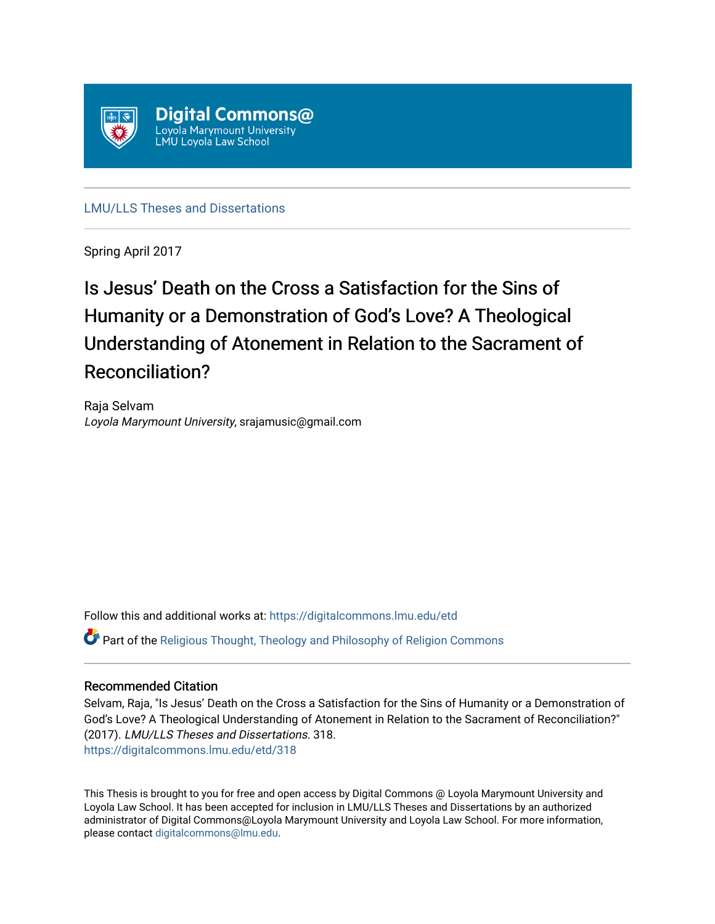

[LMU/LLS Theses and Dissertations](https://digitalcommons.lmu.edu/etd)

Spring April 2017

# Is Jesus' Death on the Cross a Satisfaction for the Sins of Humanity or a Demonstration of God's Love? A Theological Understanding of Atonement in Relation to the Sacrament of Reconciliation?

Raja Selvam Loyola Marymount University, srajamusic@gmail.com

Follow this and additional works at: [https://digitalcommons.lmu.edu/etd](https://digitalcommons.lmu.edu/etd?utm_source=digitalcommons.lmu.edu%2Fetd%2F318&utm_medium=PDF&utm_campaign=PDFCoverPages) 

Part of the [Religious Thought, Theology and Philosophy of Religion Commons](http://network.bepress.com/hgg/discipline/544?utm_source=digitalcommons.lmu.edu%2Fetd%2F318&utm_medium=PDF&utm_campaign=PDFCoverPages) 

### Recommended Citation

Selvam, Raja, "Is Jesus' Death on the Cross a Satisfaction for the Sins of Humanity or a Demonstration of God's Love? A Theological Understanding of Atonement in Relation to the Sacrament of Reconciliation?" (2017). LMU/LLS Theses and Dissertations. 318. [https://digitalcommons.lmu.edu/etd/318](https://digitalcommons.lmu.edu/etd/318?utm_source=digitalcommons.lmu.edu%2Fetd%2F318&utm_medium=PDF&utm_campaign=PDFCoverPages)

This Thesis is brought to you for free and open access by Digital Commons @ Loyola Marymount University and Loyola Law School. It has been accepted for inclusion in LMU/LLS Theses and Dissertations by an authorized administrator of Digital Commons@Loyola Marymount University and Loyola Law School. For more information, please contact [digitalcommons@lmu.edu](mailto:digitalcommons@lmu.edu).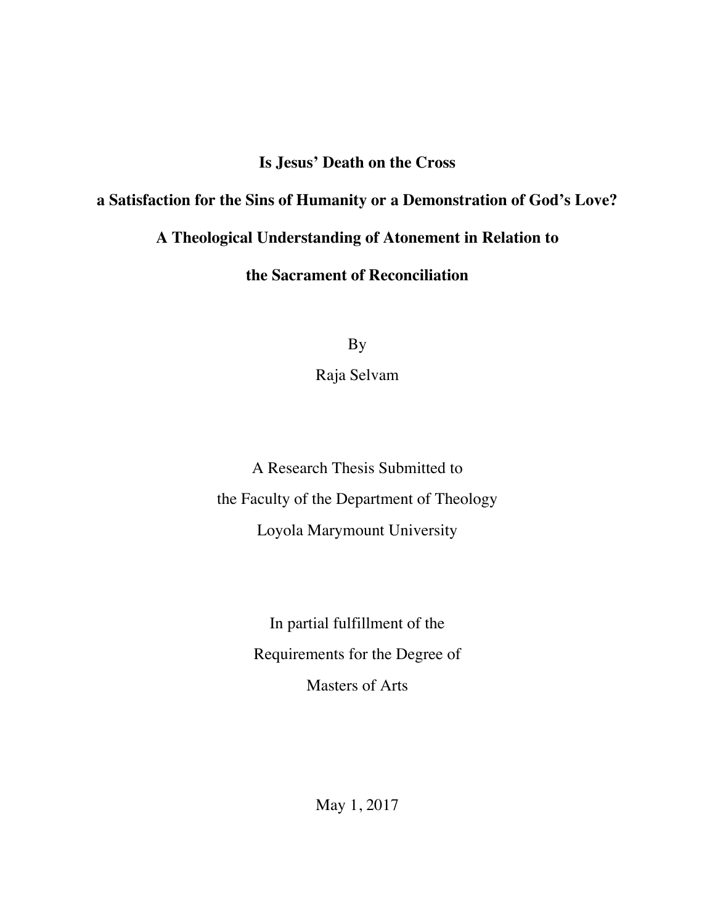## **Is Jesus' Death on the Cross**

### **a Satisfaction for the Sins of Humanity or a Demonstration of God's Love?**

## **A Theological Understanding of Atonement in Relation to**

### **the Sacrament of Reconciliation**

By

Raja Selvam

A Research Thesis Submitted to the Faculty of the Department of Theology Loyola Marymount University

> In partial fulfillment of the Requirements for the Degree of Masters of Arts

> > May 1, 2017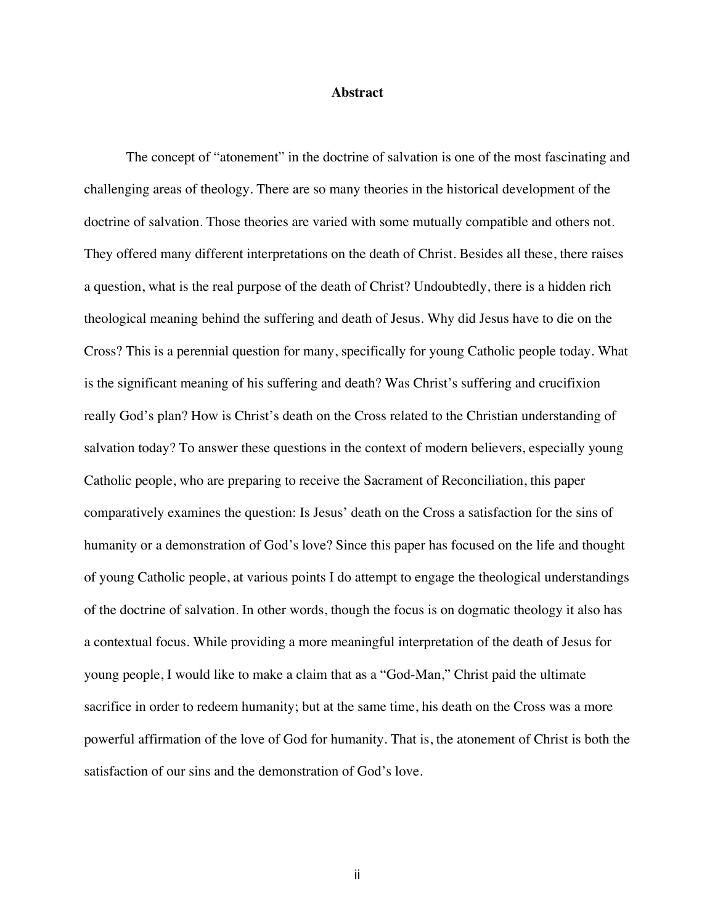#### **Abstract**

The concept of "atonement" in the doctrine of salvation is one of the most fascinating and challenging areas of theology. There are so many theories in the historical development of the doctrine of salvation. Those theories are varied with some mutually compatible and others not. They offered many different interpretations on the death of Christ. Besides all these, there raises a question, what is the real purpose of the death of Christ? Undoubtedly, there is a hidden rich theological meaning behind the suffering and death of Jesus. Why did Jesus have to die on the Cross? This is a perennial question for many, specifically for young Catholic people today. What is the significant meaning of his suffering and death? Was Christ's suffering and crucifixion really God's plan? How is Christ's death on the Cross related to the Christian understanding of salvation today? To answer these questions in the context of modern believers, especially young Catholic people, who are preparing to receive the Sacrament of Reconciliation, this paper comparatively examines the question: Is Jesus' death on the Cross a satisfaction for the sins of humanity or a demonstration of God's love? Since this paper has focused on the life and thought of young Catholic people, at various points I do attempt to engage the theological understandings of the doctrine of salvation. In other words, though the focus is on dogmatic theology it also has a contextual focus. While providing a more meaningful interpretation of the death of Jesus for young people, I would like to make a claim that as a "God-Man," Christ paid the ultimate sacrifice in order to redeem humanity; but at the same time, his death on the Cross was a more powerful affirmation of the love of God for humanity. That is, the atonement of Christ is both the satisfaction of our sins and the demonstration of God's love.

ii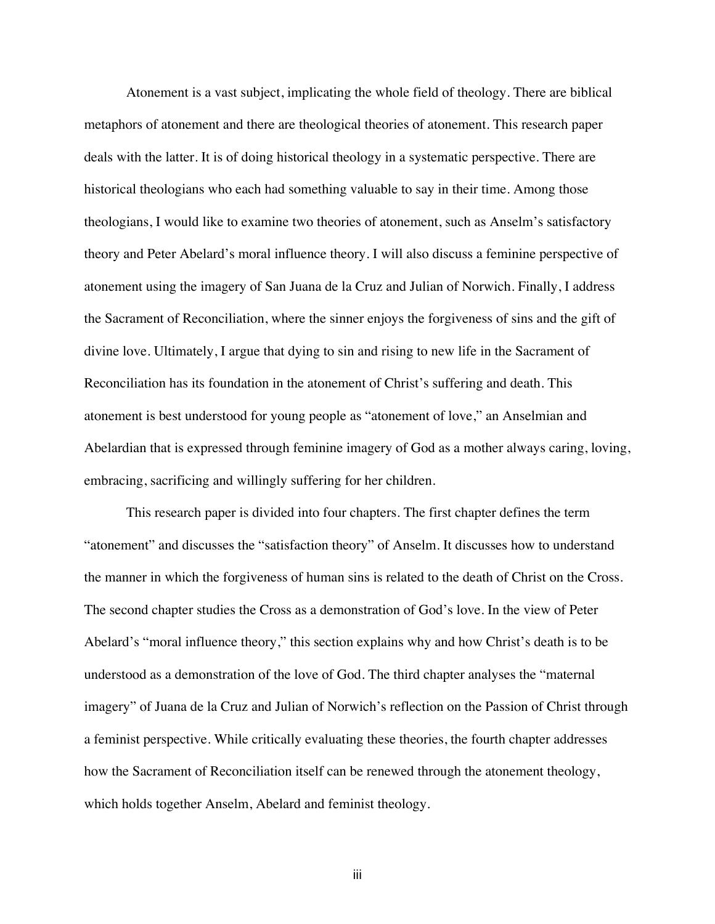Atonement is a vast subject, implicating the whole field of theology. There are biblical metaphors of atonement and there are theological theories of atonement. This research paper deals with the latter. It is of doing historical theology in a systematic perspective. There are historical theologians who each had something valuable to say in their time. Among those theologians, I would like to examine two theories of atonement, such as Anselm's satisfactory theory and Peter Abelard's moral influence theory. I will also discuss a feminine perspective of atonement using the imagery of San Juana de la Cruz and Julian of Norwich. Finally, I address the Sacrament of Reconciliation, where the sinner enjoys the forgiveness of sins and the gift of divine love. Ultimately, I argue that dying to sin and rising to new life in the Sacrament of Reconciliation has its foundation in the atonement of Christ's suffering and death. This atonement is best understood for young people as "atonement of love," an Anselmian and Abelardian that is expressed through feminine imagery of God as a mother always caring, loving, embracing, sacrificing and willingly suffering for her children.

This research paper is divided into four chapters. The first chapter defines the term "atonement" and discusses the "satisfaction theory" of Anselm. It discusses how to understand the manner in which the forgiveness of human sins is related to the death of Christ on the Cross. The second chapter studies the Cross as a demonstration of God's love. In the view of Peter Abelard's "moral influence theory," this section explains why and how Christ's death is to be understood as a demonstration of the love of God. The third chapter analyses the "maternal imagery" of Juana de la Cruz and Julian of Norwich's reflection on the Passion of Christ through a feminist perspective. While critically evaluating these theories, the fourth chapter addresses how the Sacrament of Reconciliation itself can be renewed through the atonement theology, which holds together Anselm, Abelard and feminist theology.

iii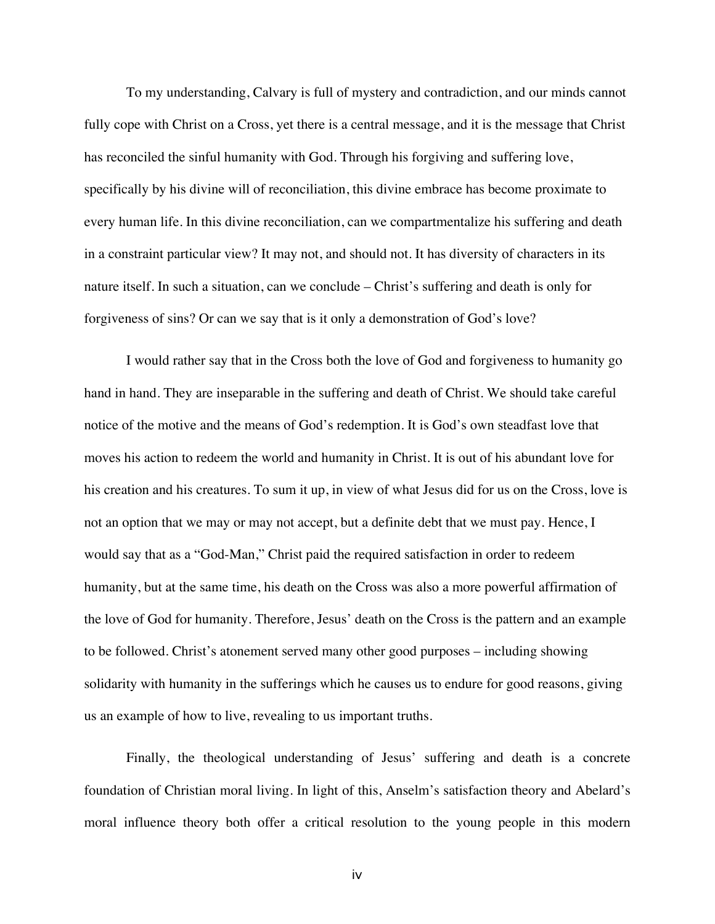To my understanding, Calvary is full of mystery and contradiction, and our minds cannot fully cope with Christ on a Cross, yet there is a central message, and it is the message that Christ has reconciled the sinful humanity with God. Through his forgiving and suffering love, specifically by his divine will of reconciliation, this divine embrace has become proximate to every human life. In this divine reconciliation, can we compartmentalize his suffering and death in a constraint particular view? It may not, and should not. It has diversity of characters in its nature itself. In such a situation, can we conclude – Christ's suffering and death is only for forgiveness of sins? Or can we say that is it only a demonstration of God's love?

I would rather say that in the Cross both the love of God and forgiveness to humanity go hand in hand. They are inseparable in the suffering and death of Christ. We should take careful notice of the motive and the means of God's redemption. It is God's own steadfast love that moves his action to redeem the world and humanity in Christ. It is out of his abundant love for his creation and his creatures. To sum it up, in view of what Jesus did for us on the Cross, love is not an option that we may or may not accept, but a definite debt that we must pay. Hence, I would say that as a "God-Man," Christ paid the required satisfaction in order to redeem humanity, but at the same time, his death on the Cross was also a more powerful affirmation of the love of God for humanity. Therefore, Jesus' death on the Cross is the pattern and an example to be followed. Christ's atonement served many other good purposes – including showing solidarity with humanity in the sufferings which he causes us to endure for good reasons, giving us an example of how to live, revealing to us important truths.

Finally, the theological understanding of Jesus' suffering and death is a concrete foundation of Christian moral living. In light of this, Anselm's satisfaction theory and Abelard's moral influence theory both offer a critical resolution to the young people in this modern

iv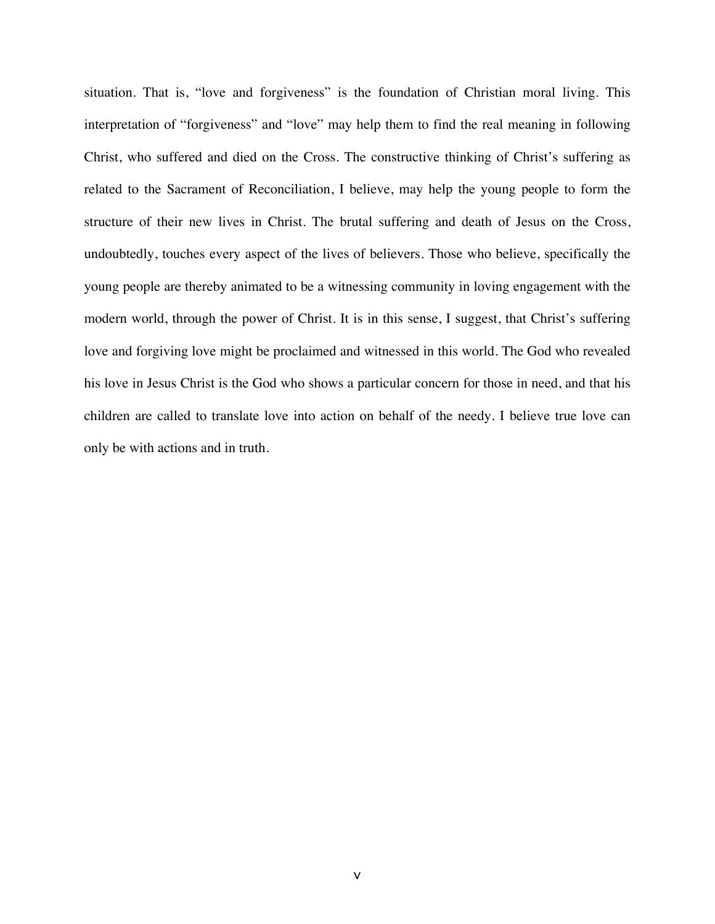situation. That is, "love and forgiveness" is the foundation of Christian moral living. This interpretation of "forgiveness" and "love" may help them to find the real meaning in following Christ, who suffered and died on the Cross. The constructive thinking of Christ's suffering as related to the Sacrament of Reconciliation, I believe, may help the young people to form the structure of their new lives in Christ. The brutal suffering and death of Jesus on the Cross, undoubtedly, touches every aspect of the lives of believers. Those who believe, specifically the young people are thereby animated to be a witnessing community in loving engagement with the modern world, through the power of Christ. It is in this sense, I suggest, that Christ's suffering love and forgiving love might be proclaimed and witnessed in this world. The God who revealed his love in Jesus Christ is the God who shows a particular concern for those in need, and that his children are called to translate love into action on behalf of the needy. I believe true love can only be with actions and in truth.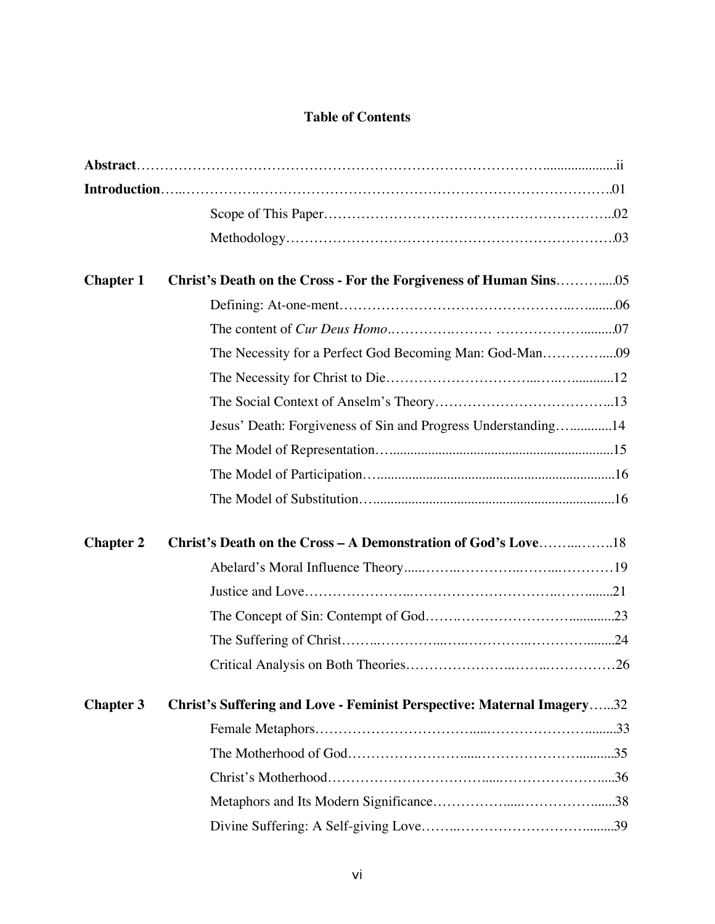### **Table of Contents**

| <b>Chapter 1</b> |                                                                        |
|------------------|------------------------------------------------------------------------|
|                  |                                                                        |
|                  |                                                                        |
|                  | The Necessity for a Perfect God Becoming Man: God-Man09                |
|                  |                                                                        |
|                  |                                                                        |
|                  | Jesus' Death: Forgiveness of Sin and Progress Understanding14          |
|                  |                                                                        |
|                  |                                                                        |
|                  |                                                                        |
| <b>Chapter 2</b> | <b>Christ's Death on the Cross – A Demonstration of God's Love18</b>   |
|                  |                                                                        |
|                  |                                                                        |
|                  |                                                                        |
|                  |                                                                        |
|                  |                                                                        |
| <b>Chapter 3</b> | Christ's Suffering and Love - Feminist Perspective: Maternal Imagery32 |
|                  |                                                                        |
|                  |                                                                        |
|                  |                                                                        |
|                  |                                                                        |
|                  |                                                                        |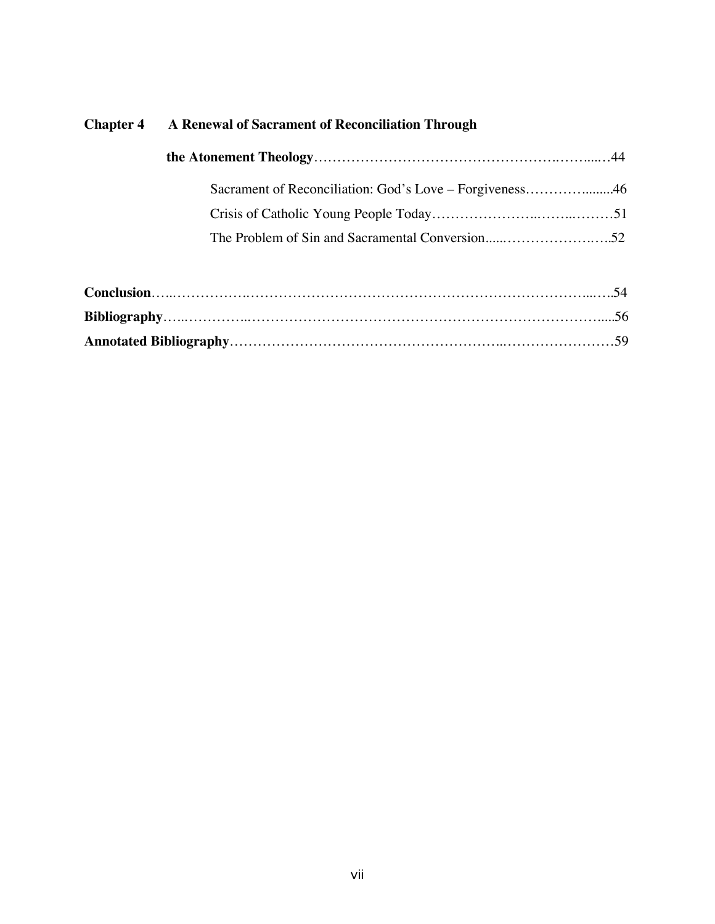# **Chapter 4 A Renewal of Sacrament of Reconciliation Through**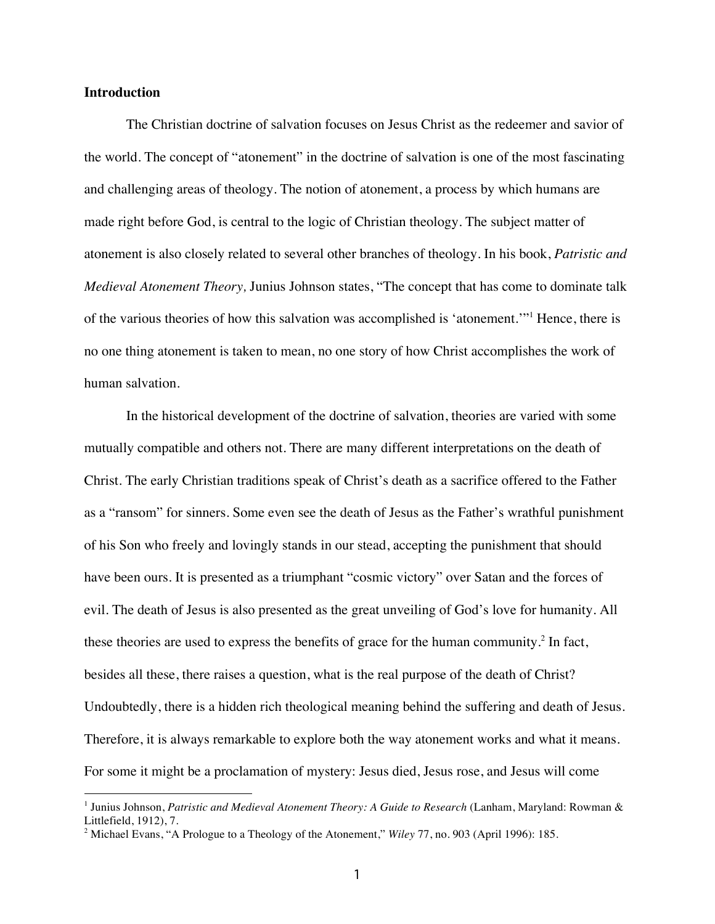#### **Introduction**

-

The Christian doctrine of salvation focuses on Jesus Christ as the redeemer and savior of the world. The concept of "atonement" in the doctrine of salvation is one of the most fascinating and challenging areas of theology. The notion of atonement, a process by which humans are made right before God, is central to the logic of Christian theology. The subject matter of atonement is also closely related to several other branches of theology. In his book, *Patristic and Medieval Atonement Theory,* Junius Johnson states, "The concept that has come to dominate talk of the various theories of how this salvation was accomplished is 'atonement.'"<sup>1</sup> Hence, there is no one thing atonement is taken to mean, no one story of how Christ accomplishes the work of human salvation.

In the historical development of the doctrine of salvation, theories are varied with some mutually compatible and others not. There are many different interpretations on the death of Christ. The early Christian traditions speak of Christ's death as a sacrifice offered to the Father as a "ransom" for sinners. Some even see the death of Jesus as the Father's wrathful punishment of his Son who freely and lovingly stands in our stead, accepting the punishment that should have been ours. It is presented as a triumphant "cosmic victory" over Satan and the forces of evil. The death of Jesus is also presented as the great unveiling of God's love for humanity. All these theories are used to express the benefits of grace for the human community.<sup>2</sup> In fact, besides all these, there raises a question, what is the real purpose of the death of Christ? Undoubtedly, there is a hidden rich theological meaning behind the suffering and death of Jesus. Therefore, it is always remarkable to explore both the way atonement works and what it means. For some it might be a proclamation of mystery: Jesus died, Jesus rose, and Jesus will come

<sup>1</sup> Junius Johnson, *Patristic and Medieval Atonement Theory: A Guide to Research* (Lanham, Maryland: Rowman & Littlefield, 1912), 7.

<sup>2</sup> Michael Evans, "A Prologue to a Theology of the Atonement," *Wiley* 77, no. 903 (April 1996): 185.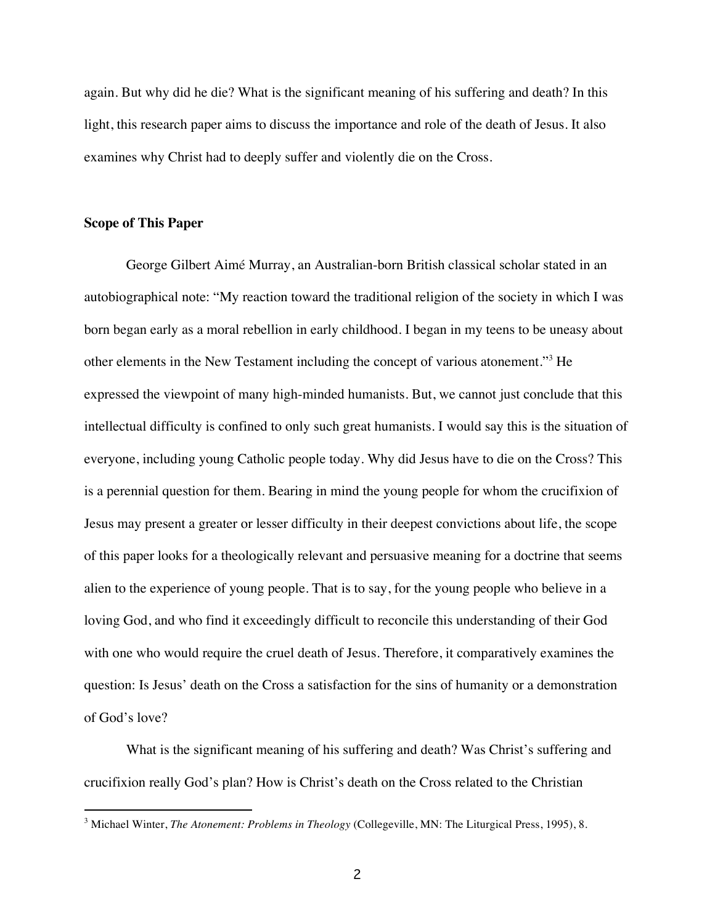again. But why did he die? What is the significant meaning of his suffering and death? In this light, this research paper aims to discuss the importance and role of the death of Jesus. It also examines why Christ had to deeply suffer and violently die on the Cross.

#### **Scope of This Paper**

-

George Gilbert Aimé Murray, an Australian-born British classical scholar stated in an autobiographical note: "My reaction toward the traditional religion of the society in which I was born began early as a moral rebellion in early childhood. I began in my teens to be uneasy about other elements in the New Testament including the concept of various atonement."3 He expressed the viewpoint of many high-minded humanists. But, we cannot just conclude that this intellectual difficulty is confined to only such great humanists. I would say this is the situation of everyone, including young Catholic people today. Why did Jesus have to die on the Cross? This is a perennial question for them. Bearing in mind the young people for whom the crucifixion of Jesus may present a greater or lesser difficulty in their deepest convictions about life, the scope of this paper looks for a theologically relevant and persuasive meaning for a doctrine that seems alien to the experience of young people. That is to say, for the young people who believe in a loving God, and who find it exceedingly difficult to reconcile this understanding of their God with one who would require the cruel death of Jesus. Therefore, it comparatively examines the question: Is Jesus' death on the Cross a satisfaction for the sins of humanity or a demonstration of God's love?

What is the significant meaning of his suffering and death? Was Christ's suffering and crucifixion really God's plan? How is Christ's death on the Cross related to the Christian

<sup>3</sup> Michael Winter, *The Atonement: Problems in Theology* (Collegeville, MN: The Liturgical Press, 1995), 8.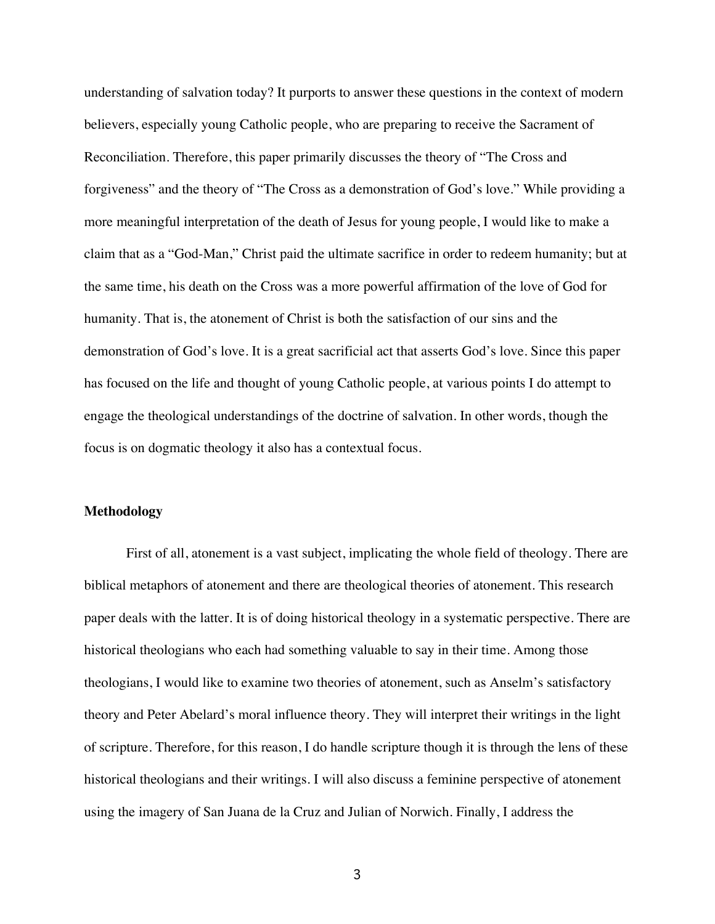understanding of salvation today? It purports to answer these questions in the context of modern believers, especially young Catholic people, who are preparing to receive the Sacrament of Reconciliation. Therefore, this paper primarily discusses the theory of "The Cross and forgiveness" and the theory of "The Cross as a demonstration of God's love." While providing a more meaningful interpretation of the death of Jesus for young people, I would like to make a claim that as a "God-Man," Christ paid the ultimate sacrifice in order to redeem humanity; but at the same time, his death on the Cross was a more powerful affirmation of the love of God for humanity. That is, the atonement of Christ is both the satisfaction of our sins and the demonstration of God's love. It is a great sacrificial act that asserts God's love. Since this paper has focused on the life and thought of young Catholic people, at various points I do attempt to engage the theological understandings of the doctrine of salvation. In other words, though the focus is on dogmatic theology it also has a contextual focus.

#### **Methodology**

First of all, atonement is a vast subject, implicating the whole field of theology. There are biblical metaphors of atonement and there are theological theories of atonement. This research paper deals with the latter. It is of doing historical theology in a systematic perspective. There are historical theologians who each had something valuable to say in their time. Among those theologians, I would like to examine two theories of atonement, such as Anselm's satisfactory theory and Peter Abelard's moral influence theory. They will interpret their writings in the light of scripture. Therefore, for this reason, I do handle scripture though it is through the lens of these historical theologians and their writings. I will also discuss a feminine perspective of atonement using the imagery of San Juana de la Cruz and Julian of Norwich. Finally, I address the

3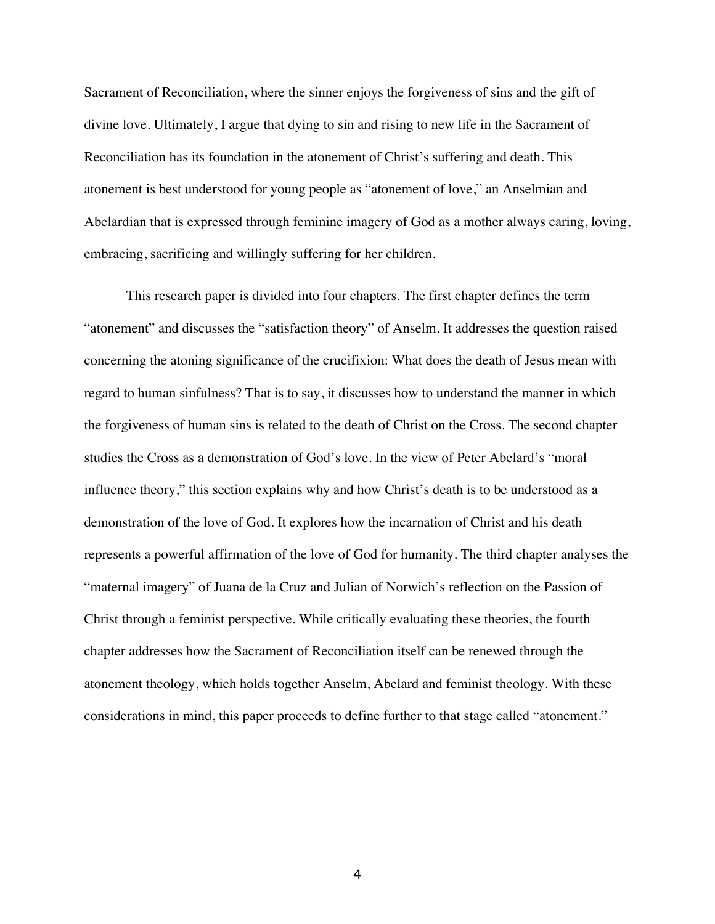Sacrament of Reconciliation, where the sinner enjoys the forgiveness of sins and the gift of divine love. Ultimately, I argue that dying to sin and rising to new life in the Sacrament of Reconciliation has its foundation in the atonement of Christ's suffering and death. This atonement is best understood for young people as "atonement of love," an Anselmian and Abelardian that is expressed through feminine imagery of God as a mother always caring, loving, embracing, sacrificing and willingly suffering for her children.

This research paper is divided into four chapters. The first chapter defines the term "atonement" and discusses the "satisfaction theory" of Anselm. It addresses the question raised concerning the atoning significance of the crucifixion: What does the death of Jesus mean with regard to human sinfulness? That is to say, it discusses how to understand the manner in which the forgiveness of human sins is related to the death of Christ on the Cross. The second chapter studies the Cross as a demonstration of God's love. In the view of Peter Abelard's "moral influence theory," this section explains why and how Christ's death is to be understood as a demonstration of the love of God. It explores how the incarnation of Christ and his death represents a powerful affirmation of the love of God for humanity. The third chapter analyses the "maternal imagery" of Juana de la Cruz and Julian of Norwich's reflection on the Passion of Christ through a feminist perspective. While critically evaluating these theories, the fourth chapter addresses how the Sacrament of Reconciliation itself can be renewed through the atonement theology, which holds together Anselm, Abelard and feminist theology. With these considerations in mind, this paper proceeds to define further to that stage called "atonement."

4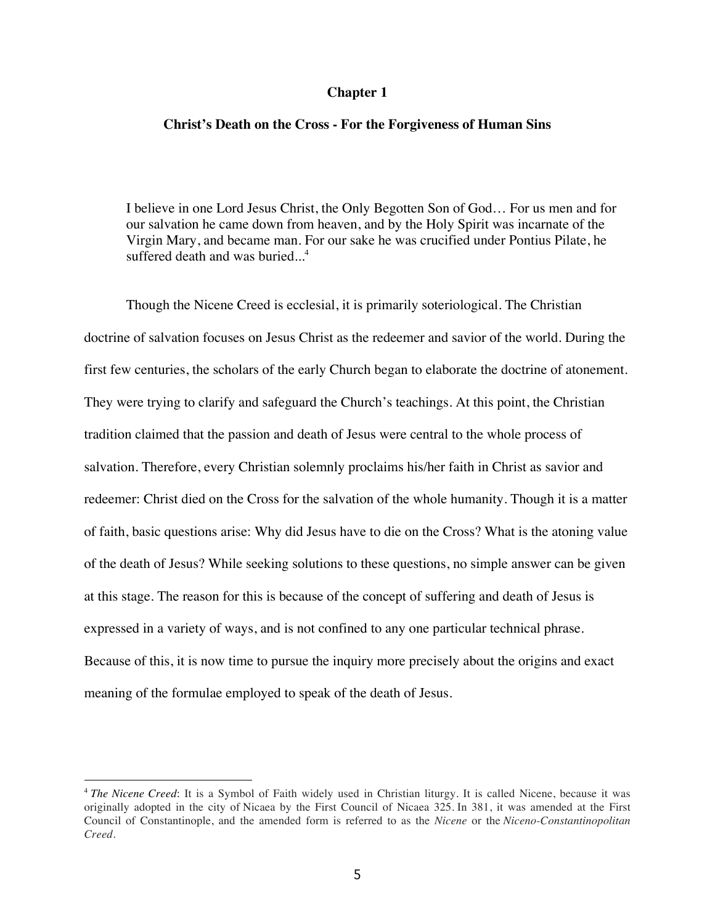#### **Chapter 1**

#### **Christ's Death on the Cross - For the Forgiveness of Human Sins**

I believe in one Lord Jesus Christ, the Only Begotten Son of God… For us men and for our salvation he came down from heaven, and by the Holy Spirit was incarnate of the Virgin Mary, and became man. For our sake he was crucified under Pontius Pilate, he suffered death and was buried. $\frac{4}{1}$ 

Though the Nicene Creed is ecclesial, it is primarily soteriological. The Christian doctrine of salvation focuses on Jesus Christ as the redeemer and savior of the world. During the first few centuries, the scholars of the early Church began to elaborate the doctrine of atonement. They were trying to clarify and safeguard the Church's teachings. At this point, the Christian tradition claimed that the passion and death of Jesus were central to the whole process of salvation. Therefore, every Christian solemnly proclaims his/her faith in Christ as savior and redeemer: Christ died on the Cross for the salvation of the whole humanity. Though it is a matter of faith, basic questions arise: Why did Jesus have to die on the Cross? What is the atoning value of the death of Jesus? While seeking solutions to these questions, no simple answer can be given at this stage. The reason for this is because of the concept of suffering and death of Jesus is expressed in a variety of ways, and is not confined to any one particular technical phrase. Because of this, it is now time to pursue the inquiry more precisely about the origins and exact meaning of the formulae employed to speak of the death of Jesus.

<sup>4</sup> *The Nicene Creed*: It is a Symbol of Faith widely used in Christian liturgy. It is called Nicene, because it was originally adopted in the city of Nicaea by the First Council of Nicaea 325. In 381, it was amended at the First Council of Constantinople, and the amended form is referred to as the *Nicene* or the *Niceno-Constantinopolitan Creed.*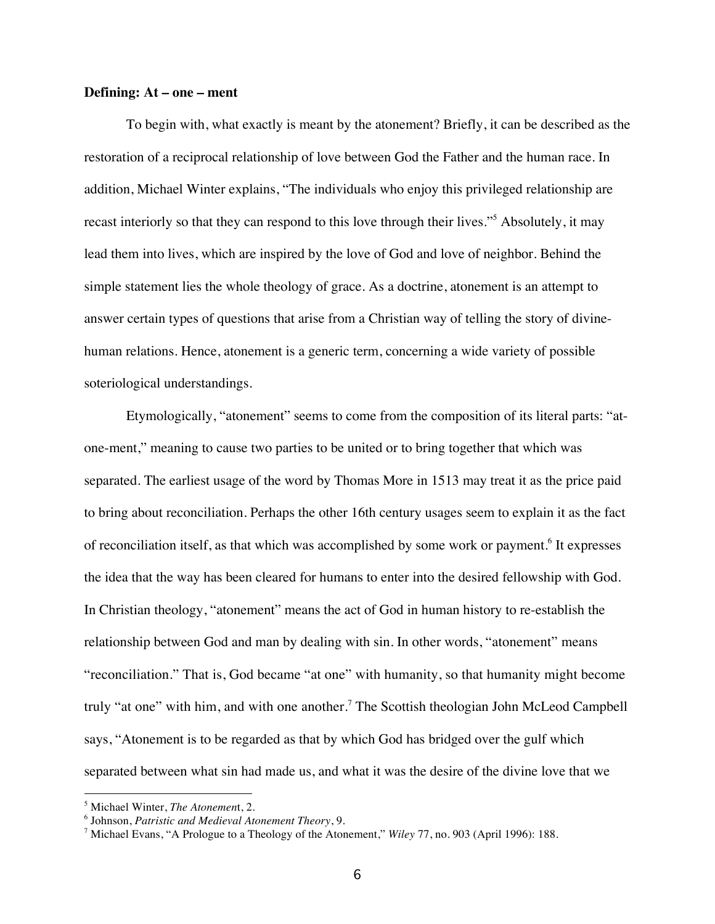#### **Defining: At – one – ment**

To begin with, what exactly is meant by the atonement? Briefly, it can be described as the restoration of a reciprocal relationship of love between God the Father and the human race. In addition, Michael Winter explains, "The individuals who enjoy this privileged relationship are recast interiorly so that they can respond to this love through their lives."5 Absolutely, it may lead them into lives, which are inspired by the love of God and love of neighbor. Behind the simple statement lies the whole theology of grace. As a doctrine, atonement is an attempt to answer certain types of questions that arise from a Christian way of telling the story of divinehuman relations. Hence, atonement is a generic term, concerning a wide variety of possible soteriological understandings.

Etymologically, "atonement" seems to come from the composition of its literal parts: "atone-ment," meaning to cause two parties to be united or to bring together that which was separated. The earliest usage of the word by Thomas More in 1513 may treat it as the price paid to bring about reconciliation. Perhaps the other 16th century usages seem to explain it as the fact of reconciliation itself, as that which was accomplished by some work or payment.<sup>6</sup> It expresses the idea that the way has been cleared for humans to enter into the desired fellowship with God. In Christian theology, "atonement" means the act of God in human history to re-establish the relationship between God and man by dealing with sin. In other words, "atonement" means "reconciliation." That is, God became "at one" with humanity, so that humanity might become truly "at one" with him, and with one another.<sup>7</sup> The Scottish theologian John McLeod Campbell says, "Atonement is to be regarded as that by which God has bridged over the gulf which separated between what sin had made us, and what it was the desire of the divine love that we

<sup>5</sup> Michael Winter, *The Atonemen*t, 2.

<sup>6</sup> Johnson, *Patristic and Medieval Atonement Theory*, 9.

<sup>7</sup> Michael Evans, "A Prologue to a Theology of the Atonement," *Wiley* 77, no. 903 (April 1996): 188.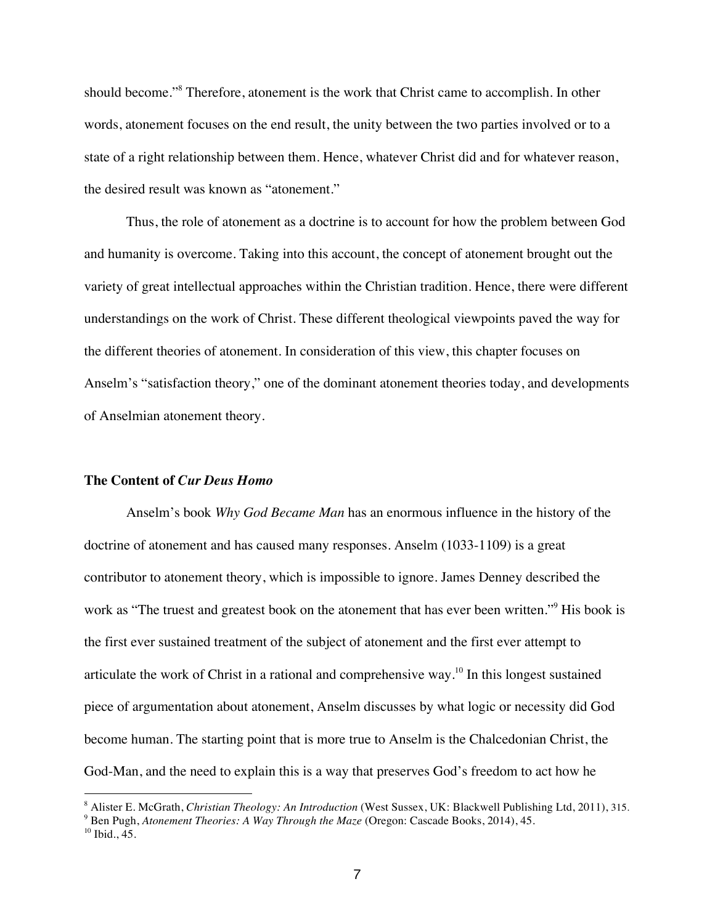should become."8 Therefore, atonement is the work that Christ came to accomplish. In other words, atonement focuses on the end result, the unity between the two parties involved or to a state of a right relationship between them. Hence, whatever Christ did and for whatever reason, the desired result was known as "atonement."

Thus, the role of atonement as a doctrine is to account for how the problem between God and humanity is overcome. Taking into this account, the concept of atonement brought out the variety of great intellectual approaches within the Christian tradition. Hence, there were different understandings on the work of Christ. These different theological viewpoints paved the way for the different theories of atonement. In consideration of this view, this chapter focuses on Anselm's "satisfaction theory," one of the dominant atonement theories today, and developments of Anselmian atonement theory.

#### **The Content of** *Cur Deus Homo*

Anselm's book *Why God Became Man* has an enormous influence in the history of the doctrine of atonement and has caused many responses. Anselm (1033-1109) is a great contributor to atonement theory, which is impossible to ignore. James Denney described the work as "The truest and greatest book on the atonement that has ever been written."<sup>9</sup> His book is the first ever sustained treatment of the subject of atonement and the first ever attempt to articulate the work of Christ in a rational and comprehensive way.<sup>10</sup> In this longest sustained piece of argumentation about atonement, Anselm discusses by what logic or necessity did God become human. The starting point that is more true to Anselm is the Chalcedonian Christ, the God-Man, and the need to explain this is a way that preserves God's freedom to act how he

<sup>8</sup> Alister E. McGrath, *Christian Theology: An Introduction* (West Sussex, UK: Blackwell Publishing Ltd, 2011), 315.

<sup>9</sup> Ben Pugh, *Atonement Theories: A Way Through the Maze* (Oregon: Cascade Books, 2014), 45.

<sup>&</sup>lt;sup>10</sup> Ibid., 45.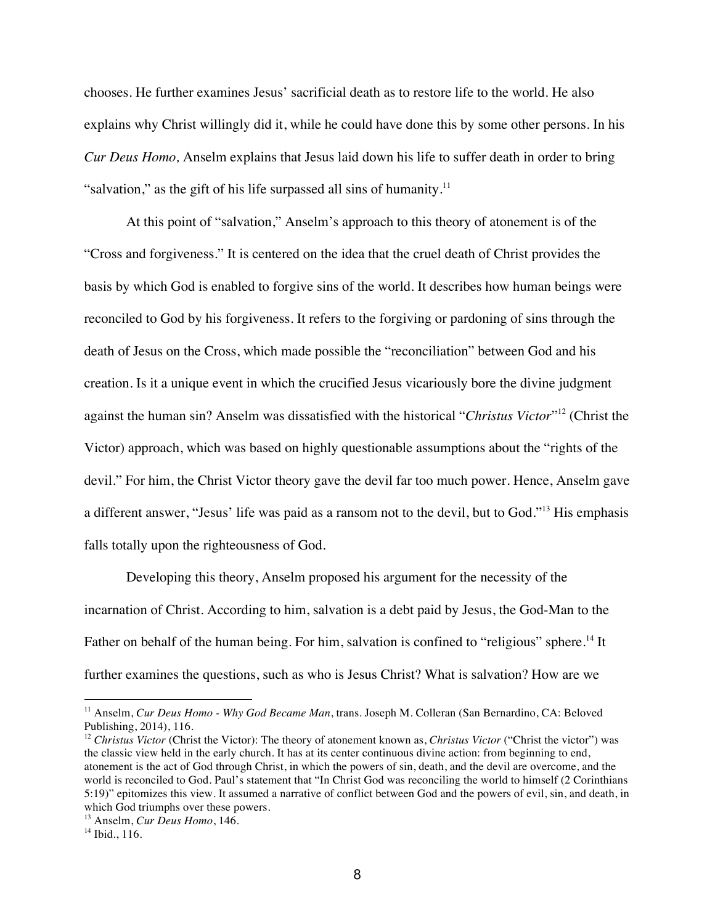chooses. He further examines Jesus' sacrificial death as to restore life to the world. He also explains why Christ willingly did it, while he could have done this by some other persons. In his *Cur Deus Homo,* Anselm explains that Jesus laid down his life to suffer death in order to bring "salvation," as the gift of his life surpassed all sins of humanity.<sup>11</sup>

At this point of "salvation," Anselm's approach to this theory of atonement is of the "Cross and forgiveness." It is centered on the idea that the cruel death of Christ provides the basis by which God is enabled to forgive sins of the world. It describes how human beings were reconciled to God by his forgiveness. It refers to the forgiving or pardoning of sins through the death of Jesus on the Cross, which made possible the "reconciliation" between God and his creation. Is it a unique event in which the crucified Jesus vicariously bore the divine judgment against the human sin? Anselm was dissatisfied with the historical "*Christus Victor*"12 (Christ the Victor) approach, which was based on highly questionable assumptions about the "rights of the devil." For him, the Christ Victor theory gave the devil far too much power. Hence, Anselm gave a different answer, "Jesus' life was paid as a ransom not to the devil, but to God."13 His emphasis falls totally upon the righteousness of God.

Developing this theory, Anselm proposed his argument for the necessity of the incarnation of Christ. According to him, salvation is a debt paid by Jesus, the God-Man to the Father on behalf of the human being. For him, salvation is confined to "religious" sphere.<sup>14</sup> It further examines the questions, such as who is Jesus Christ? What is salvation? How are we

<sup>11</sup> Anselm, *Cur Deus Homo - Why God Became Man*, trans. Joseph M. Colleran (San Bernardino, CA: Beloved Publishing, 2014), 116.

<sup>&</sup>lt;sup>12</sup> *Christus Victor* (Christ the Victor): The theory of atonement known as, *Christus Victor* ("Christ the victor") was the classic view held in the early church. It has at its center continuous divine action: from beginning to end, atonement is the act of God through Christ, in which the powers of sin, death, and the devil are overcome, and the world is reconciled to God. Paul's statement that "In Christ God was reconciling the world to himself (2 Corinthians 5:19)" epitomizes this view. It assumed a narrative of conflict between God and the powers of evil, sin, and death, in which God triumphs over these powers.

<sup>13</sup> Anselm, *Cur Deus Homo*, 146.

<sup>&</sup>lt;sup>14</sup> Ibid., 116.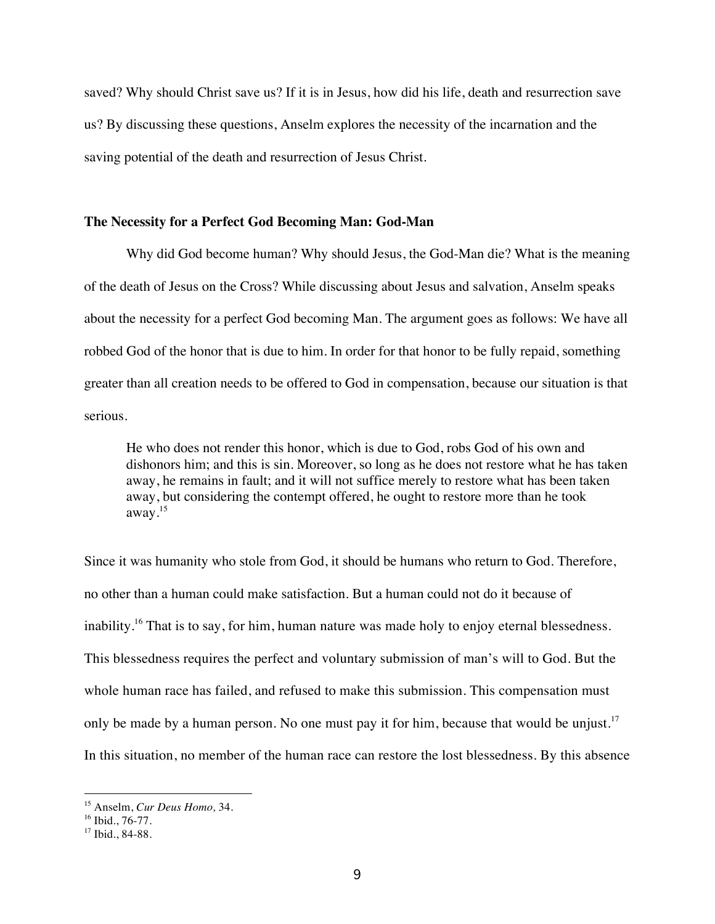saved? Why should Christ save us? If it is in Jesus, how did his life, death and resurrection save us? By discussing these questions, Anselm explores the necessity of the incarnation and the saving potential of the death and resurrection of Jesus Christ.

#### **The Necessity for a Perfect God Becoming Man: God-Man**

Why did God become human? Why should Jesus, the God-Man die? What is the meaning of the death of Jesus on the Cross? While discussing about Jesus and salvation, Anselm speaks about the necessity for a perfect God becoming Man. The argument goes as follows: We have all robbed God of the honor that is due to him. In order for that honor to be fully repaid, something greater than all creation needs to be offered to God in compensation, because our situation is that serious.

He who does not render this honor, which is due to God, robs God of his own and dishonors him; and this is sin. Moreover, so long as he does not restore what he has taken away, he remains in fault; and it will not suffice merely to restore what has been taken away, but considering the contempt offered, he ought to restore more than he took away. 15

Since it was humanity who stole from God, it should be humans who return to God. Therefore, no other than a human could make satisfaction. But a human could not do it because of inability.<sup>16</sup> That is to say, for him, human nature was made holy to enjoy eternal blessedness. This blessedness requires the perfect and voluntary submission of man's will to God. But the whole human race has failed, and refused to make this submission. This compensation must only be made by a human person. No one must pay it for him, because that would be unjust.<sup>17</sup> In this situation, no member of the human race can restore the lost blessedness. By this absence

<sup>15</sup> Anselm, *Cur Deus Homo,* 34.

<sup>&</sup>lt;sup>16</sup> Ibid., 76-77.

<sup>&</sup>lt;sup>17</sup> Ibid., 84-88.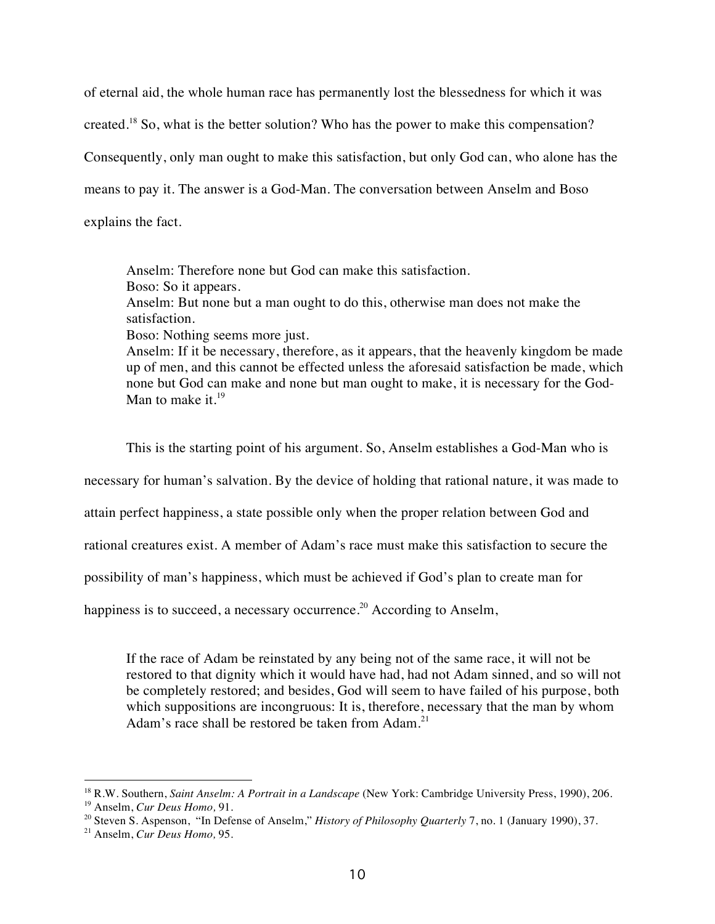of eternal aid, the whole human race has permanently lost the blessedness for which it was created.<sup>18</sup> So, what is the better solution? Who has the power to make this compensation? Consequently, only man ought to make this satisfaction, but only God can, who alone has the means to pay it. The answer is a God-Man. The conversation between Anselm and Boso explains the fact.

Anselm: Therefore none but God can make this satisfaction. Boso: So it appears. Anselm: But none but a man ought to do this, otherwise man does not make the satisfaction. Boso: Nothing seems more just. Anselm: If it be necessary, therefore, as it appears, that the heavenly kingdom be made up of men, and this cannot be effected unless the aforesaid satisfaction be made, which none but God can make and none but man ought to make, it is necessary for the God-

Man to make it. $^{19}$ 

This is the starting point of his argument. So, Anselm establishes a God-Man who is

necessary for human's salvation. By the device of holding that rational nature, it was made to

attain perfect happiness, a state possible only when the proper relation between God and

rational creatures exist. A member of Adam's race must make this satisfaction to secure the

possibility of man's happiness, which must be achieved if God's plan to create man for

happiness is to succeed, a necessary occurrence.<sup>20</sup> According to Anselm,

If the race of Adam be reinstated by any being not of the same race, it will not be restored to that dignity which it would have had, had not Adam sinned, and so will not be completely restored; and besides, God will seem to have failed of his purpose, both which suppositions are incongruous: It is, therefore, necessary that the man by whom Adam's race shall be restored be taken from Adam.<sup>21</sup>

<sup>&</sup>lt;sup>18</sup> R.W. Southern, *Saint Anselm: A Portrait in a Landscape* (New York: Cambridge University Press, 1990), 206.<br><sup>19</sup> Anselm, *Cur Deus Homo*, 91.

<sup>&</sup>lt;sup>20</sup> Steven S. Aspenson, "In Defense of Anselm," *History of Philosophy Quarterly* 7, no. 1 (January 1990), 37. <sup>21</sup> Anselm, *Cur Deus Homo*, 95.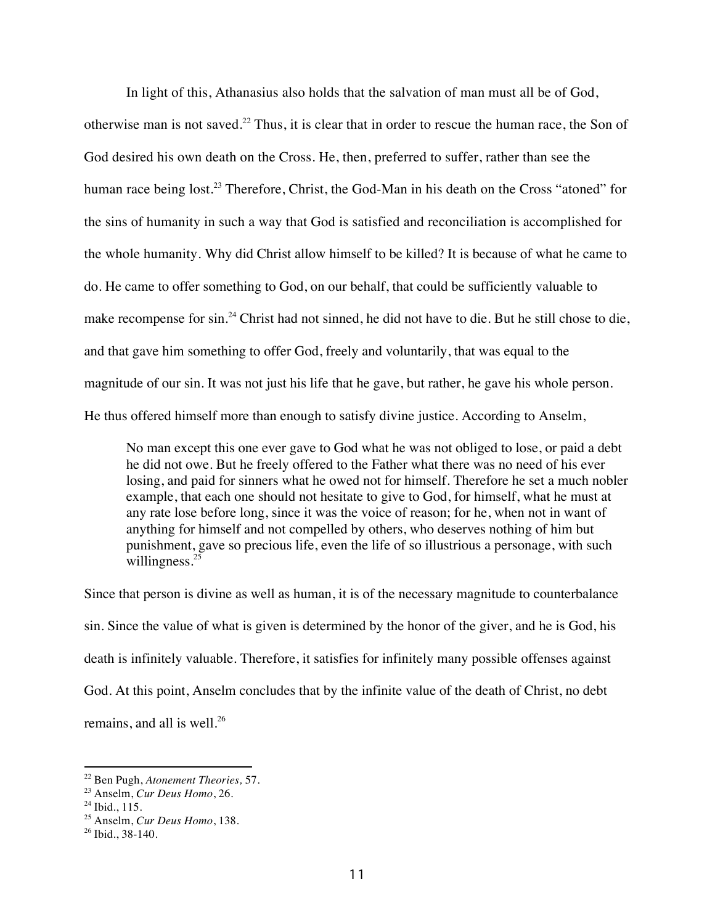In light of this, Athanasius also holds that the salvation of man must all be of God, otherwise man is not saved.<sup>22</sup> Thus, it is clear that in order to rescue the human race, the Son of God desired his own death on the Cross. He, then, preferred to suffer, rather than see the human race being lost.<sup>23</sup> Therefore, Christ, the God-Man in his death on the Cross "atoned" for the sins of humanity in such a way that God is satisfied and reconciliation is accomplished for the whole humanity. Why did Christ allow himself to be killed? It is because of what he came to do. He came to offer something to God, on our behalf, that could be sufficiently valuable to make recompense for sin.<sup>24</sup> Christ had not sinned, he did not have to die. But he still chose to die, and that gave him something to offer God, freely and voluntarily, that was equal to the magnitude of our sin. It was not just his life that he gave, but rather, he gave his whole person. He thus offered himself more than enough to satisfy divine justice. According to Anselm,

No man except this one ever gave to God what he was not obliged to lose, or paid a debt he did not owe. But he freely offered to the Father what there was no need of his ever losing, and paid for sinners what he owed not for himself. Therefore he set a much nobler example, that each one should not hesitate to give to God, for himself, what he must at any rate lose before long, since it was the voice of reason; for he, when not in want of anything for himself and not compelled by others, who deserves nothing of him but punishment, gave so precious life, even the life of so illustrious a personage, with such willingness. $25$ 

Since that person is divine as well as human, it is of the necessary magnitude to counterbalance sin. Since the value of what is given is determined by the honor of the giver, and he is God, his death is infinitely valuable. Therefore, it satisfies for infinitely many possible offenses against God. At this point, Anselm concludes that by the infinite value of the death of Christ, no debt remains, and all is well.<sup>26</sup>

<sup>22</sup> Ben Pugh, *Atonement Theories,* 57.

<sup>&</sup>lt;sup>23</sup> Anselm, *Cur Deus Homo*, 26.<br><sup>24</sup> Ibid., 115.

<sup>25</sup> Anselm, *Cur Deus Homo*, 138.

 $26$  Ibid., 38-140.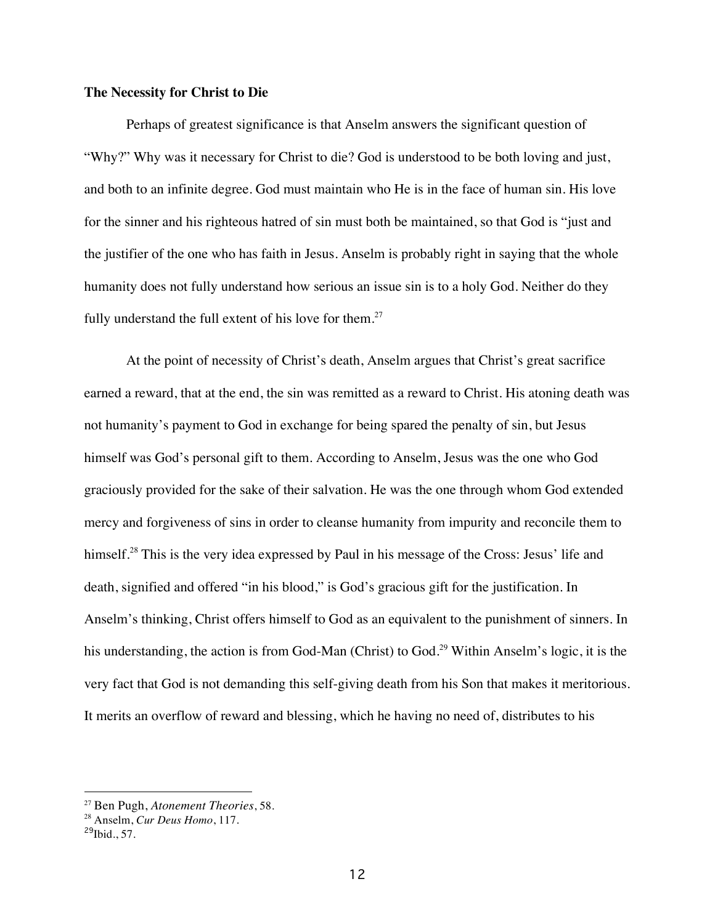#### **The Necessity for Christ to Die**

Perhaps of greatest significance is that Anselm answers the significant question of "Why?" Why was it necessary for Christ to die? God is understood to be both loving and just, and both to an infinite degree. God must maintain who He is in the face of human sin. His love for the sinner and his righteous hatred of sin must both be maintained, so that God is "just and the justifier of the one who has faith in Jesus. Anselm is probably right in saying that the whole humanity does not fully understand how serious an issue sin is to a holy God. Neither do they fully understand the full extent of his love for them.<sup>27</sup>

At the point of necessity of Christ's death, Anselm argues that Christ's great sacrifice earned a reward, that at the end, the sin was remitted as a reward to Christ. His atoning death was not humanity's payment to God in exchange for being spared the penalty of sin, but Jesus himself was God's personal gift to them. According to Anselm, Jesus was the one who God graciously provided for the sake of their salvation. He was the one through whom God extended mercy and forgiveness of sins in order to cleanse humanity from impurity and reconcile them to himself.<sup>28</sup> This is the very idea expressed by Paul in his message of the Cross: Jesus' life and death, signified and offered "in his blood," is God's gracious gift for the justification. In Anselm's thinking, Christ offers himself to God as an equivalent to the punishment of sinners. In his understanding, the action is from God-Man (Christ) to God.<sup>29</sup> Within Anselm's logic, it is the very fact that God is not demanding this self-giving death from his Son that makes it meritorious. It merits an overflow of reward and blessing, which he having no need of, distributes to his

<sup>27</sup> Ben Pugh, *Atonement Theories*, 58.

<sup>28</sup> Anselm, *Cur Deus Homo*, 117.

 $^{29}$ Ibid., 57.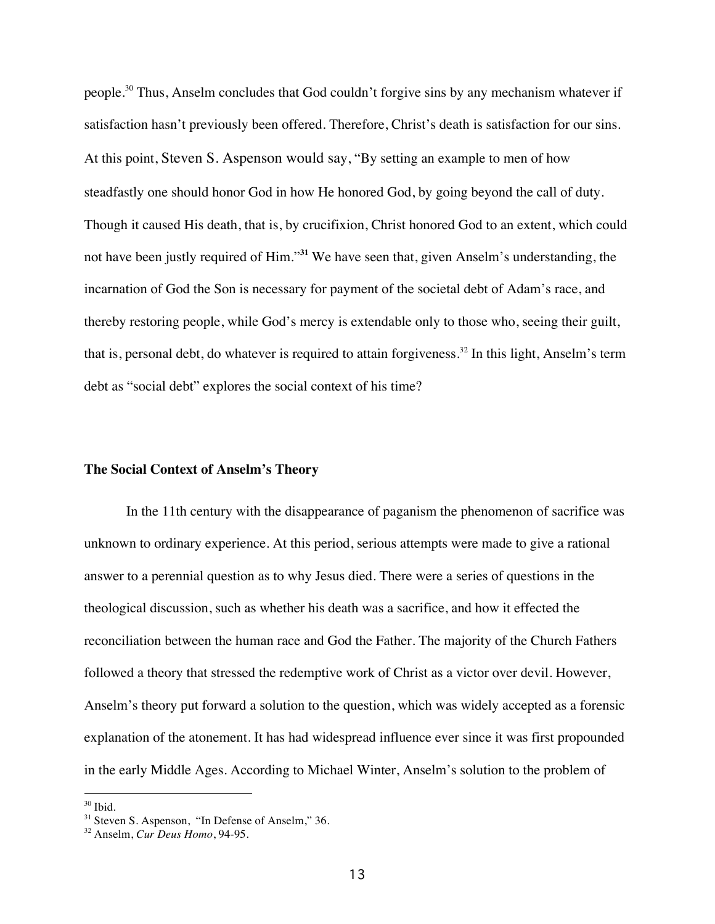people.<sup>30</sup> Thus, Anselm concludes that God couldn't forgive sins by any mechanism whatever if satisfaction hasn't previously been offered. Therefore, Christ's death is satisfaction for our sins. At this point, Steven S. Aspenson would say, "By setting an example to men of how steadfastly one should honor God in how He honored God, by going beyond the call of duty. Though it caused His death, that is, by crucifixion, Christ honored God to an extent, which could not have been justly required of Him."**<sup>31</sup>** We have seen that, given Anselm's understanding, the incarnation of God the Son is necessary for payment of the societal debt of Adam's race, and thereby restoring people, while God's mercy is extendable only to those who, seeing their guilt, that is, personal debt, do whatever is required to attain forgiveness.<sup>32</sup> In this light, Anselm's term debt as "social debt" explores the social context of his time?

#### **The Social Context of Anselm's Theory**

In the 11th century with the disappearance of paganism the phenomenon of sacrifice was unknown to ordinary experience. At this period, serious attempts were made to give a rational answer to a perennial question as to why Jesus died. There were a series of questions in the theological discussion, such as whether his death was a sacrifice, and how it effected the reconciliation between the human race and God the Father. The majority of the Church Fathers followed a theory that stressed the redemptive work of Christ as a victor over devil. However, Anselm's theory put forward a solution to the question, which was widely accepted as a forensic explanation of the atonement. It has had widespread influence ever since it was first propounded in the early Middle Ages. According to Michael Winter, Anselm's solution to the problem of

 $30$  Ibid.<br> $31$  Steven S. Aspenson, "In Defense of Anselm," 36.

<sup>32</sup> Anselm, *Cur Deus Homo*, 94-95.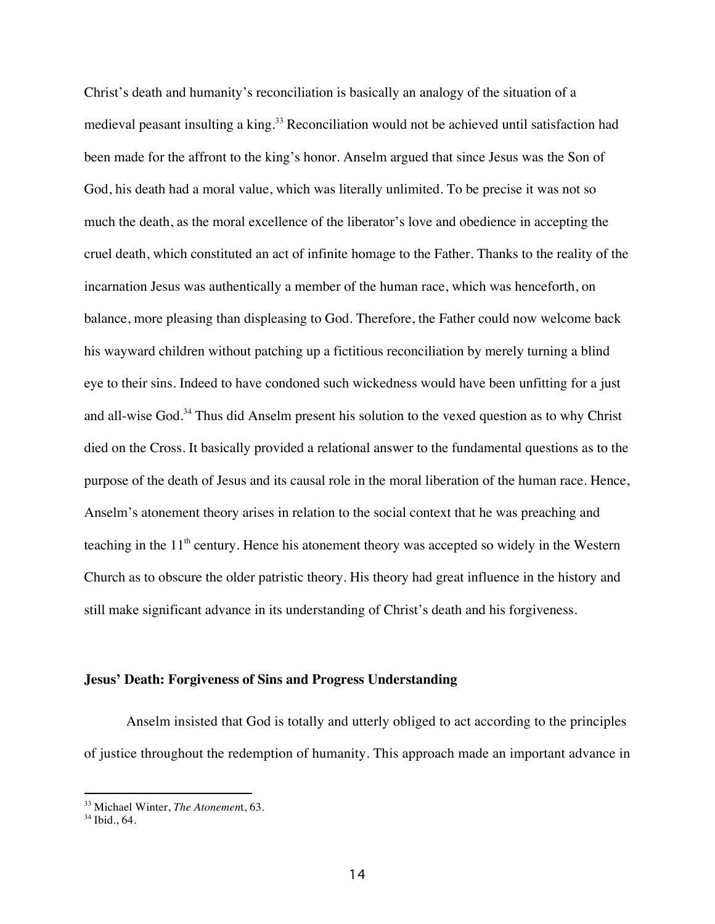Christ's death and humanity's reconciliation is basically an analogy of the situation of a medieval peasant insulting a king.<sup>33</sup> Reconciliation would not be achieved until satisfaction had been made for the affront to the king's honor. Anselm argued that since Jesus was the Son of God, his death had a moral value, which was literally unlimited. To be precise it was not so much the death, as the moral excellence of the liberator's love and obedience in accepting the cruel death, which constituted an act of infinite homage to the Father. Thanks to the reality of the incarnation Jesus was authentically a member of the human race, which was henceforth, on balance, more pleasing than displeasing to God. Therefore, the Father could now welcome back his wayward children without patching up a fictitious reconciliation by merely turning a blind eye to their sins. Indeed to have condoned such wickedness would have been unfitting for a just and all-wise God.<sup>34</sup> Thus did Anselm present his solution to the vexed question as to why Christ died on the Cross. It basically provided a relational answer to the fundamental questions as to the purpose of the death of Jesus and its causal role in the moral liberation of the human race. Hence, Anselm's atonement theory arises in relation to the social context that he was preaching and teaching in the  $11<sup>th</sup>$  century. Hence his atonement theory was accepted so widely in the Western Church as to obscure the older patristic theory. His theory had great influence in the history and still make significant advance in its understanding of Christ's death and his forgiveness.

#### **Jesus' Death: Forgiveness of Sins and Progress Understanding**

Anselm insisted that God is totally and utterly obliged to act according to the principles of justice throughout the redemption of humanity. This approach made an important advance in

<sup>33</sup> Michael Winter, *The Atonemen*t, 63.

 $34$  Ibid., 64.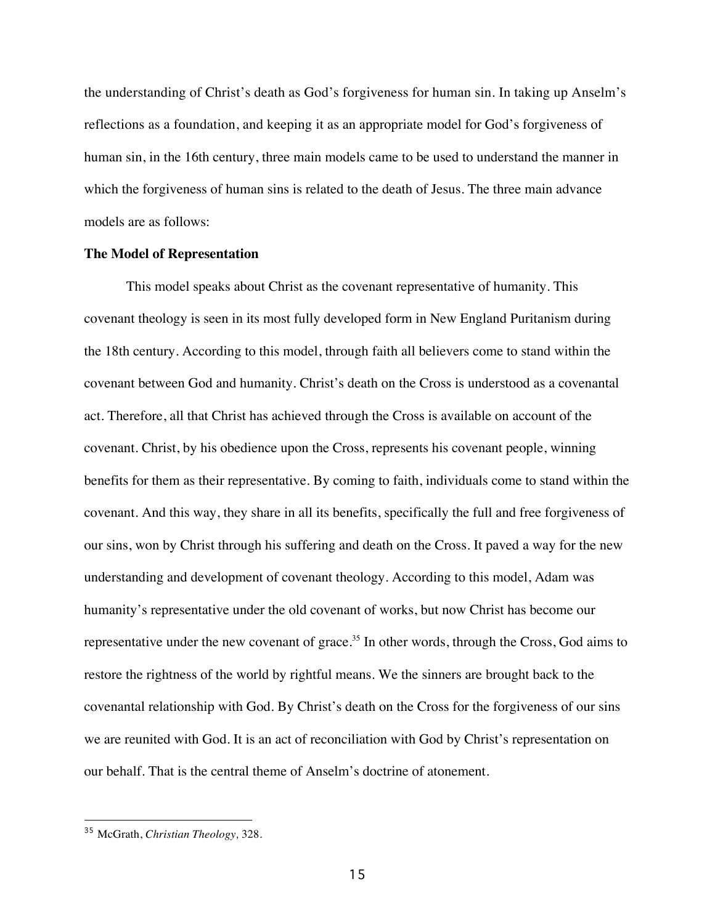the understanding of Christ's death as God's forgiveness for human sin. In taking up Anselm's reflections as a foundation, and keeping it as an appropriate model for God's forgiveness of human sin, in the 16th century, three main models came to be used to understand the manner in which the forgiveness of human sins is related to the death of Jesus. The three main advance models are as follows:

#### **The Model of Representation**

This model speaks about Christ as the covenant representative of humanity. This covenant theology is seen in its most fully developed form in New England Puritanism during the 18th century. According to this model, through faith all believers come to stand within the covenant between God and humanity. Christ's death on the Cross is understood as a covenantal act. Therefore, all that Christ has achieved through the Cross is available on account of the covenant. Christ, by his obedience upon the Cross, represents his covenant people, winning benefits for them as their representative. By coming to faith, individuals come to stand within the covenant. And this way, they share in all its benefits, specifically the full and free forgiveness of our sins, won by Christ through his suffering and death on the Cross. It paved a way for the new understanding and development of covenant theology. According to this model, Adam was humanity's representative under the old covenant of works, but now Christ has become our representative under the new covenant of grace.<sup>35</sup> In other words, through the Cross, God aims to restore the rightness of the world by rightful means. We the sinners are brought back to the covenantal relationship with God. By Christ's death on the Cross for the forgiveness of our sins we are reunited with God. It is an act of reconciliation with God by Christ's representation on our behalf. That is the central theme of Anselm's doctrine of atonement.

<sup>35</sup> McGrath, *Christian Theology,* 328.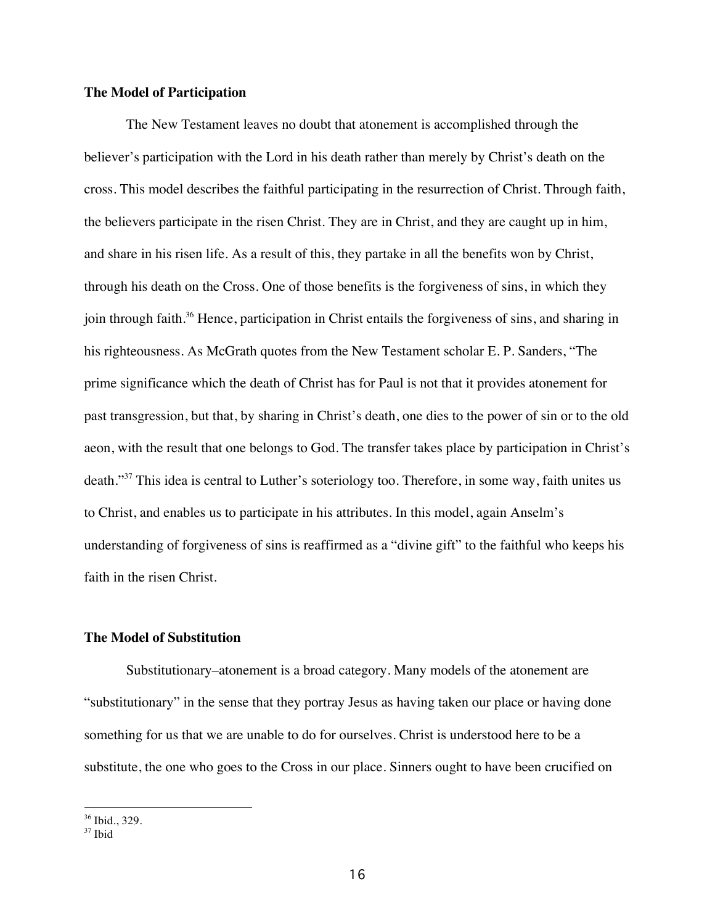### **The Model of Participation**

The New Testament leaves no doubt that atonement is accomplished through the believer's participation with the Lord in his death rather than merely by Christ's death on the cross. This model describes the faithful participating in the resurrection of Christ. Through faith, the believers participate in the risen Christ. They are in Christ, and they are caught up in him, and share in his risen life. As a result of this, they partake in all the benefits won by Christ, through his death on the Cross. One of those benefits is the forgiveness of sins, in which they join through faith.<sup>36</sup> Hence, participation in Christ entails the forgiveness of sins, and sharing in his righteousness. As McGrath quotes from the New Testament scholar E. P. Sanders, "The prime significance which the death of Christ has for Paul is not that it provides atonement for past transgression, but that, by sharing in Christ's death, one dies to the power of sin or to the old aeon, with the result that one belongs to God. The transfer takes place by participation in Christ's death."<sup>37</sup> This idea is central to Luther's soteriology too. Therefore, in some way, faith unites us to Christ, and enables us to participate in his attributes. In this model, again Anselm's understanding of forgiveness of sins is reaffirmed as a "divine gift" to the faithful who keeps his faith in the risen Christ.

#### **The Model of Substitution**

Substitutionary–atonement is a broad category. Many models of the atonement are "substitutionary" in the sense that they portray Jesus as having taken our place or having done something for us that we are unable to do for ourselves. Christ is understood here to be a substitute, the one who goes to the Cross in our place. Sinners ought to have been crucified on

 $\overline{a}$ 

<sup>36</sup> Ibid., 329.

<sup>37</sup> Ibid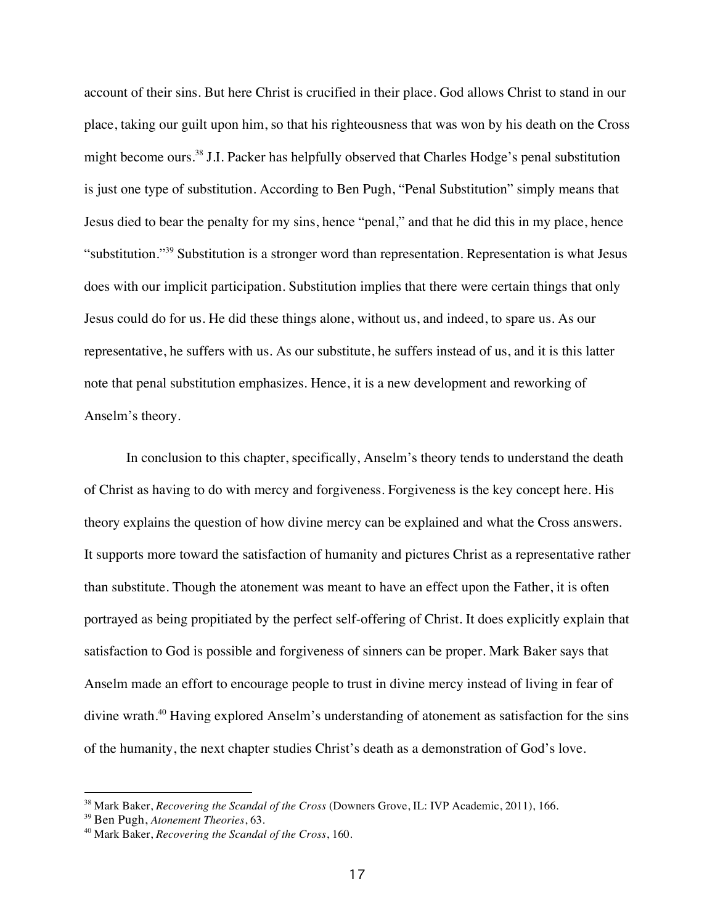account of their sins. But here Christ is crucified in their place. God allows Christ to stand in our place, taking our guilt upon him, so that his righteousness that was won by his death on the Cross might become ours.<sup>38</sup> J.I. Packer has helpfully observed that Charles Hodge's penal substitution is just one type of substitution. According to Ben Pugh, "Penal Substitution" simply means that Jesus died to bear the penalty for my sins, hence "penal," and that he did this in my place, hence "substitution."39 Substitution is a stronger word than representation. Representation is what Jesus does with our implicit participation. Substitution implies that there were certain things that only Jesus could do for us. He did these things alone, without us, and indeed, to spare us. As our representative, he suffers with us. As our substitute, he suffers instead of us, and it is this latter note that penal substitution emphasizes. Hence, it is a new development and reworking of Anselm's theory.

In conclusion to this chapter, specifically, Anselm's theory tends to understand the death of Christ as having to do with mercy and forgiveness. Forgiveness is the key concept here. His theory explains the question of how divine mercy can be explained and what the Cross answers. It supports more toward the satisfaction of humanity and pictures Christ as a representative rather than substitute. Though the atonement was meant to have an effect upon the Father, it is often portrayed as being propitiated by the perfect self-offering of Christ. It does explicitly explain that satisfaction to God is possible and forgiveness of sinners can be proper. Mark Baker says that Anselm made an effort to encourage people to trust in divine mercy instead of living in fear of divine wrath.<sup>40</sup> Having explored Anselm's understanding of atonement as satisfaction for the sins of the humanity, the next chapter studies Christ's death as a demonstration of God's love.

 $\overline{a}$ 

<sup>38</sup> Mark Baker, *Recovering the Scandal of the Cross* (Downers Grove, IL: IVP Academic, 2011), 166.

<sup>39</sup> Ben Pugh, *Atonement Theories*, 63.

<sup>40</sup> Mark Baker, *Recovering the Scandal of the Cross*, 160.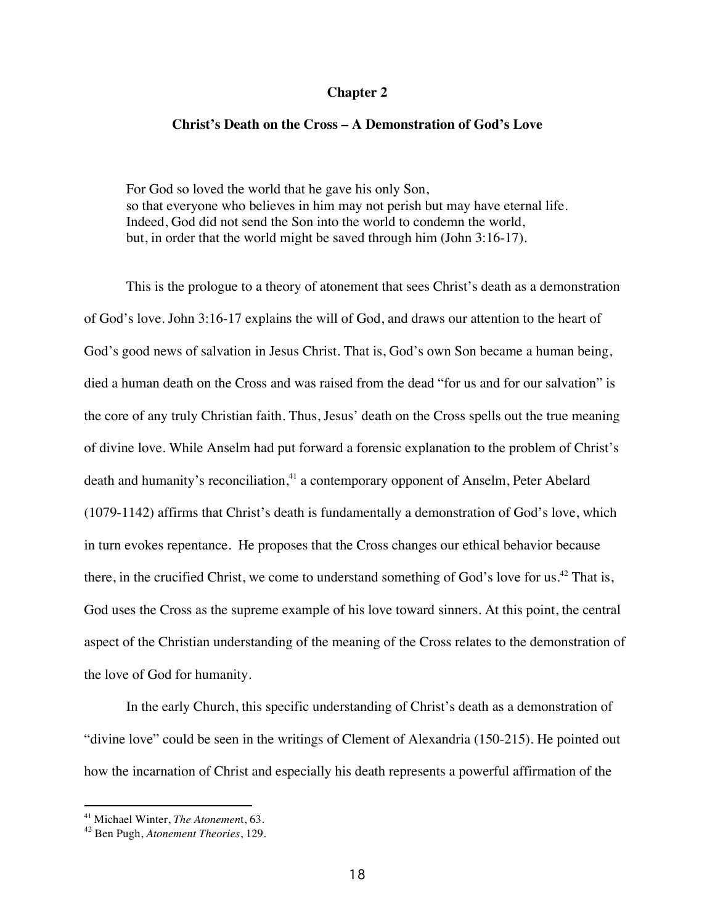#### **Chapter 2**

#### **Christ's Death on the Cross – A Demonstration of God's Love**

For God so loved the world that he gave his only Son, so that everyone who believes in him may not perish but may have eternal life. Indeed, God did not send the Son into the world to condemn the world, but, in order that the world might be saved through him (John 3:16-17).

This is the prologue to a theory of atonement that sees Christ's death as a demonstration of God's love. John 3:16-17 explains the will of God, and draws our attention to the heart of God's good news of salvation in Jesus Christ. That is, God's own Son became a human being, died a human death on the Cross and was raised from the dead "for us and for our salvation" is the core of any truly Christian faith. Thus, Jesus' death on the Cross spells out the true meaning of divine love. While Anselm had put forward a forensic explanation to the problem of Christ's death and humanity's reconciliation,<sup>41</sup> a contemporary opponent of Anselm, Peter Abelard (1079-1142) affirms that Christ's death is fundamentally a demonstration of God's love, which in turn evokes repentance. He proposes that the Cross changes our ethical behavior because there, in the crucified Christ, we come to understand something of God's love for us.<sup>42</sup> That is, God uses the Cross as the supreme example of his love toward sinners. At this point, the central aspect of the Christian understanding of the meaning of the Cross relates to the demonstration of the love of God for humanity.

In the early Church, this specific understanding of Christ's death as a demonstration of "divine love" could be seen in the writings of Clement of Alexandria (150-215). He pointed out how the incarnation of Christ and especially his death represents a powerful affirmation of the

<sup>41</sup> Michael Winter, *The Atonemen*t, 63.

<sup>42</sup> Ben Pugh, *Atonement Theories*, 129.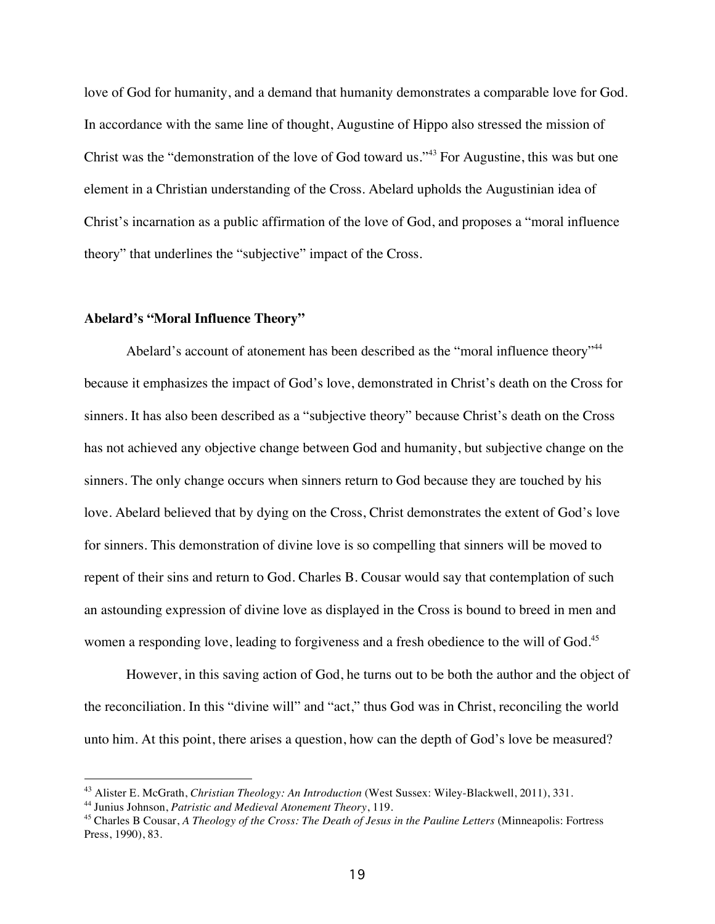love of God for humanity, and a demand that humanity demonstrates a comparable love for God. In accordance with the same line of thought, Augustine of Hippo also stressed the mission of Christ was the "demonstration of the love of God toward us."<sup>43</sup> For Augustine, this was but one element in a Christian understanding of the Cross. Abelard upholds the Augustinian idea of Christ's incarnation as a public affirmation of the love of God, and proposes a "moral influence theory" that underlines the "subjective" impact of the Cross.

#### **Abelard's "Moral Influence Theory"**

Abelard's account of atonement has been described as the "moral influence theory"<sup>44</sup> because it emphasizes the impact of God's love, demonstrated in Christ's death on the Cross for sinners. It has also been described as a "subjective theory" because Christ's death on the Cross has not achieved any objective change between God and humanity, but subjective change on the sinners. The only change occurs when sinners return to God because they are touched by his love. Abelard believed that by dying on the Cross, Christ demonstrates the extent of God's love for sinners. This demonstration of divine love is so compelling that sinners will be moved to repent of their sins and return to God. Charles B. Cousar would say that contemplation of such an astounding expression of divine love as displayed in the Cross is bound to breed in men and women a responding love, leading to forgiveness and a fresh obedience to the will of God.<sup>45</sup>

However, in this saving action of God, he turns out to be both the author and the object of the reconciliation. In this "divine will" and "act," thus God was in Christ, reconciling the world unto him. At this point, there arises a question, how can the depth of God's love be measured?

<sup>43</sup> Alister E. McGrath, *Christian Theology: An Introduction* (West Sussex: Wiley-Blackwell, 2011), 331.

<sup>44</sup> Junius Johnson, *Patristic and Medieval Atonement Theory*, 119.

<sup>45</sup> Charles B Cousar, *A Theology of the Cross: The Death of Jesus in the Pauline Letters* (Minneapolis: Fortress Press, 1990), 83.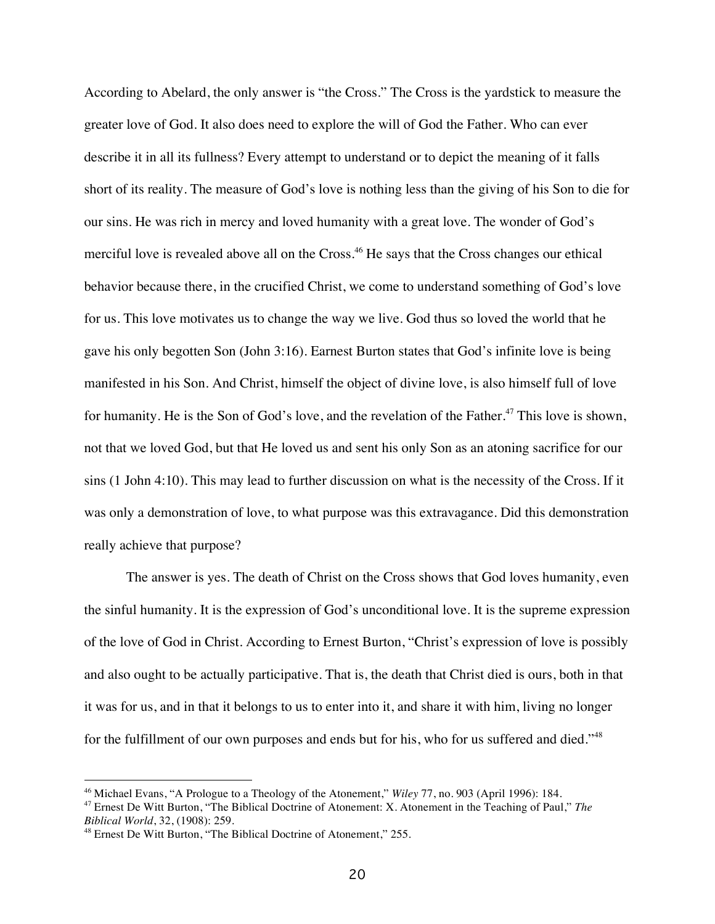According to Abelard, the only answer is "the Cross." The Cross is the yardstick to measure the greater love of God. It also does need to explore the will of God the Father. Who can ever describe it in all its fullness? Every attempt to understand or to depict the meaning of it falls short of its reality. The measure of God's love is nothing less than the giving of his Son to die for our sins. He was rich in mercy and loved humanity with a great love. The wonder of God's merciful love is revealed above all on the Cross. <sup>46</sup> He says that the Cross changes our ethical behavior because there, in the crucified Christ, we come to understand something of God's love for us. This love motivates us to change the way we live. God thus so loved the world that he gave his only begotten Son (John 3:16). Earnest Burton states that God's infinite love is being manifested in his Son. And Christ, himself the object of divine love, is also himself full of love for humanity. He is the Son of God's love, and the revelation of the Father.<sup>47</sup> This love is shown, not that we loved God, but that He loved us and sent his only Son as an atoning sacrifice for our sins (1 John 4:10). This may lead to further discussion on what is the necessity of the Cross. If it was only a demonstration of love, to what purpose was this extravagance. Did this demonstration really achieve that purpose?

The answer is yes. The death of Christ on the Cross shows that God loves humanity, even the sinful humanity. It is the expression of God's unconditional love. It is the supreme expression of the love of God in Christ. According to Ernest Burton, "Christ's expression of love is possibly and also ought to be actually participative. That is, the death that Christ died is ours, both in that it was for us, and in that it belongs to us to enter into it, and share it with him, living no longer for the fulfillment of our own purposes and ends but for his, who for us suffered and died."<sup>48</sup>

<sup>46</sup> Michael Evans, "A Prologue to a Theology of the Atonement," *Wiley* 77, no. 903 (April 1996): 184.

<sup>47</sup> Ernest De Witt Burton, "The Biblical Doctrine of Atonement: X. Atonement in the Teaching of Paul," *The Biblical World*, 32, (1908): 259.

<sup>48</sup> Ernest De Witt Burton, "The Biblical Doctrine of Atonement," 255.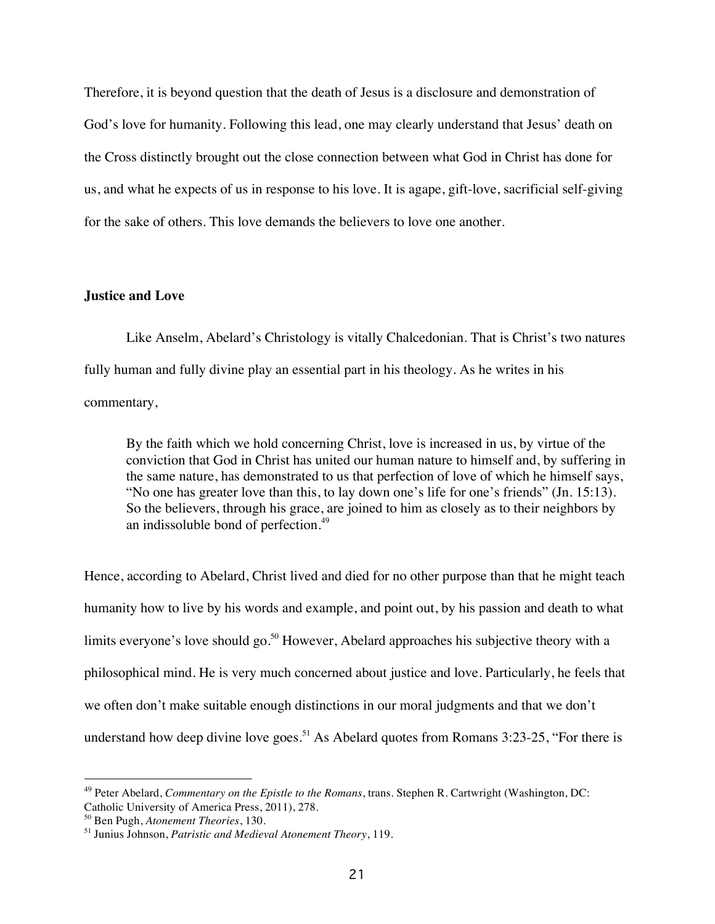Therefore, it is beyond question that the death of Jesus is a disclosure and demonstration of God's love for humanity. Following this lead, one may clearly understand that Jesus' death on the Cross distinctly brought out the close connection between what God in Christ has done for us, and what he expects of us in response to his love. It is agape, gift-love, sacrificial self-giving for the sake of others. This love demands the believers to love one another.

#### **Justice and Love**

Like Anselm, Abelard's Christology is vitally Chalcedonian. That is Christ's two natures fully human and fully divine play an essential part in his theology. As he writes in his commentary,

By the faith which we hold concerning Christ, love is increased in us, by virtue of the conviction that God in Christ has united our human nature to himself and, by suffering in the same nature, has demonstrated to us that perfection of love of which he himself says, "No one has greater love than this, to lay down one's life for one's friends" (Jn. 15:13). So the believers, through his grace, are joined to him as closely as to their neighbors by an indissoluble bond of perfection.<sup>49</sup>

Hence, according to Abelard, Christ lived and died for no other purpose than that he might teach humanity how to live by his words and example, and point out, by his passion and death to what limits everyone's love should go.<sup>50</sup> However, Abelard approaches his subjective theory with a philosophical mind. He is very much concerned about justice and love. Particularly, he feels that we often don't make suitable enough distinctions in our moral judgments and that we don't understand how deep divine love goes.<sup>51</sup> As Abelard quotes from Romans  $3:23-25$ , "For there is

<sup>49</sup> Peter Abelard, *Commentary on the Epistle to the Romans*, trans. Stephen R. Cartwright (Washington, DC: Catholic University of America Press, 2011), 278.

<sup>50</sup> Ben Pugh, *Atonement Theories*, 130.

<sup>51</sup> Junius Johnson, *Patristic and Medieval Atonement Theory*, 119.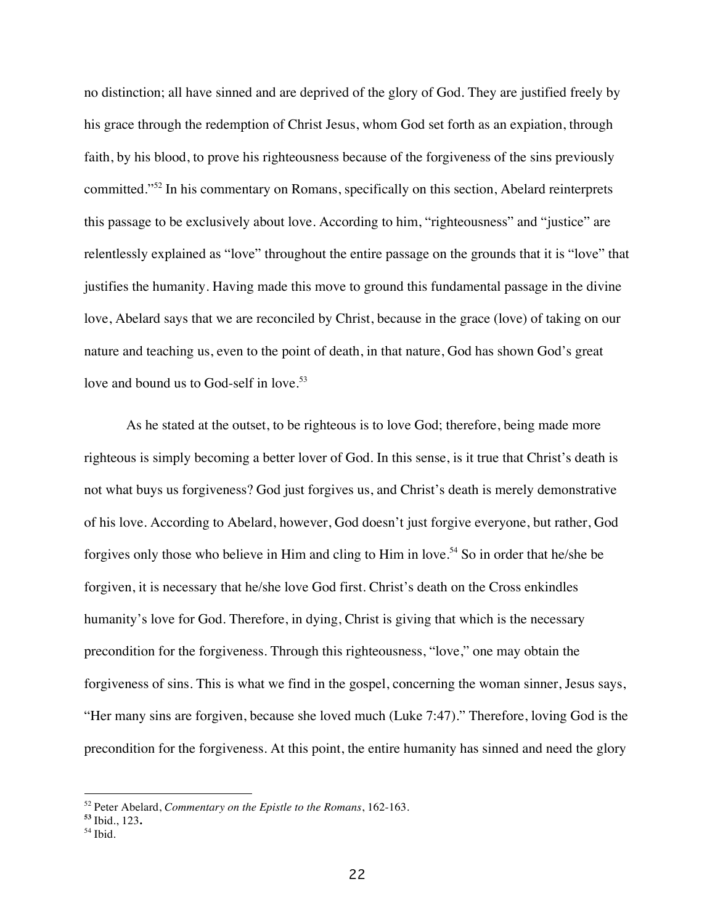no distinction; all have sinned and are deprived of the glory of God. They are justified freely by his grace through the redemption of Christ Jesus, whom God set forth as an expiation, through faith, by his blood, to prove his righteousness because of the forgiveness of the sins previously committed."<sup>52</sup> In his commentary on Romans, specifically on this section, Abelard reinterprets this passage to be exclusively about love. According to him, "righteousness" and "justice" are relentlessly explained as "love" throughout the entire passage on the grounds that it is "love" that justifies the humanity. Having made this move to ground this fundamental passage in the divine love, Abelard says that we are reconciled by Christ, because in the grace (love) of taking on our nature and teaching us, even to the point of death, in that nature, God has shown God's great love and bound us to God-self in love.<sup>53</sup>

As he stated at the outset, to be righteous is to love God; therefore, being made more righteous is simply becoming a better lover of God. In this sense, is it true that Christ's death is not what buys us forgiveness? God just forgives us, and Christ's death is merely demonstrative of his love. According to Abelard, however, God doesn't just forgive everyone, but rather, God forgives only those who believe in Him and cling to Him in love.<sup>54</sup> So in order that he/she be forgiven, it is necessary that he/she love God first. Christ's death on the Cross enkindles humanity's love for God. Therefore, in dying, Christ is giving that which is the necessary precondition for the forgiveness. Through this righteousness, "love," one may obtain the forgiveness of sins. This is what we find in the gospel, concerning the woman sinner, Jesus says, "Her many sins are forgiven, because she loved much (Luke 7:47)." Therefore, loving God is the precondition for the forgiveness. At this point, the entire humanity has sinned and need the glory

<sup>52</sup> Peter Abelard, *Commentary on the Epistle to the Romans*, 162-163.

**<sup>53</sup>** Ibid., 123**.**

<sup>54</sup> Ibid.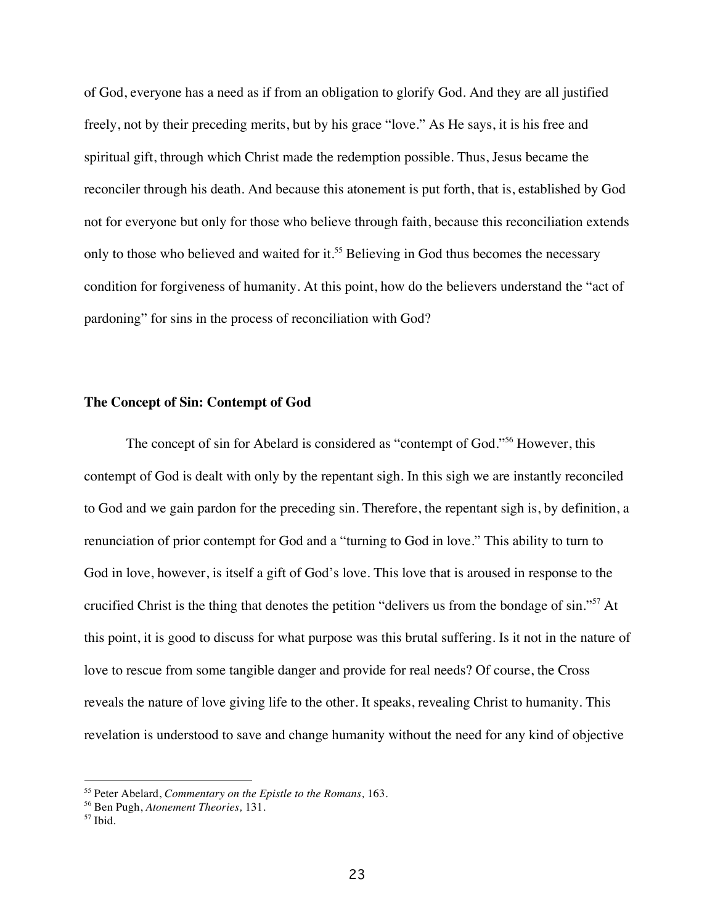of God, everyone has a need as if from an obligation to glorify God. And they are all justified freely, not by their preceding merits, but by his grace "love." As He says, it is his free and spiritual gift, through which Christ made the redemption possible. Thus, Jesus became the reconciler through his death. And because this atonement is put forth, that is, established by God not for everyone but only for those who believe through faith, because this reconciliation extends only to those who believed and waited for it.<sup>55</sup> Believing in God thus becomes the necessary condition for forgiveness of humanity. At this point, how do the believers understand the "act of pardoning" for sins in the process of reconciliation with God?

#### **The Concept of Sin: Contempt of God**

The concept of sin for Abelard is considered as "contempt of God."<sup>56</sup> However, this contempt of God is dealt with only by the repentant sigh. In this sigh we are instantly reconciled to God and we gain pardon for the preceding sin. Therefore, the repentant sigh is, by definition, a renunciation of prior contempt for God and a "turning to God in love." This ability to turn to God in love, however, is itself a gift of God's love. This love that is aroused in response to the crucified Christ is the thing that denotes the petition "delivers us from the bondage of sin."<sup>57</sup> At this point, it is good to discuss for what purpose was this brutal suffering. Is it not in the nature of love to rescue from some tangible danger and provide for real needs? Of course, the Cross reveals the nature of love giving life to the other. It speaks, revealing Christ to humanity. This revelation is understood to save and change humanity without the need for any kind of objective

<sup>55</sup> Peter Abelard, *Commentary on the Epistle to the Romans,* 163.

<sup>56</sup> Ben Pugh, *Atonement Theories,* 131. 57 Ibid.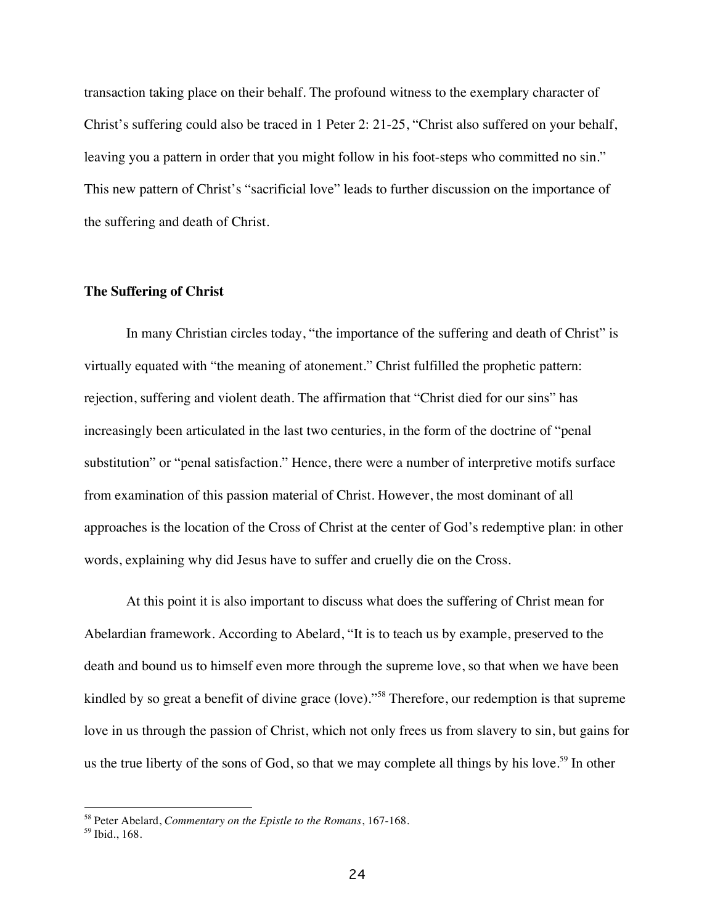transaction taking place on their behalf. The profound witness to the exemplary character of Christ's suffering could also be traced in 1 Peter 2: 21-25, "Christ also suffered on your behalf, leaving you a pattern in order that you might follow in his foot-steps who committed no sin." This new pattern of Christ's "sacrificial love" leads to further discussion on the importance of the suffering and death of Christ.

#### **The Suffering of Christ**

In many Christian circles today, "the importance of the suffering and death of Christ" is virtually equated with "the meaning of atonement." Christ fulfilled the prophetic pattern: rejection, suffering and violent death. The affirmation that "Christ died for our sins" has increasingly been articulated in the last two centuries, in the form of the doctrine of "penal substitution" or "penal satisfaction." Hence, there were a number of interpretive motifs surface from examination of this passion material of Christ. However, the most dominant of all approaches is the location of the Cross of Christ at the center of God's redemptive plan: in other words, explaining why did Jesus have to suffer and cruelly die on the Cross.

At this point it is also important to discuss what does the suffering of Christ mean for Abelardian framework. According to Abelard, "It is to teach us by example, preserved to the death and bound us to himself even more through the supreme love, so that when we have been kindled by so great a benefit of divine grace (love)."<sup>58</sup> Therefore, our redemption is that supreme love in us through the passion of Christ, which not only frees us from slavery to sin, but gains for us the true liberty of the sons of God, so that we may complete all things by his love.<sup>59</sup> In other

 $\overline{a}$ 

<sup>58</sup> Peter Abelard, *Commentary on the Epistle to the Romans*, 167-168.

<sup>59</sup> Ibid., 168.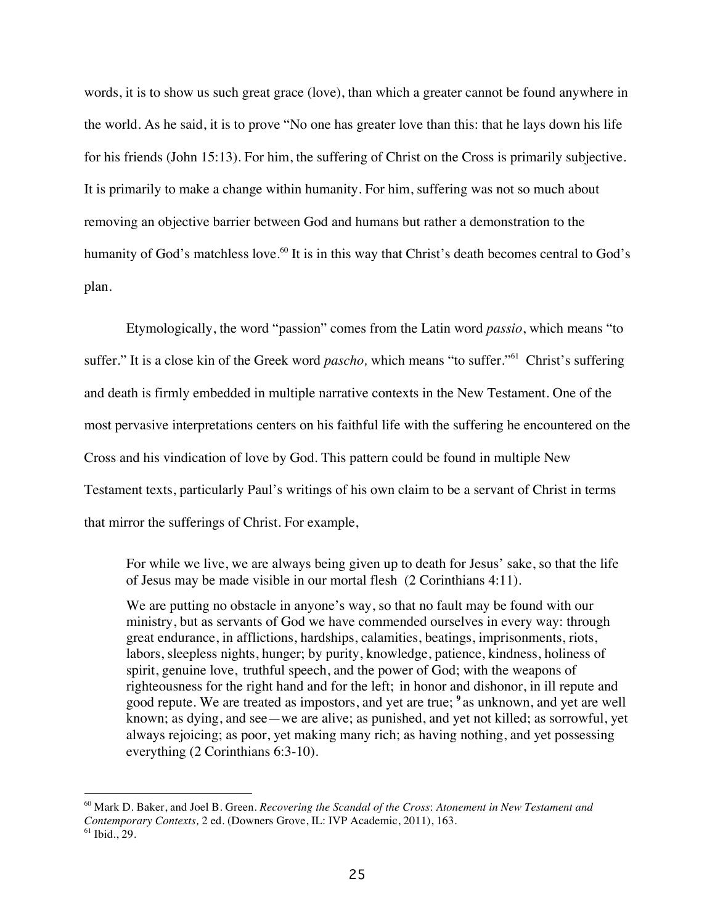words, it is to show us such great grace (love), than which a greater cannot be found anywhere in the world. As he said, it is to prove "No one has greater love than this: that he lays down his life for his friends (John 15:13). For him, the suffering of Christ on the Cross is primarily subjective. It is primarily to make a change within humanity. For him, suffering was not so much about removing an objective barrier between God and humans but rather a demonstration to the humanity of God's matchless love.<sup>60</sup> It is in this way that Christ's death becomes central to God's plan.

Etymologically, the word "passion" comes from the Latin word *passio*, which means "to suffer." It is a close kin of the Greek word *pascho,* which means "to suffer."61 Christ's suffering and death is firmly embedded in multiple narrative contexts in the New Testament. One of the most pervasive interpretations centers on his faithful life with the suffering he encountered on the Cross and his vindication of love by God. This pattern could be found in multiple New Testament texts, particularly Paul's writings of his own claim to be a servant of Christ in terms that mirror the sufferings of Christ. For example,

For while we live, we are always being given up to death for Jesus' sake, so that the life of Jesus may be made visible in our mortal flesh (2 Corinthians 4:11).

We are putting no obstacle in anyone's way, so that no fault may be found with our ministry, but as servants of God we have commended ourselves in every way: through great endurance, in afflictions, hardships, calamities, beatings, imprisonments, riots, labors, sleepless nights, hunger; by purity, knowledge, patience, kindness, holiness of spirit, genuine love, truthful speech, and the power of God; with the weapons of righteousness for the right hand and for the left; in honor and dishonor, in ill repute and good repute. We are treated as impostors, and yet are true; **<sup>9</sup>** as unknown, and yet are well known; as dying, and see—we are alive; as punished, and yet not killed; as sorrowful, yet always rejoicing; as poor, yet making many rich; as having nothing, and yet possessing everything (2 Corinthians 6:3-10).

<sup>60</sup> Mark D. Baker, and Joel B. Green. *Recovering the Scandal of the Cross*: *Atonement in New Testament and Contemporary Contexts,* 2 ed. (Downers Grove, IL: IVP Academic, 2011), 163.

 $61$  Ibid., 29.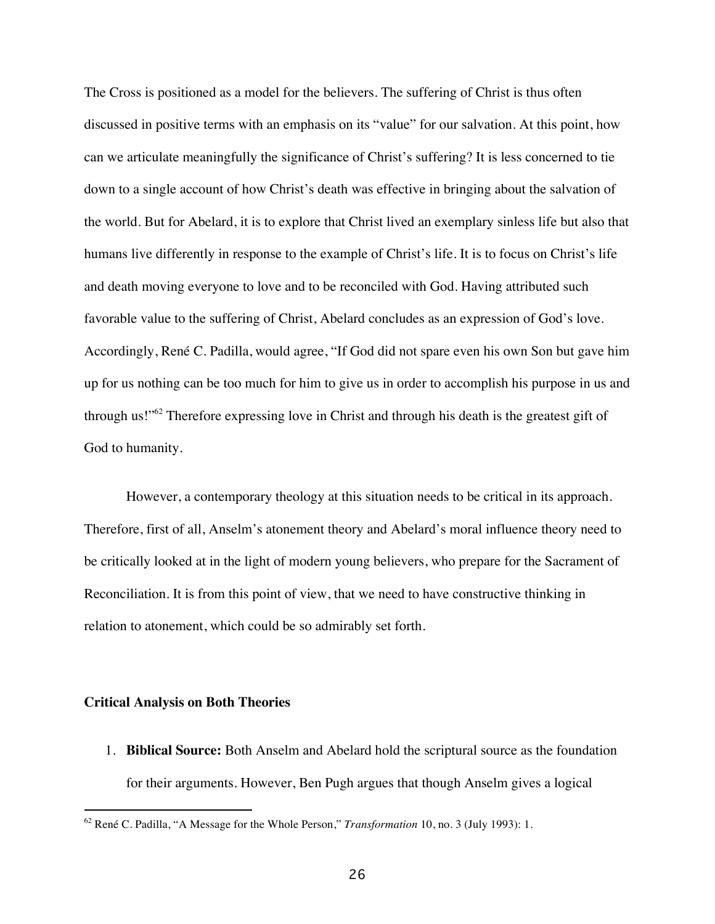The Cross is positioned as a model for the believers. The suffering of Christ is thus often discussed in positive terms with an emphasis on its "value" for our salvation. At this point, how can we articulate meaningfully the significance of Christ's suffering? It is less concerned to tie down to a single account of how Christ's death was effective in bringing about the salvation of the world. But for Abelard, it is to explore that Christ lived an exemplary sinless life but also that humans live differently in response to the example of Christ's life. It is to focus on Christ's life and death moving everyone to love and to be reconciled with God. Having attributed such favorable value to the suffering of Christ, Abelard concludes as an expression of God's love. Accordingly, René C. Padilla, would agree, "If God did not spare even his own Son but gave him up for us nothing can be too much for him to give us in order to accomplish his purpose in us and through us!"62 Therefore expressing love in Christ and through his death is the greatest gift of God to humanity.

However, a contemporary theology at this situation needs to be critical in its approach. Therefore, first of all, Anselm's atonement theory and Abelard's moral influence theory need to be critically looked at in the light of modern young believers, who prepare for the Sacrament of Reconciliation. It is from this point of view, that we need to have constructive thinking in relation to atonement, which could be so admirably set forth.

#### **Critical Analysis on Both Theories**

-

1. **Biblical Source:** Both Anselm and Abelard hold the scriptural source as the foundation for their arguments. However, Ben Pugh argues that though Anselm gives a logical

<sup>62</sup> René C. Padilla, "A Message for the Whole Person," *Transformation* 10, no. 3 (July 1993): 1.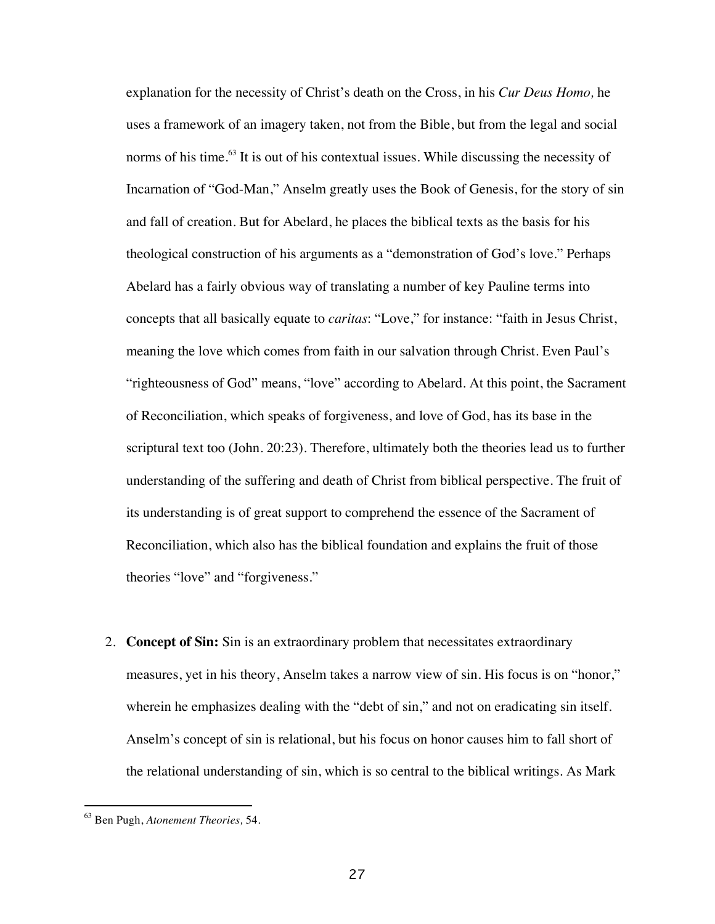explanation for the necessity of Christ's death on the Cross, in his *Cur Deus Homo,* he uses a framework of an imagery taken, not from the Bible, but from the legal and social norms of his time.<sup>63</sup> It is out of his contextual issues. While discussing the necessity of Incarnation of "God-Man," Anselm greatly uses the Book of Genesis, for the story of sin and fall of creation. But for Abelard, he places the biblical texts as the basis for his theological construction of his arguments as a "demonstration of God's love." Perhaps Abelard has a fairly obvious way of translating a number of key Pauline terms into concepts that all basically equate to *caritas*: "Love," for instance: "faith in Jesus Christ, meaning the love which comes from faith in our salvation through Christ. Even Paul's "righteousness of God" means, "love" according to Abelard. At this point, the Sacrament of Reconciliation, which speaks of forgiveness, and love of God, has its base in the scriptural text too (John. 20:23). Therefore, ultimately both the theories lead us to further understanding of the suffering and death of Christ from biblical perspective. The fruit of its understanding is of great support to comprehend the essence of the Sacrament of Reconciliation, which also has the biblical foundation and explains the fruit of those theories "love" and "forgiveness."

2. **Concept of Sin:** Sin is an extraordinary problem that necessitates extraordinary measures, yet in his theory, Anselm takes a narrow view of sin. His focus is on "honor," wherein he emphasizes dealing with the "debt of sin," and not on eradicating sin itself. Anselm's concept of sin is relational, but his focus on honor causes him to fall short of the relational understanding of sin, which is so central to the biblical writings. As Mark

<sup>63</sup> Ben Pugh, *Atonement Theories,* 54.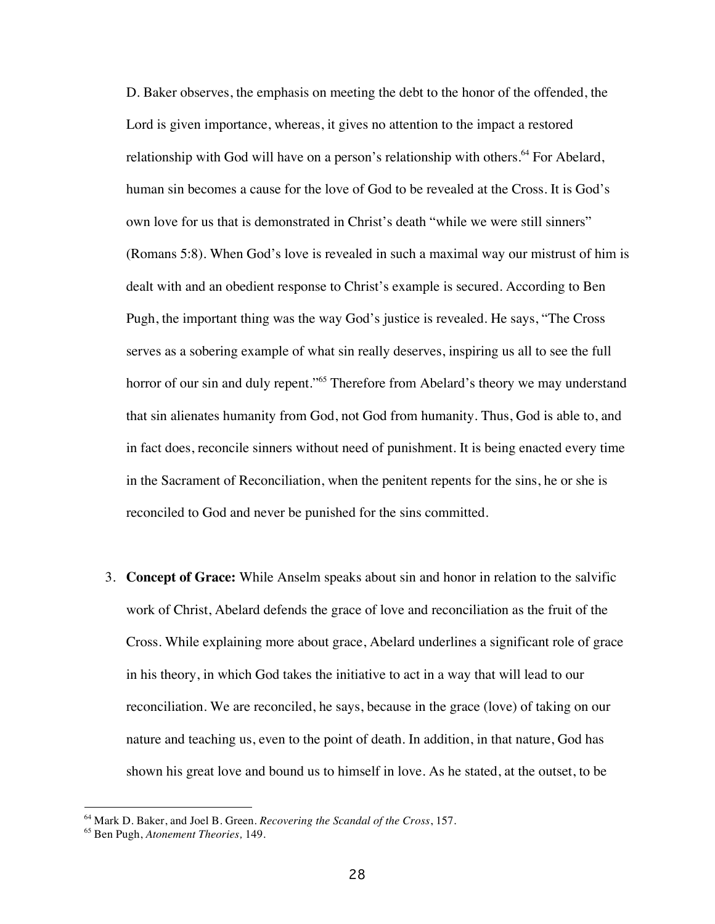D. Baker observes, the emphasis on meeting the debt to the honor of the offended, the Lord is given importance, whereas, it gives no attention to the impact a restored relationship with God will have on a person's relationship with others.<sup>64</sup> For Abelard, human sin becomes a cause for the love of God to be revealed at the Cross. It is God's own love for us that is demonstrated in Christ's death "while we were still sinners" (Romans 5:8). When God's love is revealed in such a maximal way our mistrust of him is dealt with and an obedient response to Christ's example is secured. According to Ben Pugh, the important thing was the way God's justice is revealed. He says, "The Cross serves as a sobering example of what sin really deserves, inspiring us all to see the full horror of our sin and duly repent."<sup>65</sup> Therefore from Abelard's theory we may understand that sin alienates humanity from God, not God from humanity. Thus, God is able to, and in fact does, reconcile sinners without need of punishment. It is being enacted every time in the Sacrament of Reconciliation, when the penitent repents for the sins, he or she is reconciled to God and never be punished for the sins committed.

3. **Concept of Grace:** While Anselm speaks about sin and honor in relation to the salvific work of Christ, Abelard defends the grace of love and reconciliation as the fruit of the Cross. While explaining more about grace, Abelard underlines a significant role of grace in his theory, in which God takes the initiative to act in a way that will lead to our reconciliation. We are reconciled, he says, because in the grace (love) of taking on our nature and teaching us, even to the point of death. In addition, in that nature, God has shown his great love and bound us to himself in love. As he stated, at the outset, to be

 $\overline{a}$ 

<sup>64</sup> Mark D. Baker, and Joel B. Green. *Recovering the Scandal of the Cross*, 157.

<sup>65</sup> Ben Pugh, *Atonement Theories,* 149.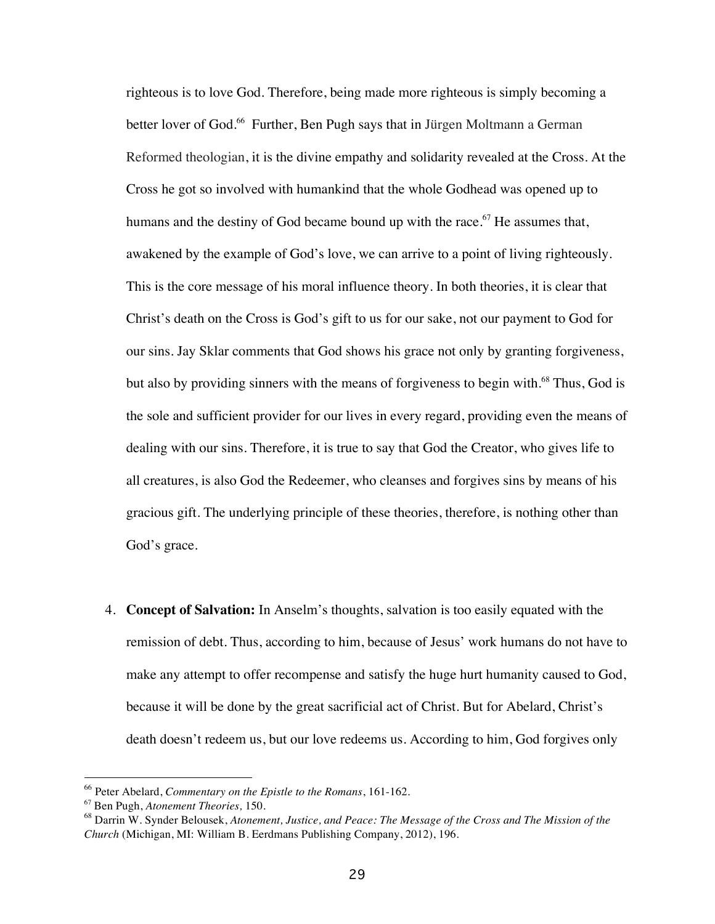righteous is to love God. Therefore, being made more righteous is simply becoming a better lover of God.<sup>66</sup> Further, Ben Pugh says that in Jürgen Moltmann a German Reformed theologian, it is the divine empathy and solidarity revealed at the Cross. At the Cross he got so involved with humankind that the whole Godhead was opened up to humans and the destiny of God became bound up with the race.<sup>67</sup> He assumes that, awakened by the example of God's love, we can arrive to a point of living righteously. This is the core message of his moral influence theory. In both theories, it is clear that Christ's death on the Cross is God's gift to us for our sake, not our payment to God for our sins. Jay Sklar comments that God shows his grace not only by granting forgiveness, but also by providing sinners with the means of forgiveness to begin with.<sup>68</sup> Thus, God is the sole and sufficient provider for our lives in every regard, providing even the means of dealing with our sins. Therefore, it is true to say that God the Creator, who gives life to all creatures, is also God the Redeemer, who cleanses and forgives sins by means of his gracious gift. The underlying principle of these theories, therefore, is nothing other than God's grace.

4. **Concept of Salvation:** In Anselm's thoughts, salvation is too easily equated with the remission of debt. Thus, according to him, because of Jesus' work humans do not have to make any attempt to offer recompense and satisfy the huge hurt humanity caused to God, because it will be done by the great sacrificial act of Christ. But for Abelard, Christ's death doesn't redeem us, but our love redeems us. According to him, God forgives only

 $\overline{a}$ 

<sup>66</sup> Peter Abelard, *Commentary on the Epistle to the Romans*, 161-162.

<sup>67</sup> Ben Pugh, *Atonement Theories,* 150.

<sup>68</sup> Darrin W. Synder Belousek, *Atonement, Justice, and Peace: The Message of the Cross and The Mission of the Church* (Michigan, MI: William B. Eerdmans Publishing Company, 2012), 196.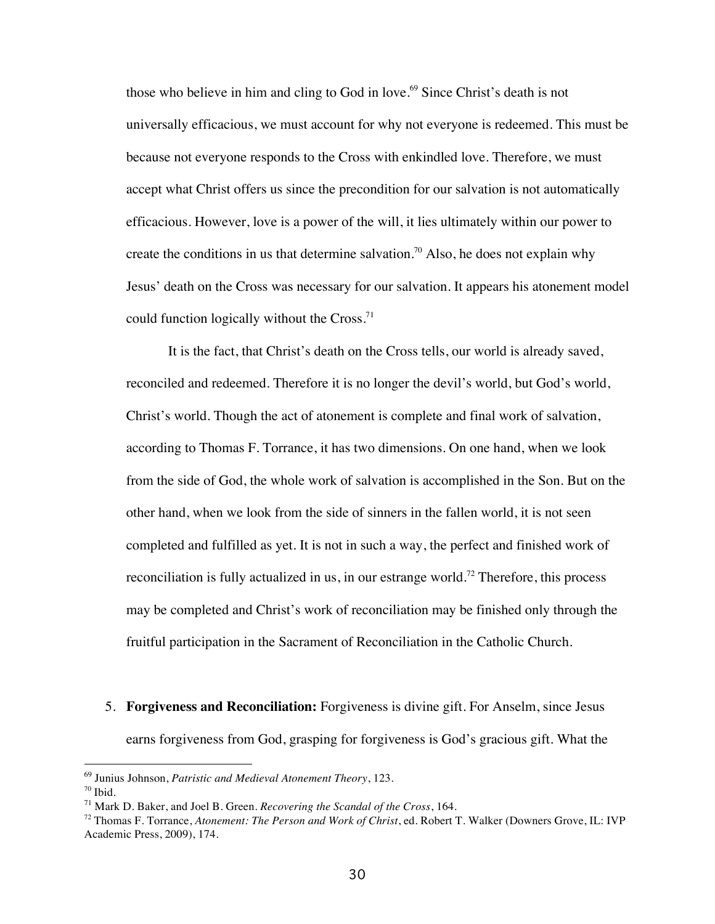those who believe in him and cling to God in love.<sup>69</sup> Since Christ's death is not universally efficacious, we must account for why not everyone is redeemed. This must be because not everyone responds to the Cross with enkindled love. Therefore, we must accept what Christ offers us since the precondition for our salvation is not automatically efficacious. However, love is a power of the will, it lies ultimately within our power to create the conditions in us that determine salvation.<sup>70</sup> Also, he does not explain why Jesus' death on the Cross was necessary for our salvation. It appears his atonement model could function logically without the Cross.<sup>71</sup>

It is the fact, that Christ's death on the Cross tells, our world is already saved, reconciled and redeemed. Therefore it is no longer the devil's world, but God's world, Christ's world. Though the act of atonement is complete and final work of salvation, according to Thomas F. Torrance, it has two dimensions. On one hand, when we look from the side of God, the whole work of salvation is accomplished in the Son. But on the other hand, when we look from the side of sinners in the fallen world, it is not seen completed and fulfilled as yet. It is not in such a way, the perfect and finished work of reconciliation is fully actualized in us, in our estrange world.<sup>72</sup> Therefore, this process may be completed and Christ's work of reconciliation may be finished only through the fruitful participation in the Sacrament of Reconciliation in the Catholic Church.

5. **Forgiveness and Reconciliation:** Forgiveness is divine gift. For Anselm, since Jesus earns forgiveness from God, grasping for forgiveness is God's gracious gift. What the

<sup>69</sup> Junius Johnson, *Patristic and Medieval Atonement Theory*, 123.

 $70$  Ibid.

<sup>71</sup> Mark D. Baker, and Joel B. Green. *Recovering the Scandal of the Cross*, 164.

<sup>72</sup> Thomas F. Torrance, *Atonement: The Person and Work of Christ*, ed. Robert T. Walker (Downers Grove, IL: IVP Academic Press, 2009), 174.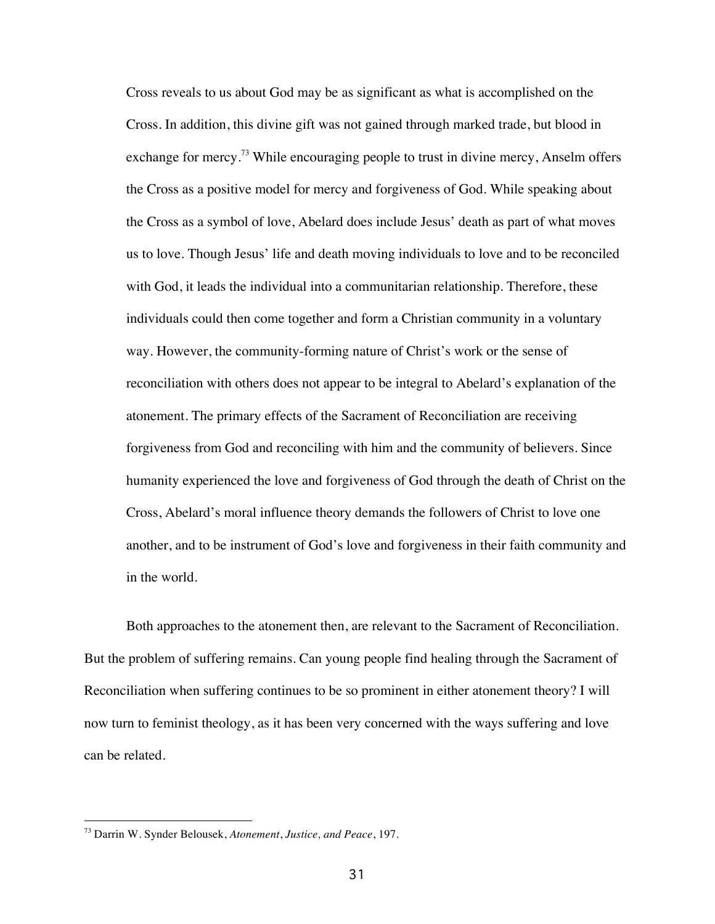Cross reveals to us about God may be as significant as what is accomplished on the Cross. In addition, this divine gift was not gained through marked trade, but blood in exchange for mercy.<sup>73</sup> While encouraging people to trust in divine mercy, Anselm offers the Cross as a positive model for mercy and forgiveness of God. While speaking about the Cross as a symbol of love, Abelard does include Jesus' death as part of what moves us to love. Though Jesus' life and death moving individuals to love and to be reconciled with God, it leads the individual into a communitarian relationship. Therefore, these individuals could then come together and form a Christian community in a voluntary way. However, the community-forming nature of Christ's work or the sense of reconciliation with others does not appear to be integral to Abelard's explanation of the atonement. The primary effects of the Sacrament of Reconciliation are receiving forgiveness from God and reconciling with him and the community of believers. Since humanity experienced the love and forgiveness of God through the death of Christ on the Cross, Abelard's moral influence theory demands the followers of Christ to love one another, and to be instrument of God's love and forgiveness in their faith community and in the world.

Both approaches to the atonement then, are relevant to the Sacrament of Reconciliation. But the problem of suffering remains. Can young people find healing through the Sacrament of Reconciliation when suffering continues to be so prominent in either atonement theory? I will now turn to feminist theology, as it has been very concerned with the ways suffering and love can be related.

<sup>73</sup> Darrin W. Synder Belousek, *Atonement*, *Justice, and Peace*, 197.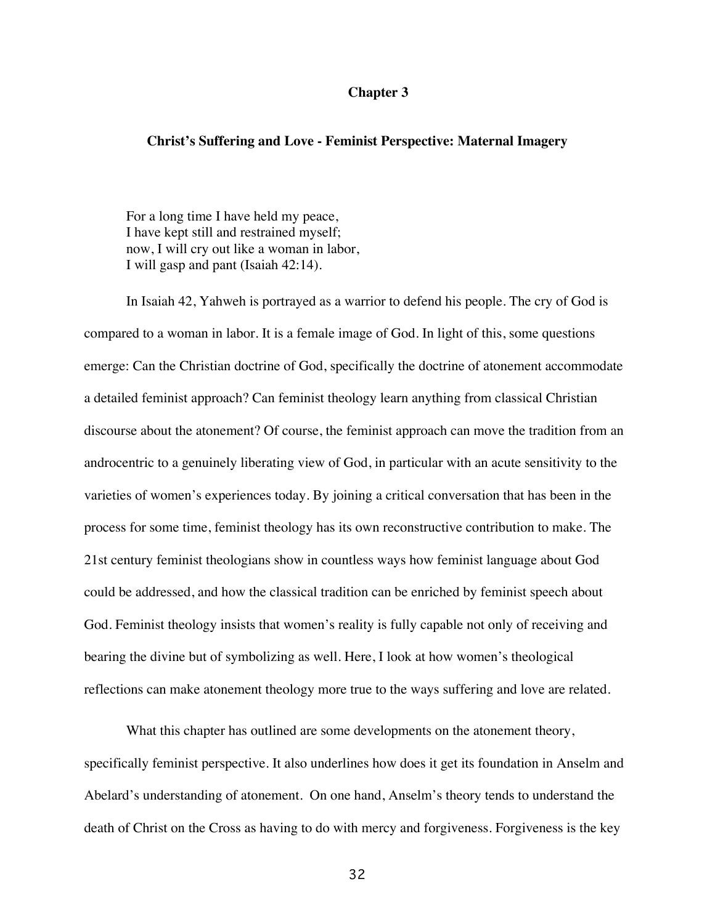# **Chapter 3**

# **Christ's Suffering and Love - Feminist Perspective: Maternal Imagery**

For a long time I have held my peace, I have kept still and restrained myself; now, I will cry out like a woman in labor, I will gasp and pant (Isaiah 42:14).

In Isaiah 42, Yahweh is portrayed as a warrior to defend his people. The cry of God is compared to a woman in labor. It is a female image of God. In light of this, some questions emerge: Can the Christian doctrine of God, specifically the doctrine of atonement accommodate a detailed feminist approach? Can feminist theology learn anything from classical Christian discourse about the atonement? Of course, the feminist approach can move the tradition from an androcentric to a genuinely liberating view of God, in particular with an acute sensitivity to the varieties of women's experiences today. By joining a critical conversation that has been in the process for some time, feminist theology has its own reconstructive contribution to make. The 21st century feminist theologians show in countless ways how feminist language about God could be addressed, and how the classical tradition can be enriched by feminist speech about God. Feminist theology insists that women's reality is fully capable not only of receiving and bearing the divine but of symbolizing as well. Here, I look at how women's theological reflections can make atonement theology more true to the ways suffering and love are related.

What this chapter has outlined are some developments on the atonement theory, specifically feminist perspective. It also underlines how does it get its foundation in Anselm and Abelard's understanding of atonement. On one hand, Anselm's theory tends to understand the death of Christ on the Cross as having to do with mercy and forgiveness. Forgiveness is the key

32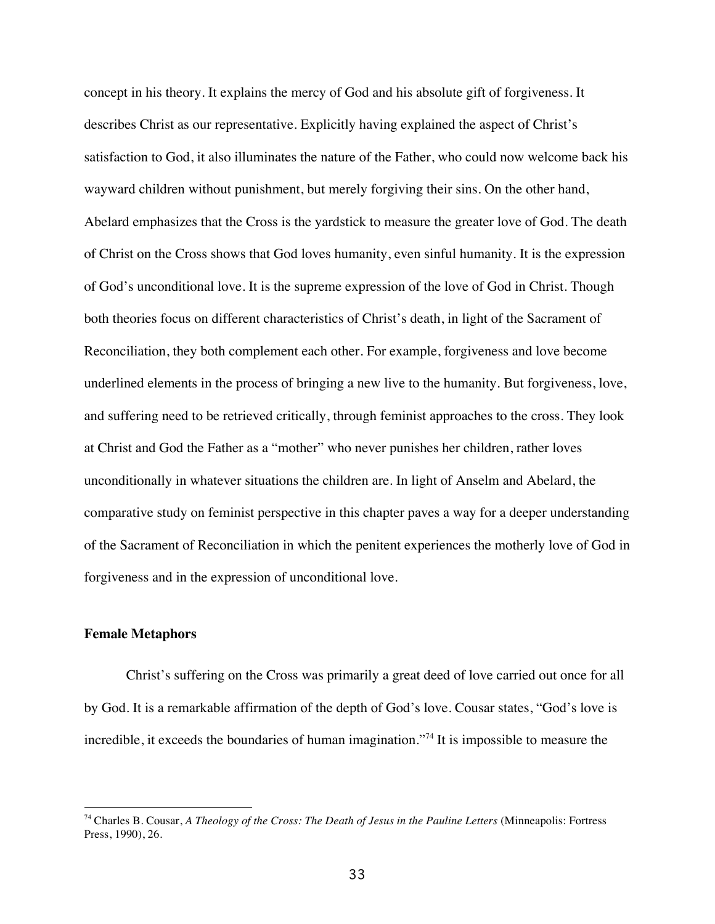concept in his theory. It explains the mercy of God and his absolute gift of forgiveness. It describes Christ as our representative. Explicitly having explained the aspect of Christ's satisfaction to God, it also illuminates the nature of the Father, who could now welcome back his wayward children without punishment, but merely forgiving their sins. On the other hand, Abelard emphasizes that the Cross is the yardstick to measure the greater love of God. The death of Christ on the Cross shows that God loves humanity, even sinful humanity. It is the expression of God's unconditional love. It is the supreme expression of the love of God in Christ. Though both theories focus on different characteristics of Christ's death, in light of the Sacrament of Reconciliation, they both complement each other. For example, forgiveness and love become underlined elements in the process of bringing a new live to the humanity. But forgiveness, love, and suffering need to be retrieved critically, through feminist approaches to the cross. They look at Christ and God the Father as a "mother" who never punishes her children, rather loves unconditionally in whatever situations the children are. In light of Anselm and Abelard, the comparative study on feminist perspective in this chapter paves a way for a deeper understanding of the Sacrament of Reconciliation in which the penitent experiences the motherly love of God in forgiveness and in the expression of unconditional love.

# **Female Metaphors**

 $\overline{a}$ 

Christ's suffering on the Cross was primarily a great deed of love carried out once for all by God. It is a remarkable affirmation of the depth of God's love. Cousar states, "God's love is incredible, it exceeds the boundaries of human imagination."<sup>74</sup> It is impossible to measure the

<sup>&</sup>lt;sup>74</sup> Charles B. Cousar, *A Theology of the Cross: The Death of Jesus in the Pauline Letters* (Minneapolis: Fortress Press, 1990), 26.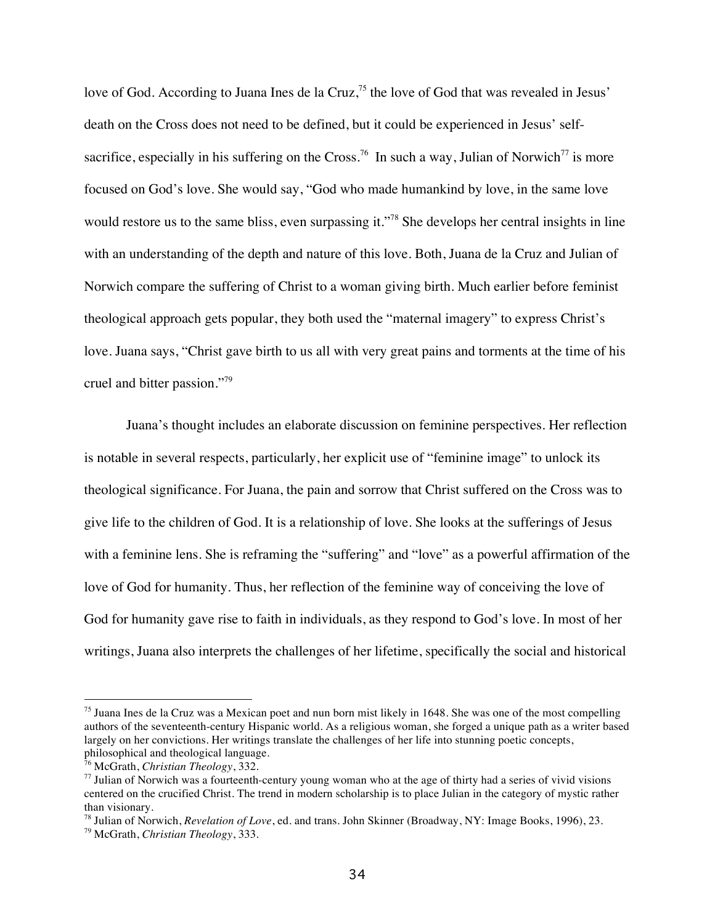love of God. According to Juana Ines de la Cruz,<sup>75</sup> the love of God that was revealed in Jesus' death on the Cross does not need to be defined, but it could be experienced in Jesus' selfsacrifice, especially in his suffering on the Cross.<sup>76</sup> In such a way, Julian of Norwich<sup>77</sup> is more focused on God's love. She would say, "God who made humankind by love, in the same love would restore us to the same bliss, even surpassing it."<sup>78</sup> She develops her central insights in line with an understanding of the depth and nature of this love. Both, Juana de la Cruz and Julian of Norwich compare the suffering of Christ to a woman giving birth. Much earlier before feminist theological approach gets popular, they both used the "maternal imagery" to express Christ's love. Juana says, "Christ gave birth to us all with very great pains and torments at the time of his cruel and bitter passion."<sup>79</sup>

Juana's thought includes an elaborate discussion on feminine perspectives. Her reflection is notable in several respects, particularly, her explicit use of "feminine image" to unlock its theological significance. For Juana, the pain and sorrow that Christ suffered on the Cross was to give life to the children of God. It is a relationship of love. She looks at the sufferings of Jesus with a feminine lens. She is reframing the "suffering" and "love" as a powerful affirmation of the love of God for humanity. Thus, her reflection of the feminine way of conceiving the love of God for humanity gave rise to faith in individuals, as they respond to God's love. In most of her writings, Juana also interprets the challenges of her lifetime, specifically the social and historical

 $75$  Juana Ines de la Cruz was a Mexican poet and nun born mist likely in 1648. She was one of the most compelling authors of the seventeenth-century Hispanic world. As a religious woman, she forged a unique path as a writer based largely on her convictions. Her writings translate the challenges of her life into stunning poetic concepts, philosophical and theological language.

<sup>76</sup> McGrath, *Christian Theology*, 332.

 $77$  Julian of Norwich was a fourteenth-century young woman who at the age of thirty had a series of vivid visions centered on the crucified Christ. The trend in modern scholarship is to place Julian in the category of mystic rather than visionary.

<sup>78</sup> Julian of Norwich, *Revelation of Love*, ed. and trans. John Skinner (Broadway, NY: Image Books, 1996), 23.

<sup>79</sup> McGrath, *Christian Theology*, 333.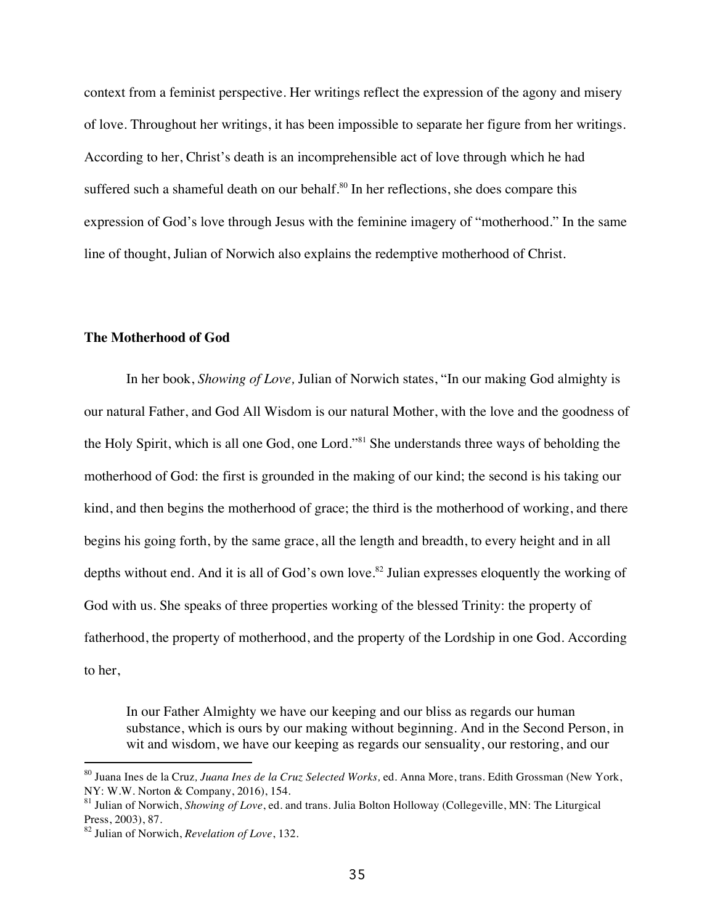context from a feminist perspective. Her writings reflect the expression of the agony and misery of love. Throughout her writings, it has been impossible to separate her figure from her writings. According to her, Christ's death is an incomprehensible act of love through which he had suffered such a shameful death on our behalf.<sup>80</sup> In her reflections, she does compare this expression of God's love through Jesus with the feminine imagery of "motherhood." In the same line of thought, Julian of Norwich also explains the redemptive motherhood of Christ.

#### **The Motherhood of God**

In her book, *Showing of Love,* Julian of Norwich states, "In our making God almighty is our natural Father, and God All Wisdom is our natural Mother, with the love and the goodness of the Holy Spirit, which is all one God, one Lord."<sup>81</sup> She understands three ways of beholding the motherhood of God: the first is grounded in the making of our kind; the second is his taking our kind, and then begins the motherhood of grace; the third is the motherhood of working, and there begins his going forth, by the same grace, all the length and breadth, to every height and in all depths without end. And it is all of God's own love.<sup>82</sup> Julian expresses eloquently the working of God with us. She speaks of three properties working of the blessed Trinity: the property of fatherhood, the property of motherhood, and the property of the Lordship in one God. According to her,

In our Father Almighty we have our keeping and our bliss as regards our human substance, which is ours by our making without beginning. And in the Second Person, in wit and wisdom, we have our keeping as regards our sensuality, our restoring, and our

<sup>80</sup> Juana Ines de la Cruz*, Juana Ines de la Cruz Selected Works,* ed. Anna More, trans. Edith Grossman (New York, NY: W.W. Norton & Company, 2016), 154.

<sup>81</sup> Julian of Norwich, *Showing of Love*, ed. and trans. Julia Bolton Holloway (Collegeville, MN: The Liturgical Press, 2003), 87.

<sup>82</sup> Julian of Norwich, *Revelation of Love*, 132.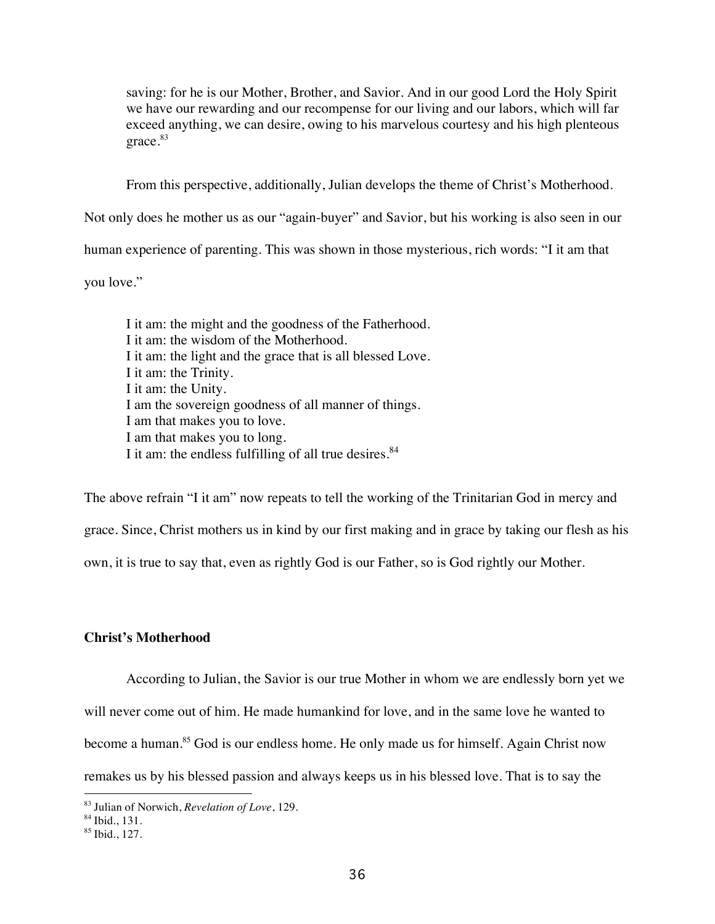saving: for he is our Mother, Brother, and Savior. And in our good Lord the Holy Spirit we have our rewarding and our recompense for our living and our labors, which will far exceed anything, we can desire, owing to his marvelous courtesy and his high plenteous grace.<sup>83</sup>

From this perspective, additionally, Julian develops the theme of Christ's Motherhood.

Not only does he mother us as our "again-buyer" and Savior, but his working is also seen in our

human experience of parenting. This was shown in those mysterious, rich words: "I it am that

you love."

I it am: the might and the goodness of the Fatherhood. I it am: the wisdom of the Motherhood. I it am: the light and the grace that is all blessed Love. I it am: the Trinity. I it am: the Unity. I am the sovereign goodness of all manner of things. I am that makes you to love. I am that makes you to long. I it am: the endless fulfilling of all true desires.<sup>84</sup>

The above refrain "I it am" now repeats to tell the working of the Trinitarian God in mercy and grace. Since, Christ mothers us in kind by our first making and in grace by taking our flesh as his own, it is true to say that, even as rightly God is our Father, so is God rightly our Mother.

# **Christ's Motherhood**

According to Julian, the Savior is our true Mother in whom we are endlessly born yet we will never come out of him. He made humankind for love, and in the same love he wanted to become a human.<sup>85</sup> God is our endless home. He only made us for himself. Again Christ now remakes us by his blessed passion and always keeps us in his blessed love. That is to say the

<sup>&</sup>lt;sup>83</sup> Julian of Norwich, *Revelation of Love*, 129.<br><sup>84</sup> Ibid., 131.

<sup>85</sup> Ibid., 127.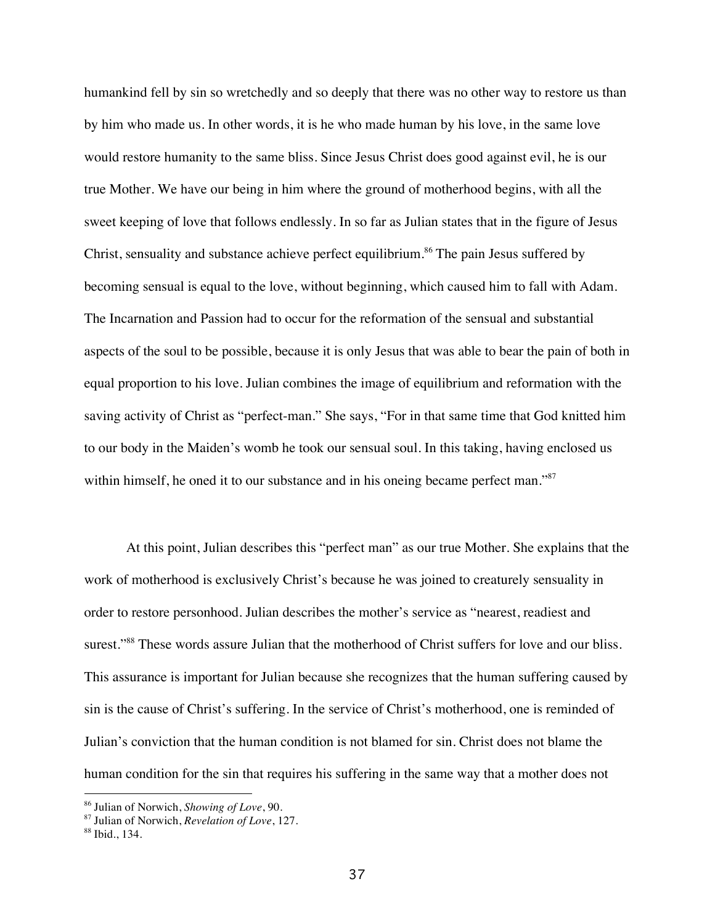humankind fell by sin so wretchedly and so deeply that there was no other way to restore us than by him who made us. In other words, it is he who made human by his love, in the same love would restore humanity to the same bliss. Since Jesus Christ does good against evil, he is our true Mother. We have our being in him where the ground of motherhood begins, with all the sweet keeping of love that follows endlessly. In so far as Julian states that in the figure of Jesus Christ, sensuality and substance achieve perfect equilibrium.<sup>86</sup> The pain Jesus suffered by becoming sensual is equal to the love, without beginning, which caused him to fall with Adam. The Incarnation and Passion had to occur for the reformation of the sensual and substantial aspects of the soul to be possible, because it is only Jesus that was able to bear the pain of both in equal proportion to his love. Julian combines the image of equilibrium and reformation with the saving activity of Christ as "perfect-man." She says, "For in that same time that God knitted him to our body in the Maiden's womb he took our sensual soul. In this taking, having enclosed us within himself, he oned it to our substance and in his oneing became perfect man."<sup>87</sup>

At this point, Julian describes this "perfect man" as our true Mother. She explains that the work of motherhood is exclusively Christ's because he was joined to creaturely sensuality in order to restore personhood. Julian describes the mother's service as "nearest, readiest and surest."<sup>88</sup> These words assure Julian that the motherhood of Christ suffers for love and our bliss. This assurance is important for Julian because she recognizes that the human suffering caused by sin is the cause of Christ's suffering. In the service of Christ's motherhood, one is reminded of Julian's conviction that the human condition is not blamed for sin. Christ does not blame the human condition for the sin that requires his suffering in the same way that a mother does not

<sup>86</sup> Julian of Norwich, *Showing of Love*, 90.

<sup>87</sup> Julian of Norwich, *Revelation of Love*, 127.

<sup>88</sup> Ibid., 134.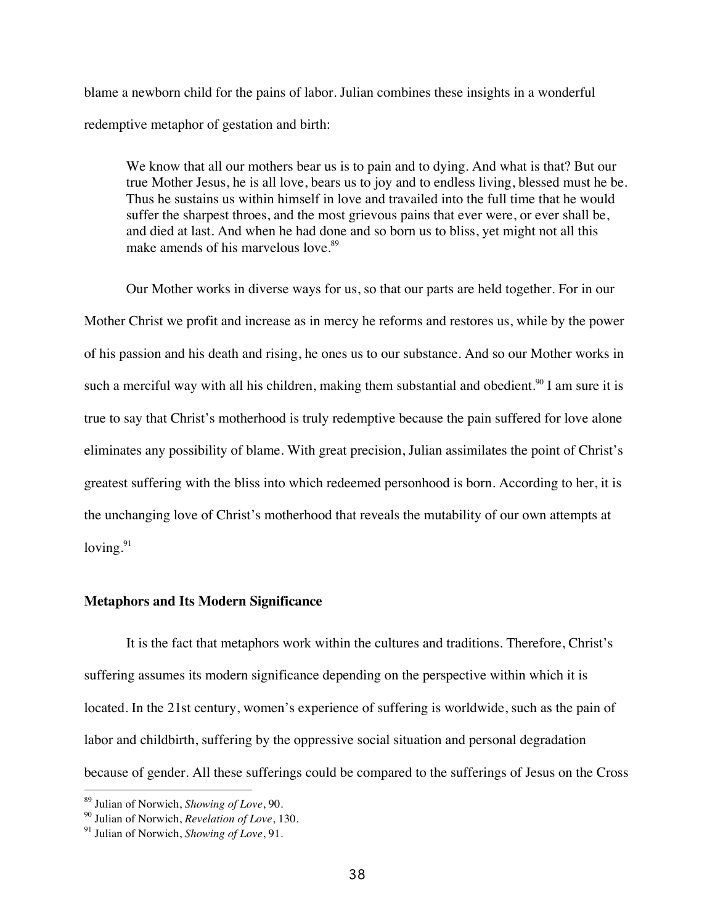blame a newborn child for the pains of labor. Julian combines these insights in a wonderful redemptive metaphor of gestation and birth:

We know that all our mothers bear us is to pain and to dying. And what is that? But our true Mother Jesus, he is all love, bears us to joy and to endless living, blessed must he be. Thus he sustains us within himself in love and travailed into the full time that he would suffer the sharpest throes, and the most grievous pains that ever were, or ever shall be, and died at last. And when he had done and so born us to bliss, yet might not all this make amends of his marvelous love.<sup>89</sup>

Our Mother works in diverse ways for us, so that our parts are held together. For in our Mother Christ we profit and increase as in mercy he reforms and restores us, while by the power of his passion and his death and rising, he ones us to our substance. And so our Mother works in such a merciful way with all his children, making them substantial and obedient.<sup>90</sup> I am sure it is true to say that Christ's motherhood is truly redemptive because the pain suffered for love alone eliminates any possibility of blame. With great precision, Julian assimilates the point of Christ's greatest suffering with the bliss into which redeemed personhood is born. According to her, it is the unchanging love of Christ's motherhood that reveals the mutability of our own attempts at loving. $91$ 

# **Metaphors and Its Modern Significance**

It is the fact that metaphors work within the cultures and traditions. Therefore, Christ's suffering assumes its modern significance depending on the perspective within which it is located. In the 21st century, women's experience of suffering is worldwide, such as the pain of labor and childbirth, suffering by the oppressive social situation and personal degradation because of gender. All these sufferings could be compared to the sufferings of Jesus on the Cross

<sup>89</sup> Julian of Norwich, *Showing of Love*, 90.

<sup>90</sup> Julian of Norwich, *Revelation of Love*, 130.

<sup>91</sup> Julian of Norwich, *Showing of Love*, 91.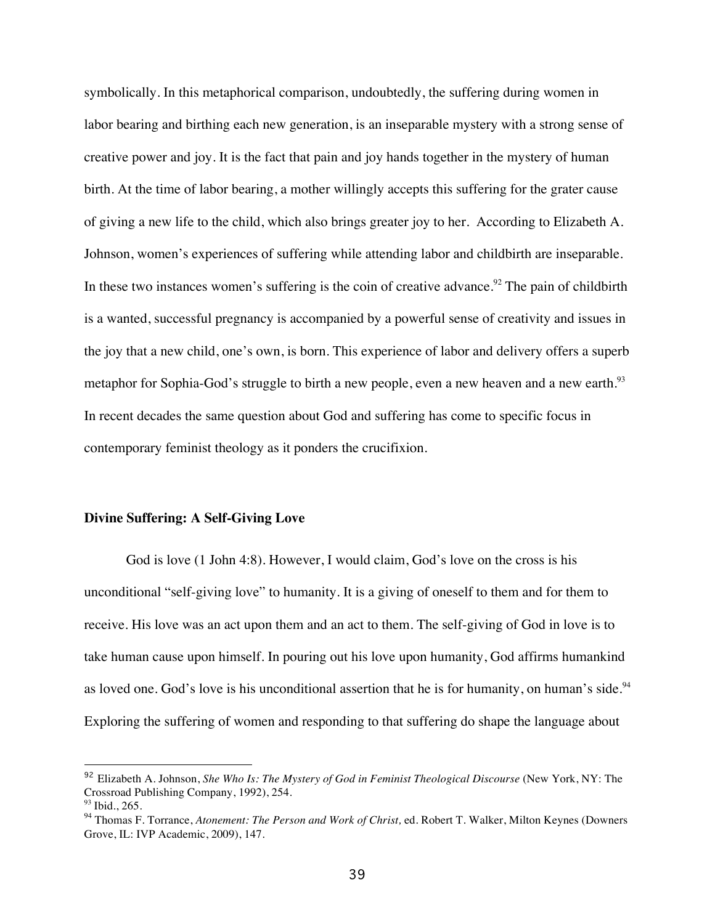symbolically. In this metaphorical comparison, undoubtedly, the suffering during women in labor bearing and birthing each new generation, is an inseparable mystery with a strong sense of creative power and joy. It is the fact that pain and joy hands together in the mystery of human birth. At the time of labor bearing, a mother willingly accepts this suffering for the grater cause of giving a new life to the child, which also brings greater joy to her. According to Elizabeth A. Johnson, women's experiences of suffering while attending labor and childbirth are inseparable. In these two instances women's suffering is the coin of creative advance.<sup>92</sup> The pain of childbirth is a wanted, successful pregnancy is accompanied by a powerful sense of creativity and issues in the joy that a new child, one's own, is born. This experience of labor and delivery offers a superb metaphor for Sophia-God's struggle to birth a new people, even a new heaven and a new earth.<sup>93</sup> In recent decades the same question about God and suffering has come to specific focus in contemporary feminist theology as it ponders the crucifixion.

#### **Divine Suffering: A Self-Giving Love**

-

God is love (1 John 4:8). However, I would claim, God's love on the cross is his unconditional "self-giving love" to humanity. It is a giving of oneself to them and for them to receive. His love was an act upon them and an act to them. The self-giving of God in love is to take human cause upon himself. In pouring out his love upon humanity, God affirms humankind as loved one. God's love is his unconditional assertion that he is for humanity, on human's side.<sup>94</sup> Exploring the suffering of women and responding to that suffering do shape the language about

<sup>92</sup> Elizabeth A. Johnson, *She Who Is: The Mystery of God in Feminist Theological Discourse* (New York, NY: The Crossroad Publishing Company, 1992), 254.  $93$  Ibid., 265.

<sup>94</sup> Thomas F. Torrance, *Atonement: The Person and Work of Christ,* ed. Robert T. Walker, Milton Keynes (Downers Grove, IL: IVP Academic, 2009), 147.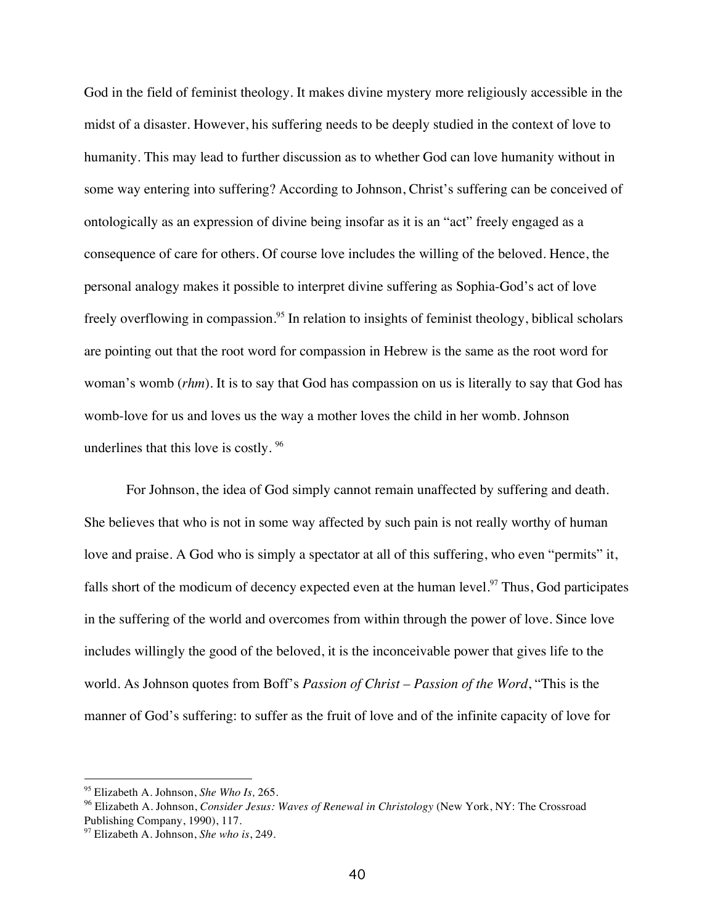God in the field of feminist theology. It makes divine mystery more religiously accessible in the midst of a disaster. However, his suffering needs to be deeply studied in the context of love to humanity. This may lead to further discussion as to whether God can love humanity without in some way entering into suffering? According to Johnson, Christ's suffering can be conceived of ontologically as an expression of divine being insofar as it is an "act" freely engaged as a consequence of care for others. Of course love includes the willing of the beloved. Hence, the personal analogy makes it possible to interpret divine suffering as Sophia-God's act of love freely overflowing in compassion.<sup>95</sup> In relation to insights of feminist theology, biblical scholars are pointing out that the root word for compassion in Hebrew is the same as the root word for woman's womb (*rhm*). It is to say that God has compassion on us is literally to say that God has womb-love for us and loves us the way a mother loves the child in her womb. Johnson underlines that this love is costly.<sup>96</sup>

For Johnson, the idea of God simply cannot remain unaffected by suffering and death. She believes that who is not in some way affected by such pain is not really worthy of human love and praise. A God who is simply a spectator at all of this suffering, who even "permits" it, falls short of the modicum of decency expected even at the human level.<sup>97</sup> Thus, God participates in the suffering of the world and overcomes from within through the power of love. Since love includes willingly the good of the beloved, it is the inconceivable power that gives life to the world. As Johnson quotes from Boff's *Passion of Christ – Passion of the Word*, "This is the manner of God's suffering: to suffer as the fruit of love and of the infinite capacity of love for

<sup>95</sup> Elizabeth A. Johnson, *She Who Is,* 265.

<sup>96</sup> Elizabeth A. Johnson, *Consider Jesus: Waves of Renewal in Christology* (New York, NY: The Crossroad Publishing Company, 1990), 117.

<sup>97</sup> Elizabeth A. Johnson, *She who is*, 249.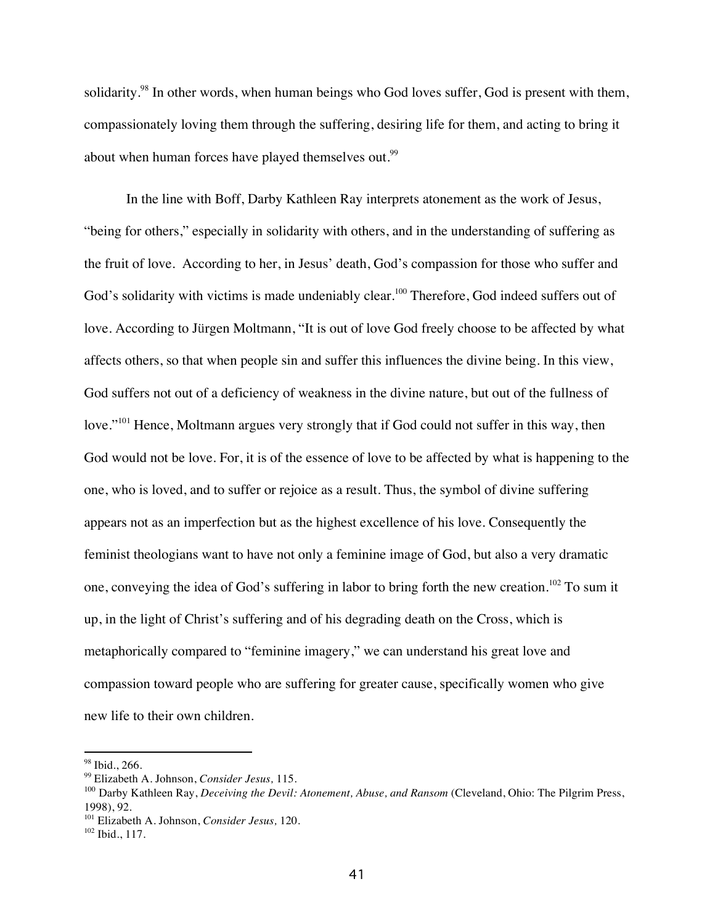solidarity.<sup>98</sup> In other words, when human beings who God loves suffer, God is present with them, compassionately loving them through the suffering, desiring life for them, and acting to bring it about when human forces have played themselves out.<sup>99</sup>

In the line with Boff, Darby Kathleen Ray interprets atonement as the work of Jesus, "being for others," especially in solidarity with others, and in the understanding of suffering as the fruit of love. According to her, in Jesus' death, God's compassion for those who suffer and God's solidarity with victims is made undeniably clear.<sup>100</sup> Therefore, God indeed suffers out of love. According to Jürgen Moltmann, "It is out of love God freely choose to be affected by what affects others, so that when people sin and suffer this influences the divine being. In this view, God suffers not out of a deficiency of weakness in the divine nature, but out of the fullness of love."<sup>101</sup> Hence, Moltmann argues very strongly that if God could not suffer in this way, then God would not be love. For, it is of the essence of love to be affected by what is happening to the one, who is loved, and to suffer or rejoice as a result. Thus, the symbol of divine suffering appears not as an imperfection but as the highest excellence of his love. Consequently the feminist theologians want to have not only a feminine image of God, but also a very dramatic one, conveying the idea of God's suffering in labor to bring forth the new creation.<sup>102</sup> To sum it up, in the light of Christ's suffering and of his degrading death on the Cross, which is metaphorically compared to "feminine imagery," we can understand his great love and compassion toward people who are suffering for greater cause, specifically women who give new life to their own children.

<sup>98</sup> Ibid., 266.

<sup>99</sup> Elizabeth A. Johnson, *Consider Jesus,* 115.

<sup>&</sup>lt;sup>100</sup> Darby Kathleen Ray, *Deceiving the Devil: Atonement, Abuse, and Ransom* (Cleveland, Ohio: The Pilgrim Press, 1998), 92.

<sup>&</sup>lt;sup>101</sup> Elizabeth A. Johnson, *Consider Jesus*, 120.

<sup>102</sup> Ibid., 117.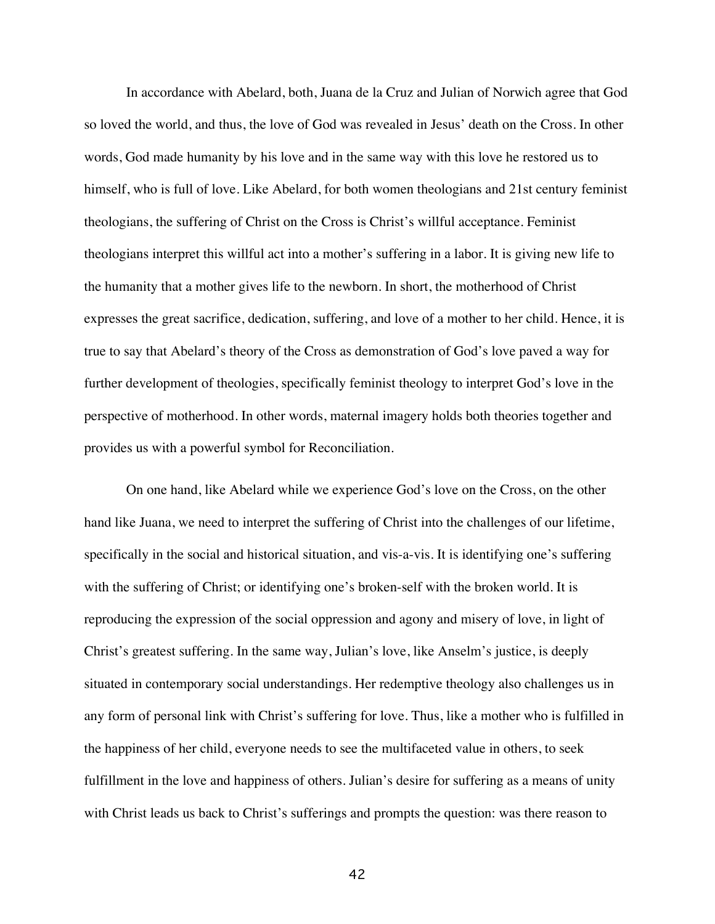In accordance with Abelard, both, Juana de la Cruz and Julian of Norwich agree that God so loved the world, and thus, the love of God was revealed in Jesus' death on the Cross. In other words, God made humanity by his love and in the same way with this love he restored us to himself, who is full of love. Like Abelard, for both women theologians and 21st century feminist theologians, the suffering of Christ on the Cross is Christ's willful acceptance. Feminist theologians interpret this willful act into a mother's suffering in a labor. It is giving new life to the humanity that a mother gives life to the newborn. In short, the motherhood of Christ expresses the great sacrifice, dedication, suffering, and love of a mother to her child. Hence, it is true to say that Abelard's theory of the Cross as demonstration of God's love paved a way for further development of theologies, specifically feminist theology to interpret God's love in the perspective of motherhood. In other words, maternal imagery holds both theories together and provides us with a powerful symbol for Reconciliation.

On one hand, like Abelard while we experience God's love on the Cross, on the other hand like Juana, we need to interpret the suffering of Christ into the challenges of our lifetime, specifically in the social and historical situation, and vis-a-vis. It is identifying one's suffering with the suffering of Christ; or identifying one's broken-self with the broken world. It is reproducing the expression of the social oppression and agony and misery of love, in light of Christ's greatest suffering. In the same way, Julian's love, like Anselm's justice, is deeply situated in contemporary social understandings. Her redemptive theology also challenges us in any form of personal link with Christ's suffering for love. Thus, like a mother who is fulfilled in the happiness of her child, everyone needs to see the multifaceted value in others, to seek fulfillment in the love and happiness of others. Julian's desire for suffering as a means of unity with Christ leads us back to Christ's sufferings and prompts the question: was there reason to

42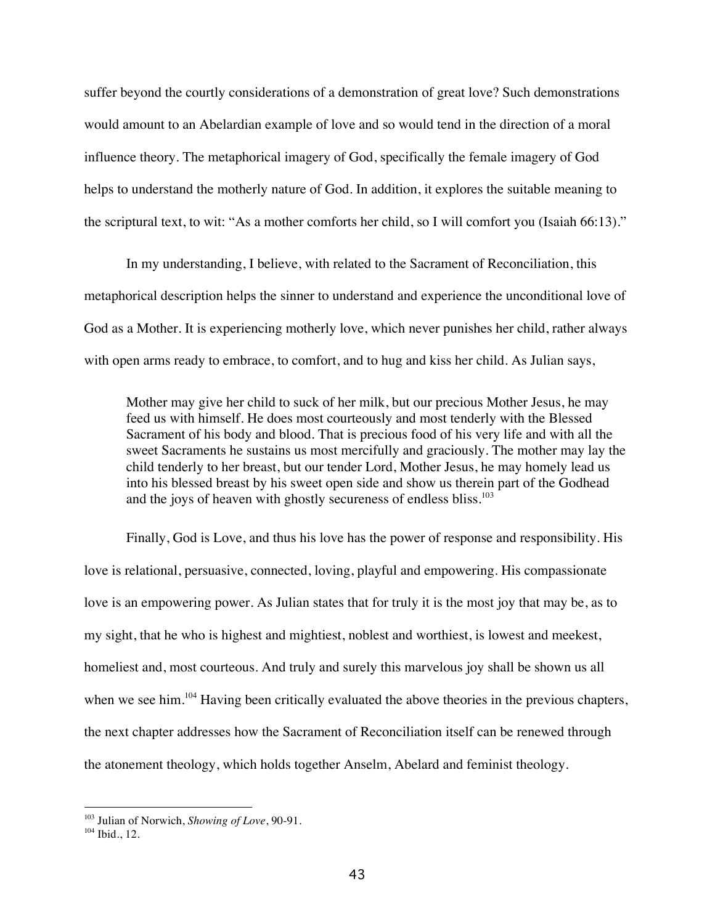suffer beyond the courtly considerations of a demonstration of great love? Such demonstrations would amount to an Abelardian example of love and so would tend in the direction of a moral influence theory. The metaphorical imagery of God, specifically the female imagery of God helps to understand the motherly nature of God. In addition, it explores the suitable meaning to the scriptural text, to wit: "As a mother comforts her child, so I will comfort you (Isaiah 66:13)."

In my understanding, I believe, with related to the Sacrament of Reconciliation, this metaphorical description helps the sinner to understand and experience the unconditional love of God as a Mother. It is experiencing motherly love, which never punishes her child, rather always with open arms ready to embrace, to comfort, and to hug and kiss her child. As Julian says,

Mother may give her child to suck of her milk, but our precious Mother Jesus, he may feed us with himself. He does most courteously and most tenderly with the Blessed Sacrament of his body and blood. That is precious food of his very life and with all the sweet Sacraments he sustains us most mercifully and graciously. The mother may lay the child tenderly to her breast, but our tender Lord, Mother Jesus, he may homely lead us into his blessed breast by his sweet open side and show us therein part of the Godhead and the joys of heaven with ghostly secureness of endless bliss.<sup>103</sup>

Finally, God is Love, and thus his love has the power of response and responsibility. His love is relational, persuasive, connected, loving, playful and empowering. His compassionate love is an empowering power. As Julian states that for truly it is the most joy that may be, as to my sight, that he who is highest and mightiest, noblest and worthiest, is lowest and meekest, homeliest and, most courteous. And truly and surely this marvelous joy shall be shown us all when we see him.<sup>104</sup> Having been critically evaluated the above theories in the previous chapters, the next chapter addresses how the Sacrament of Reconciliation itself can be renewed through the atonement theology, which holds together Anselm, Abelard and feminist theology.

 $\overline{a}$ 

<sup>103</sup> Julian of Norwich, *Showing of Love*, 90-91.

<sup>104</sup> Ibid., 12.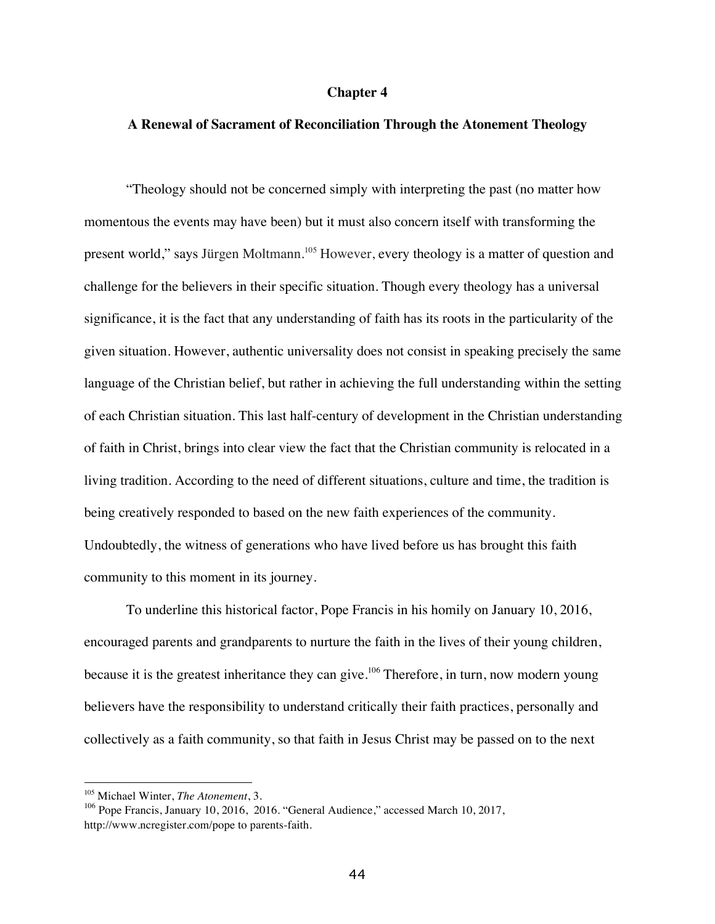### **Chapter 4**

# **A Renewal of Sacrament of Reconciliation Through the Atonement Theology**

"Theology should not be concerned simply with interpreting the past (no matter how momentous the events may have been) but it must also concern itself with transforming the present world," says Jürgen Moltmann.<sup>105</sup> However, every theology is a matter of question and challenge for the believers in their specific situation. Though every theology has a universal significance, it is the fact that any understanding of faith has its roots in the particularity of the given situation. However, authentic universality does not consist in speaking precisely the same language of the Christian belief, but rather in achieving the full understanding within the setting of each Christian situation. This last half-century of development in the Christian understanding of faith in Christ, brings into clear view the fact that the Christian community is relocated in a living tradition. According to the need of different situations, culture and time, the tradition is being creatively responded to based on the new faith experiences of the community. Undoubtedly, the witness of generations who have lived before us has brought this faith community to this moment in its journey.

To underline this historical factor, Pope Francis in his homily on January 10, 2016, encouraged parents and grandparents to nurture the faith in the lives of their young children, because it is the greatest inheritance they can give.<sup>106</sup> Therefore, in turn, now modern young believers have the responsibility to understand critically their faith practices, personally and collectively as a faith community, so that faith in Jesus Christ may be passed on to the next

<sup>105</sup> Michael Winter, *The Atonement*, 3.

<sup>106</sup> Pope Francis, January 10, 2016, 2016. "General Audience," accessed March 10, 2017, http://www.ncregister.com/pope to parents-faith.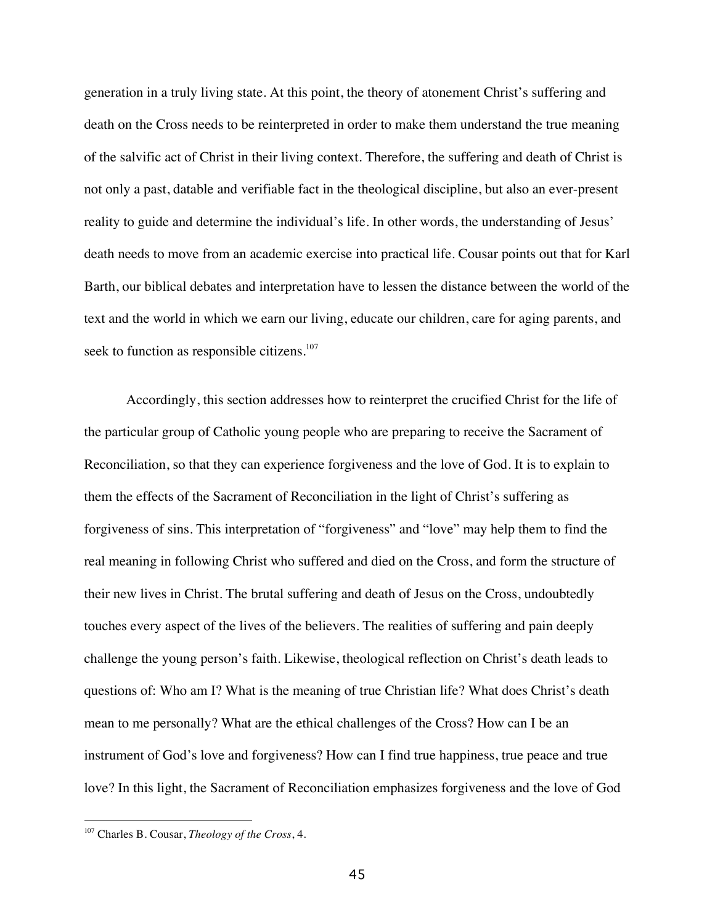generation in a truly living state. At this point, the theory of atonement Christ's suffering and death on the Cross needs to be reinterpreted in order to make them understand the true meaning of the salvific act of Christ in their living context. Therefore, the suffering and death of Christ is not only a past, datable and verifiable fact in the theological discipline, but also an ever-present reality to guide and determine the individual's life. In other words, the understanding of Jesus' death needs to move from an academic exercise into practical life. Cousar points out that for Karl Barth, our biblical debates and interpretation have to lessen the distance between the world of the text and the world in which we earn our living, educate our children, care for aging parents, and seek to function as responsible citizens.<sup>107</sup>

Accordingly, this section addresses how to reinterpret the crucified Christ for the life of the particular group of Catholic young people who are preparing to receive the Sacrament of Reconciliation, so that they can experience forgiveness and the love of God. It is to explain to them the effects of the Sacrament of Reconciliation in the light of Christ's suffering as forgiveness of sins. This interpretation of "forgiveness" and "love" may help them to find the real meaning in following Christ who suffered and died on the Cross, and form the structure of their new lives in Christ. The brutal suffering and death of Jesus on the Cross, undoubtedly touches every aspect of the lives of the believers. The realities of suffering and pain deeply challenge the young person's faith. Likewise, theological reflection on Christ's death leads to questions of: Who am I? What is the meaning of true Christian life? What does Christ's death mean to me personally? What are the ethical challenges of the Cross? How can I be an instrument of God's love and forgiveness? How can I find true happiness, true peace and true love? In this light, the Sacrament of Reconciliation emphasizes forgiveness and the love of God

<sup>107</sup> Charles B. Cousar, *Theology of the Cross*, 4.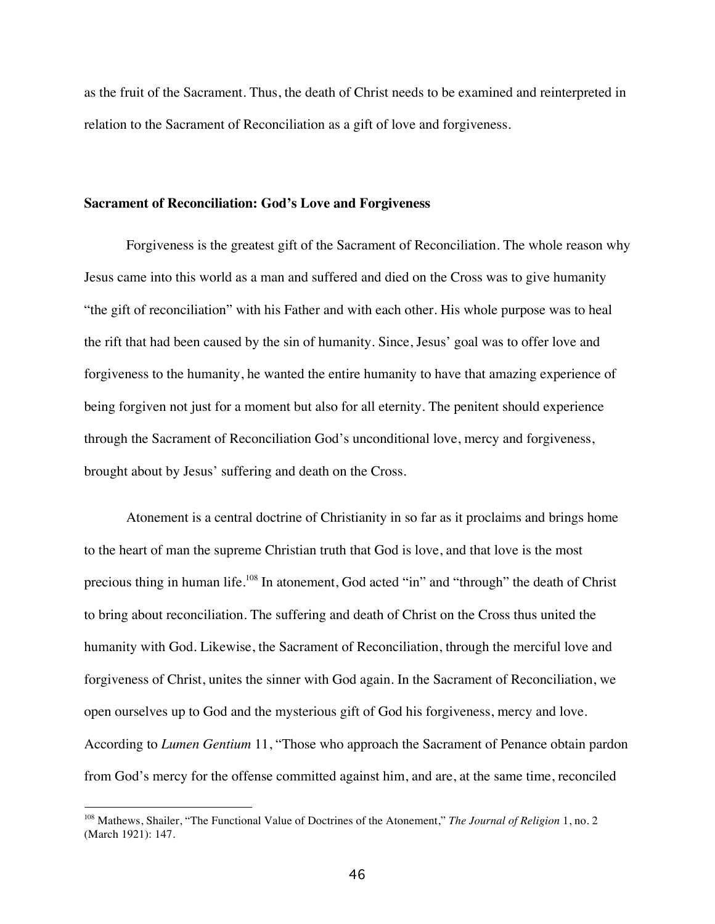as the fruit of the Sacrament. Thus, the death of Christ needs to be examined and reinterpreted in relation to the Sacrament of Reconciliation as a gift of love and forgiveness.

#### **Sacrament of Reconciliation: God's Love and Forgiveness**

Forgiveness is the greatest gift of the Sacrament of Reconciliation. The whole reason why Jesus came into this world as a man and suffered and died on the Cross was to give humanity "the gift of reconciliation" with his Father and with each other. His whole purpose was to heal the rift that had been caused by the sin of humanity. Since, Jesus' goal was to offer love and forgiveness to the humanity, he wanted the entire humanity to have that amazing experience of being forgiven not just for a moment but also for all eternity. The penitent should experience through the Sacrament of Reconciliation God's unconditional love, mercy and forgiveness, brought about by Jesus' suffering and death on the Cross.

Atonement is a central doctrine of Christianity in so far as it proclaims and brings home to the heart of man the supreme Christian truth that God is love, and that love is the most precious thing in human life.<sup>108</sup> In atonement, God acted "in" and "through" the death of Christ to bring about reconciliation. The suffering and death of Christ on the Cross thus united the humanity with God. Likewise, the Sacrament of Reconciliation, through the merciful love and forgiveness of Christ, unites the sinner with God again. In the Sacrament of Reconciliation, we open ourselves up to God and the mysterious gift of God his forgiveness, mercy and love. According to *Lumen Gentium* 11, "Those who approach the Sacrament of Penance obtain pardon from God's mercy for the offense committed against him, and are, at the same time, reconciled

 $\overline{a}$ 

<sup>108</sup> Mathews, Shailer, "The Functional Value of Doctrines of the Atonement," *The Journal of Religion* 1, no. 2 (March 1921): 147.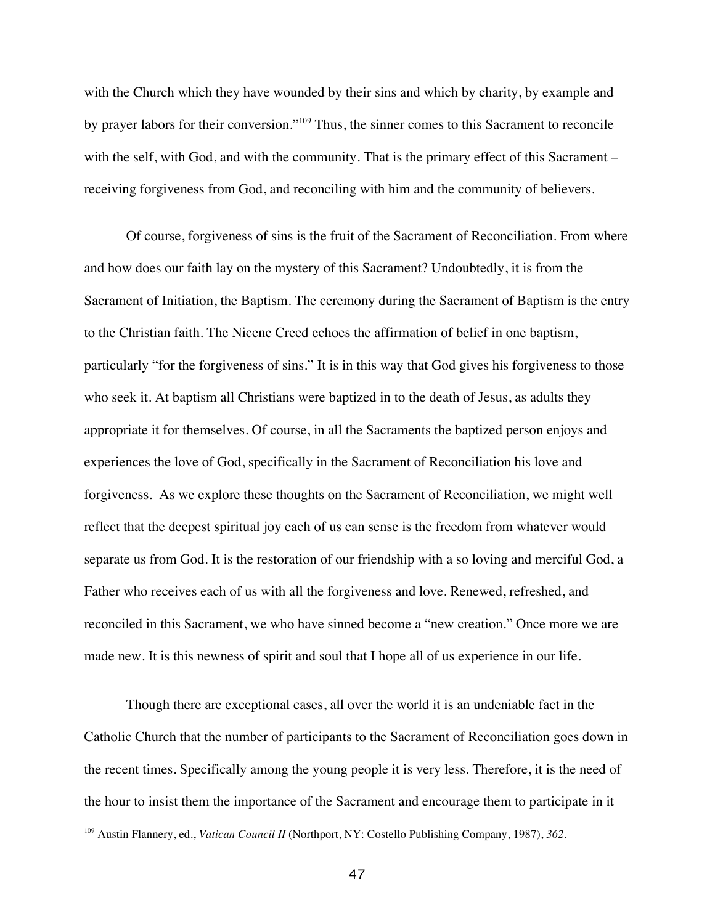with the Church which they have wounded by their sins and which by charity, by example and by prayer labors for their conversion."<sup>109</sup> Thus, the sinner comes to this Sacrament to reconcile with the self, with God, and with the community. That is the primary effect of this Sacrament – receiving forgiveness from God, and reconciling with him and the community of believers.

Of course, forgiveness of sins is the fruit of the Sacrament of Reconciliation. From where and how does our faith lay on the mystery of this Sacrament? Undoubtedly, it is from the Sacrament of Initiation, the Baptism. The ceremony during the Sacrament of Baptism is the entry to the Christian faith. The Nicene Creed echoes the affirmation of belief in one baptism, particularly "for the forgiveness of sins." It is in this way that God gives his forgiveness to those who seek it. At baptism all Christians were baptized in to the death of Jesus, as adults they appropriate it for themselves. Of course, in all the Sacraments the baptized person enjoys and experiences the love of God, specifically in the Sacrament of Reconciliation his love and forgiveness. As we explore these thoughts on the Sacrament of Reconciliation, we might well reflect that the deepest spiritual joy each of us can sense is the freedom from whatever would separate us from God. It is the restoration of our friendship with a so loving and merciful God, a Father who receives each of us with all the forgiveness and love. Renewed, refreshed, and reconciled in this Sacrament, we who have sinned become a "new creation." Once more we are made new. It is this newness of spirit and soul that I hope all of us experience in our life.

Though there are exceptional cases, all over the world it is an undeniable fact in the Catholic Church that the number of participants to the Sacrament of Reconciliation goes down in the recent times. Specifically among the young people it is very less. Therefore, it is the need of the hour to insist them the importance of the Sacrament and encourage them to participate in it

<sup>109</sup> Austin Flannery, ed., *Vatican Council II* (Northport, NY: Costello Publishing Company, 1987), *362.*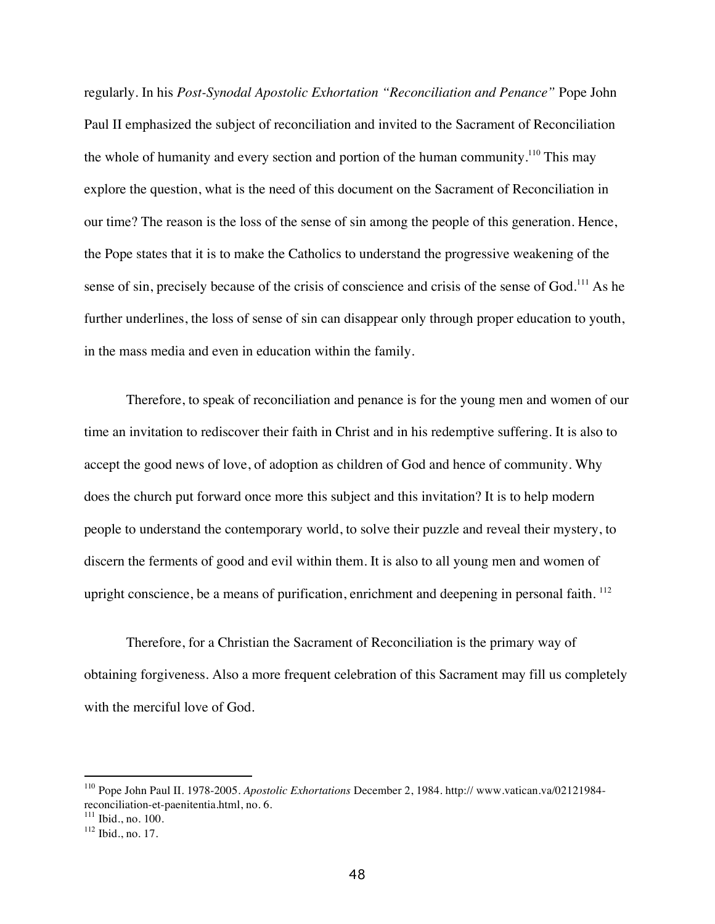regularly. In his *Post-Synodal Apostolic Exhortation "Reconciliation and Penance"* Pope John Paul II emphasized the subject of reconciliation and invited to the Sacrament of Reconciliation the whole of humanity and every section and portion of the human community.<sup>110</sup> This may explore the question, what is the need of this document on the Sacrament of Reconciliation in our time? The reason is the loss of the sense of sin among the people of this generation. Hence, the Pope states that it is to make the Catholics to understand the progressive weakening of the sense of sin, precisely because of the crisis of conscience and crisis of the sense of God.<sup>111</sup> As he further underlines, the loss of sense of sin can disappear only through proper education to youth, in the mass media and even in education within the family.

Therefore, to speak of reconciliation and penance is for the young men and women of our time an invitation to rediscover their faith in Christ and in his redemptive suffering. It is also to accept the good news of love, of adoption as children of God and hence of community. Why does the church put forward once more this subject and this invitation? It is to help modern people to understand the contemporary world, to solve their puzzle and reveal their mystery, to discern the ferments of good and evil within them. It is also to all young men and women of upright conscience, be a means of purification, enrichment and deepening in personal faith. <sup>112</sup>

Therefore, for a Christian the Sacrament of Reconciliation is the primary way of obtaining forgiveness. Also a more frequent celebration of this Sacrament may fill us completely with the merciful love of God.

<sup>110</sup> Pope John Paul II. 1978-2005. *Apostolic Exhortations* December 2, 1984. http:// www.vatican.va/02121984 reconciliation-et-paenitentia.html, no. 6.

 $111$  Ibid., no. 100.

<sup>112</sup> Ibid., no. 17.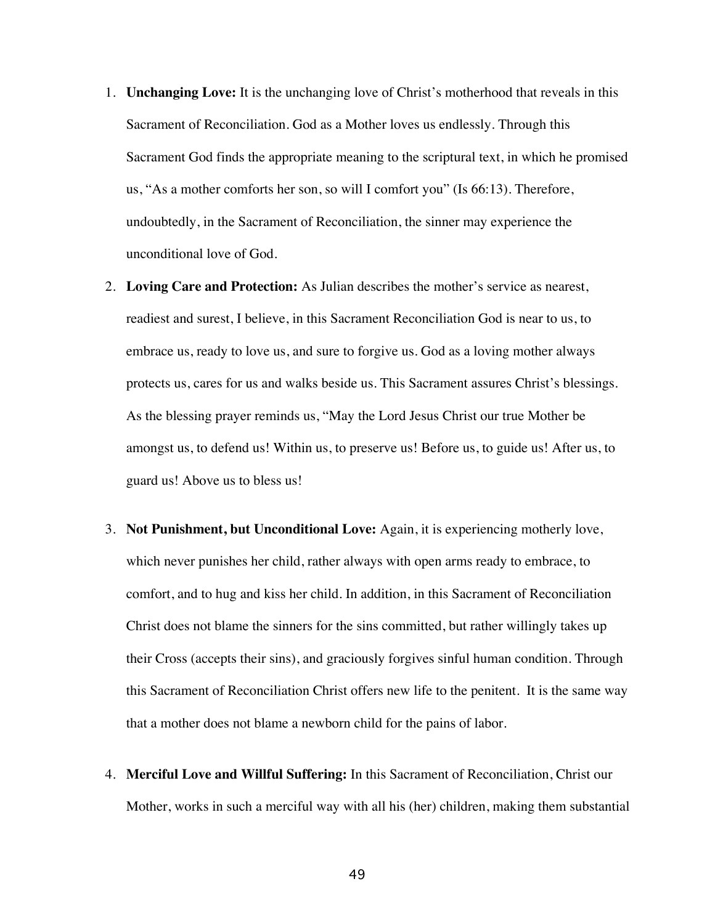- 1. **Unchanging Love:** It is the unchanging love of Christ's motherhood that reveals in this Sacrament of Reconciliation. God as a Mother loves us endlessly. Through this Sacrament God finds the appropriate meaning to the scriptural text, in which he promised us, "As a mother comforts her son, so will I comfort you" (Is 66:13). Therefore, undoubtedly, in the Sacrament of Reconciliation, the sinner may experience the unconditional love of God.
- 2. **Loving Care and Protection:** As Julian describes the mother's service as nearest, readiest and surest, I believe, in this Sacrament Reconciliation God is near to us, to embrace us, ready to love us, and sure to forgive us. God as a loving mother always protects us, cares for us and walks beside us. This Sacrament assures Christ's blessings. As the blessing prayer reminds us, "May the Lord Jesus Christ our true Mother be amongst us, to defend us! Within us, to preserve us! Before us, to guide us! After us, to guard us! Above us to bless us!
- 3. **Not Punishment, but Unconditional Love:** Again, it is experiencing motherly love, which never punishes her child, rather always with open arms ready to embrace, to comfort, and to hug and kiss her child. In addition, in this Sacrament of Reconciliation Christ does not blame the sinners for the sins committed, but rather willingly takes up their Cross (accepts their sins), and graciously forgives sinful human condition. Through this Sacrament of Reconciliation Christ offers new life to the penitent. It is the same way that a mother does not blame a newborn child for the pains of labor.
- 4. **Merciful Love and Willful Suffering:** In this Sacrament of Reconciliation, Christ our Mother, works in such a merciful way with all his (her) children, making them substantial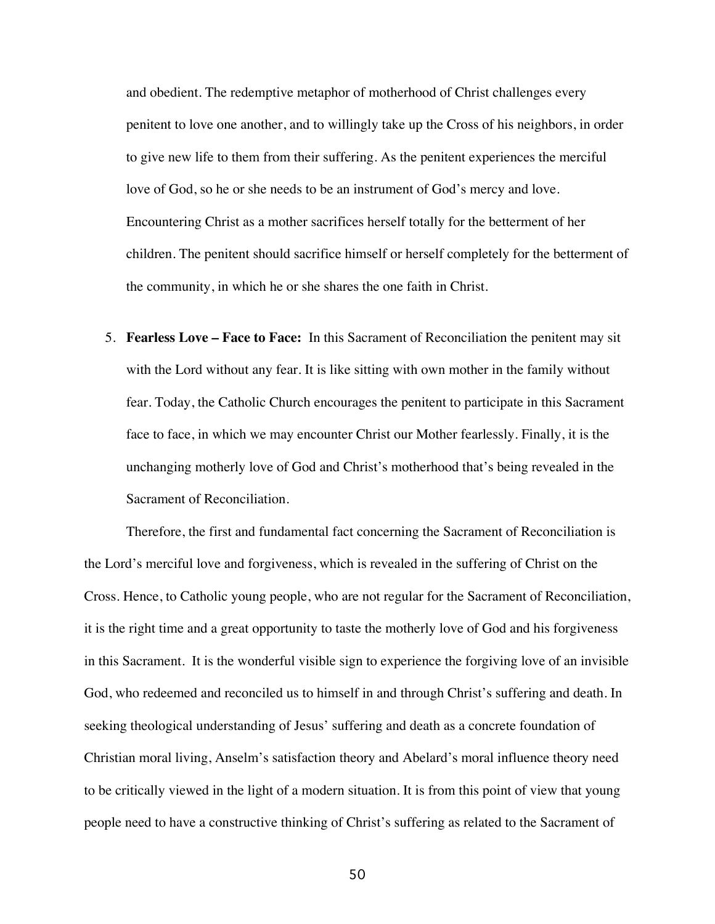and obedient. The redemptive metaphor of motherhood of Christ challenges every penitent to love one another, and to willingly take up the Cross of his neighbors, in order to give new life to them from their suffering. As the penitent experiences the merciful love of God, so he or she needs to be an instrument of God's mercy and love. Encountering Christ as a mother sacrifices herself totally for the betterment of her children. The penitent should sacrifice himself or herself completely for the betterment of the community, in which he or she shares the one faith in Christ.

5. **Fearless Love – Face to Face:** In this Sacrament of Reconciliation the penitent may sit with the Lord without any fear. It is like sitting with own mother in the family without fear. Today, the Catholic Church encourages the penitent to participate in this Sacrament face to face, in which we may encounter Christ our Mother fearlessly. Finally, it is the unchanging motherly love of God and Christ's motherhood that's being revealed in the Sacrament of Reconciliation.

Therefore, the first and fundamental fact concerning the Sacrament of Reconciliation is the Lord's merciful love and forgiveness, which is revealed in the suffering of Christ on the Cross. Hence, to Catholic young people, who are not regular for the Sacrament of Reconciliation, it is the right time and a great opportunity to taste the motherly love of God and his forgiveness in this Sacrament. It is the wonderful visible sign to experience the forgiving love of an invisible God, who redeemed and reconciled us to himself in and through Christ's suffering and death. In seeking theological understanding of Jesus' suffering and death as a concrete foundation of Christian moral living, Anselm's satisfaction theory and Abelard's moral influence theory need to be critically viewed in the light of a modern situation. It is from this point of view that young people need to have a constructive thinking of Christ's suffering as related to the Sacrament of

50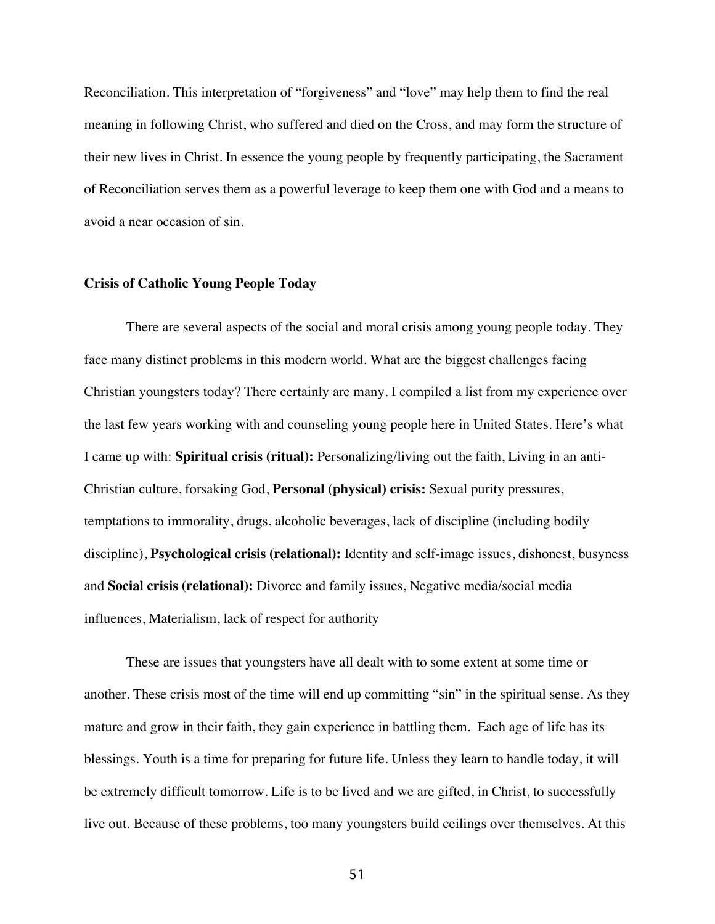Reconciliation. This interpretation of "forgiveness" and "love" may help them to find the real meaning in following Christ, who suffered and died on the Cross, and may form the structure of their new lives in Christ. In essence the young people by frequently participating, the Sacrament of Reconciliation serves them as a powerful leverage to keep them one with God and a means to avoid a near occasion of sin.

# **Crisis of Catholic Young People Today**

There are several aspects of the social and moral crisis among young people today. They face many distinct problems in this modern world. What are the biggest challenges facing Christian youngsters today? There certainly are many. I compiled a list from my experience over the last few years working with and counseling young people here in United States. Here's what I came up with: **Spiritual crisis (ritual):** Personalizing/living out the faith, Living in an anti-Christian culture, forsaking God, **Personal (physical) crisis:** Sexual purity pressures, temptations to immorality, drugs, alcoholic beverages, lack of discipline (including bodily discipline), **Psychological crisis (relational):** Identity and self-image issues, dishonest, busyness and **Social crisis (relational):** Divorce and family issues, Negative media/social media influences, Materialism, lack of respect for authority

These are issues that youngsters have all dealt with to some extent at some time or another. These crisis most of the time will end up committing "sin" in the spiritual sense. As they mature and grow in their faith, they gain experience in battling them. Each age of life has its blessings. Youth is a time for preparing for future life. Unless they learn to handle today, it will be extremely difficult tomorrow. Life is to be lived and we are gifted, in Christ, to successfully live out. Because of these problems, too many youngsters build ceilings over themselves. At this

51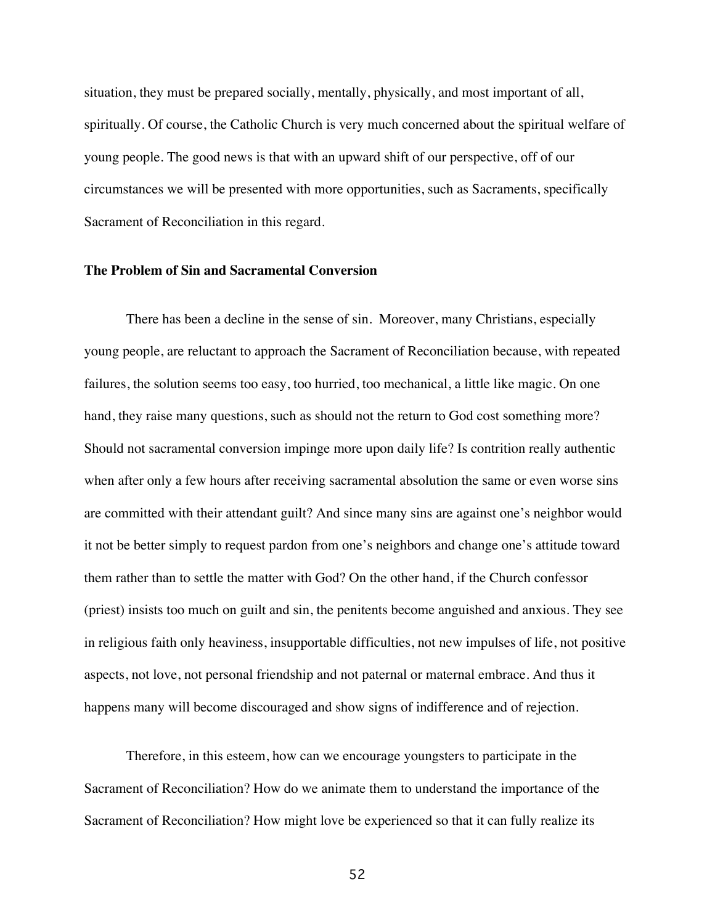situation, they must be prepared socially, mentally, physically, and most important of all, spiritually. Of course, the Catholic Church is very much concerned about the spiritual welfare of young people. The good news is that with an upward shift of our perspective, off of our circumstances we will be presented with more opportunities, such as Sacraments, specifically Sacrament of Reconciliation in this regard.

# **The Problem of Sin and Sacramental Conversion**

There has been a decline in the sense of sin. Moreover, many Christians, especially young people, are reluctant to approach the Sacrament of Reconciliation because, with repeated failures, the solution seems too easy, too hurried, too mechanical, a little like magic. On one hand, they raise many questions, such as should not the return to God cost something more? Should not sacramental conversion impinge more upon daily life? Is contrition really authentic when after only a few hours after receiving sacramental absolution the same or even worse sins are committed with their attendant guilt? And since many sins are against one's neighbor would it not be better simply to request pardon from one's neighbors and change one's attitude toward them rather than to settle the matter with God? On the other hand, if the Church confessor (priest) insists too much on guilt and sin, the penitents become anguished and anxious. They see in religious faith only heaviness, insupportable difficulties, not new impulses of life, not positive aspects, not love, not personal friendship and not paternal or maternal embrace. And thus it happens many will become discouraged and show signs of indifference and of rejection.

Therefore, in this esteem, how can we encourage youngsters to participate in the Sacrament of Reconciliation? How do we animate them to understand the importance of the Sacrament of Reconciliation? How might love be experienced so that it can fully realize its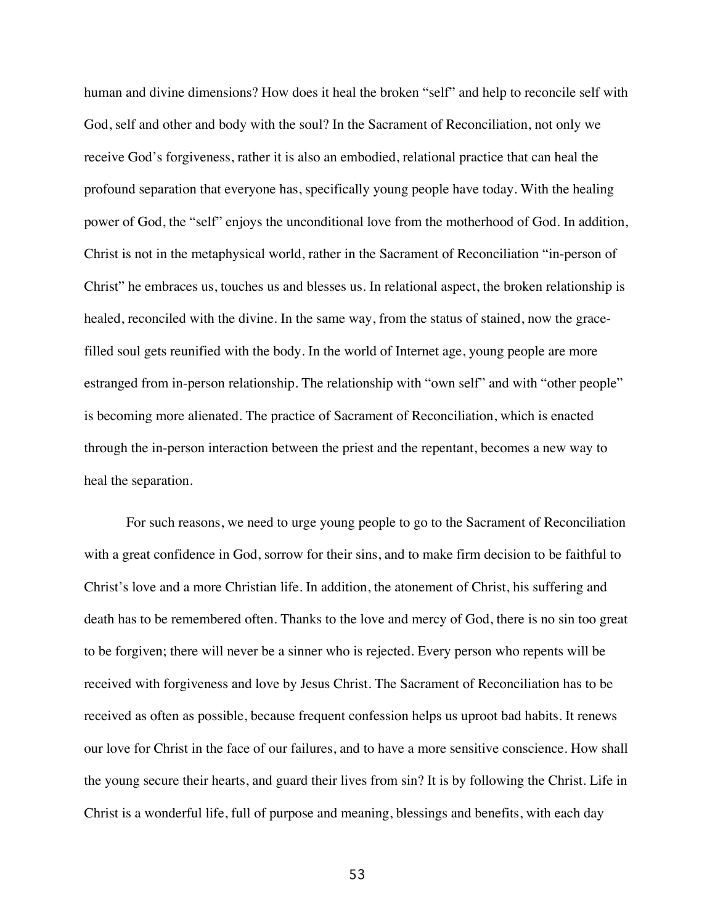human and divine dimensions? How does it heal the broken "self" and help to reconcile self with God, self and other and body with the soul? In the Sacrament of Reconciliation, not only we receive God's forgiveness, rather it is also an embodied, relational practice that can heal the profound separation that everyone has, specifically young people have today. With the healing power of God, the "self" enjoys the unconditional love from the motherhood of God. In addition, Christ is not in the metaphysical world, rather in the Sacrament of Reconciliation "in-person of Christ" he embraces us, touches us and blesses us. In relational aspect, the broken relationship is healed, reconciled with the divine. In the same way, from the status of stained, now the gracefilled soul gets reunified with the body. In the world of Internet age, young people are more estranged from in-person relationship. The relationship with "own self" and with "other people" is becoming more alienated. The practice of Sacrament of Reconciliation, which is enacted through the in-person interaction between the priest and the repentant, becomes a new way to heal the separation.

For such reasons, we need to urge young people to go to the Sacrament of Reconciliation with a great confidence in God, sorrow for their sins, and to make firm decision to be faithful to Christ's love and a more Christian life. In addition, the atonement of Christ, his suffering and death has to be remembered often. Thanks to the love and mercy of God, there is no sin too great to be forgiven; there will never be a sinner who is rejected. Every person who repents will be received with forgiveness and love by Jesus Christ. The Sacrament of Reconciliation has to be received as often as possible, because frequent confession helps us uproot bad habits. It renews our love for Christ in the face of our failures, and to have a more sensitive conscience. How shall the young secure their hearts, and guard their lives from sin? It is by following the Christ. Life in Christ is a wonderful life, full of purpose and meaning, blessings and benefits, with each day

53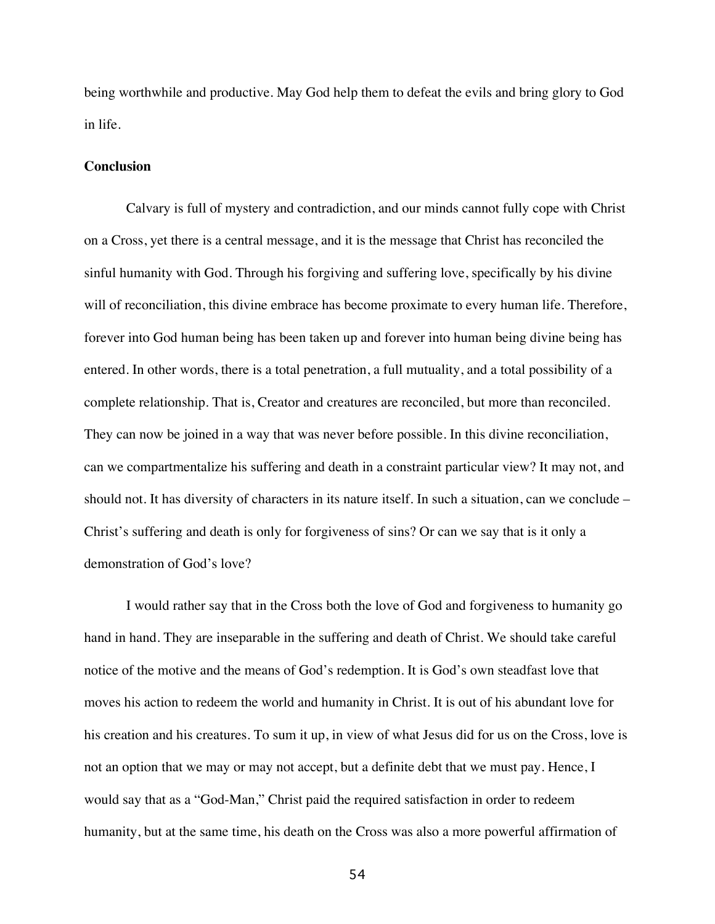being worthwhile and productive. May God help them to defeat the evils and bring glory to God in life.

## **Conclusion**

Calvary is full of mystery and contradiction, and our minds cannot fully cope with Christ on a Cross, yet there is a central message, and it is the message that Christ has reconciled the sinful humanity with God. Through his forgiving and suffering love, specifically by his divine will of reconciliation, this divine embrace has become proximate to every human life. Therefore, forever into God human being has been taken up and forever into human being divine being has entered. In other words, there is a total penetration, a full mutuality, and a total possibility of a complete relationship. That is, Creator and creatures are reconciled, but more than reconciled. They can now be joined in a way that was never before possible. In this divine reconciliation, can we compartmentalize his suffering and death in a constraint particular view? It may not, and should not. It has diversity of characters in its nature itself. In such a situation, can we conclude – Christ's suffering and death is only for forgiveness of sins? Or can we say that is it only a demonstration of God's love?

I would rather say that in the Cross both the love of God and forgiveness to humanity go hand in hand. They are inseparable in the suffering and death of Christ. We should take careful notice of the motive and the means of God's redemption. It is God's own steadfast love that moves his action to redeem the world and humanity in Christ. It is out of his abundant love for his creation and his creatures. To sum it up, in view of what Jesus did for us on the Cross, love is not an option that we may or may not accept, but a definite debt that we must pay. Hence, I would say that as a "God-Man," Christ paid the required satisfaction in order to redeem humanity, but at the same time, his death on the Cross was also a more powerful affirmation of

54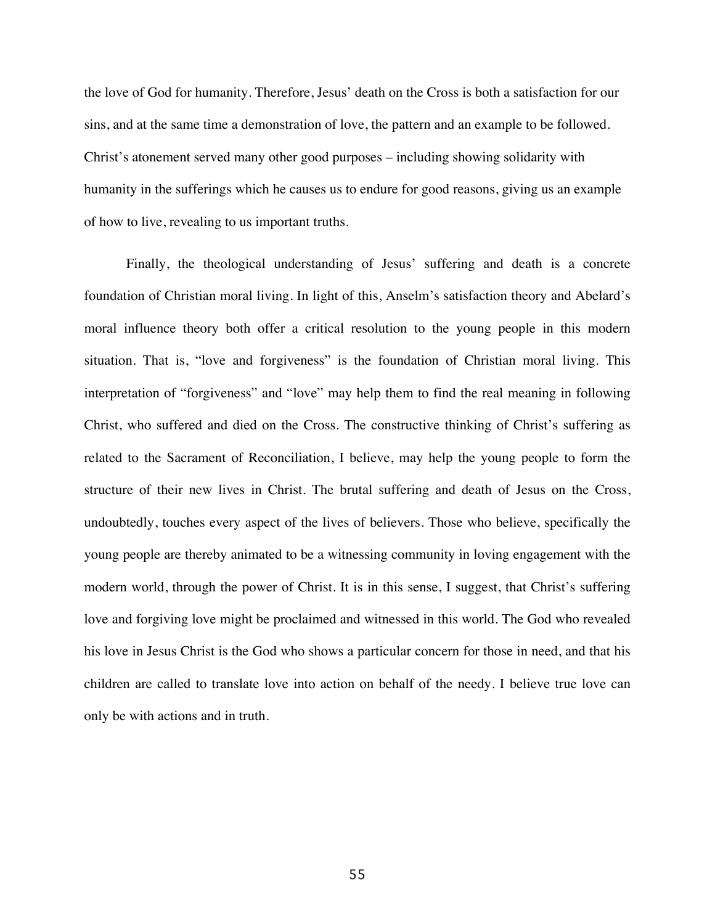the love of God for humanity. Therefore, Jesus' death on the Cross is both a satisfaction for our sins, and at the same time a demonstration of love, the pattern and an example to be followed. Christ's atonement served many other good purposes – including showing solidarity with humanity in the sufferings which he causes us to endure for good reasons, giving us an example of how to live, revealing to us important truths.

Finally, the theological understanding of Jesus' suffering and death is a concrete foundation of Christian moral living. In light of this, Anselm's satisfaction theory and Abelard's moral influence theory both offer a critical resolution to the young people in this modern situation. That is, "love and forgiveness" is the foundation of Christian moral living. This interpretation of "forgiveness" and "love" may help them to find the real meaning in following Christ, who suffered and died on the Cross. The constructive thinking of Christ's suffering as related to the Sacrament of Reconciliation, I believe, may help the young people to form the structure of their new lives in Christ. The brutal suffering and death of Jesus on the Cross, undoubtedly, touches every aspect of the lives of believers. Those who believe, specifically the young people are thereby animated to be a witnessing community in loving engagement with the modern world, through the power of Christ. It is in this sense, I suggest, that Christ's suffering love and forgiving love might be proclaimed and witnessed in this world. The God who revealed his love in Jesus Christ is the God who shows a particular concern for those in need, and that his children are called to translate love into action on behalf of the needy. I believe true love can only be with actions and in truth.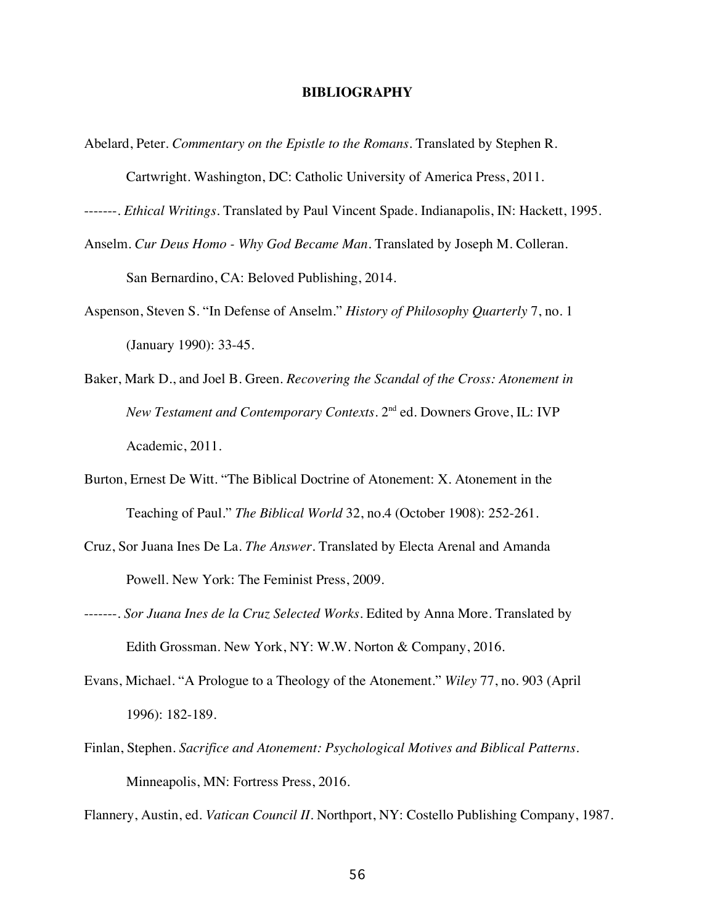# **BIBLIOGRAPHY**

- Abelard, Peter. *Commentary on the Epistle to the Romans*. Translated by Stephen R. Cartwright. Washington, DC: Catholic University of America Press, 2011.
- -------. *Ethical Writings.* Translated by Paul Vincent Spade. Indianapolis, IN: Hackett, 1995.
- Anselm. *Cur Deus Homo - Why God Became Man*. Translated by Joseph M. Colleran.

San Bernardino, CA: Beloved Publishing, 2014.

- Aspenson, Steven S. "In Defense of Anselm." *History of Philosophy Quarterly* 7, no. 1 (January 1990): 33-45.
- Baker, Mark D., and Joel B. Green. *Recovering the Scandal of the Cross: Atonement in New Testament and Contemporary Contexts*. 2<sup>nd</sup> ed. Downers Grove, IL: IVP Academic, 2011.
- Burton, Ernest De Witt. "The Biblical Doctrine of Atonement: X. Atonement in the Teaching of Paul." *The Biblical World* 32, no.4 (October 1908): 252-261.
- Cruz, Sor Juana Ines De La. *The Answer*. Translated by Electa Arenal and Amanda Powell. New York: The Feminist Press, 2009.
- -------. *Sor Juana Ines de la Cruz Selected Works.* Edited by Anna More. Translated by Edith Grossman. New York, NY: W.W. Norton & Company, 2016.
- Evans, Michael. "A Prologue to a Theology of the Atonement." *Wiley* 77, no. 903 (April 1996): 182-189.
- Finlan, Stephen. *Sacrifice and Atonement: Psychological Motives and Biblical Patterns.* Minneapolis, MN: Fortress Press, 2016.

Flannery, Austin, ed. *Vatican Council II.* Northport, NY: Costello Publishing Company, 1987*.*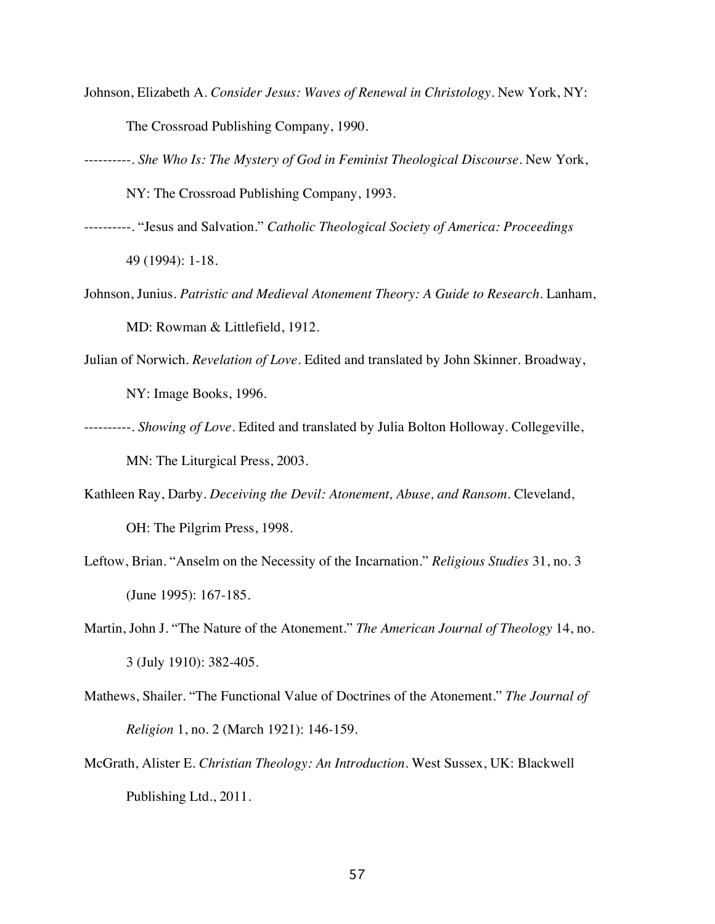- Johnson, Elizabeth A. *Consider Jesus: Waves of Renewal in Christology.* New York, NY: The Crossroad Publishing Company, 1990.
- ----------. *She Who Is: The Mystery of God in Feminist Theological Discourse.* New York, NY: The Crossroad Publishing Company, 1993.
- ----------. "Jesus and Salvation." *Catholic Theological Society of America: Proceedings* 49 (1994): 1-18.
- Johnson, Junius. *Patristic and Medieval Atonement Theory: A Guide to Research*. Lanham, MD: Rowman & Littlefield, 1912.
- Julian of Norwich. *Revelation of Love*. Edited and translated by John Skinner. Broadway, NY: Image Books, 1996.
- ----------. *Showing of Love*. Edited and translated by Julia Bolton Holloway. Collegeville, MN: The Liturgical Press, 2003.
- Kathleen Ray, Darby. *Deceiving the Devil: Atonement, Abuse, and Ransom*. Cleveland, OH: The Pilgrim Press, 1998.
- Leftow, Brian. "Anselm on the Necessity of the Incarnation." *Religious Studies* 31, no. 3 (June 1995): 167-185.
- Martin, John J. "The Nature of the Atonement." *The American Journal of Theology* 14, no. 3 (July 1910): 382-405.
- Mathews, Shailer. "The Functional Value of Doctrines of the Atonement." *The Journal of Religion* 1, no. 2 (March 1921): 146-159.
- McGrath, Alister E. *Christian Theology: An Introduction*. West Sussex, UK: Blackwell Publishing Ltd., 2011.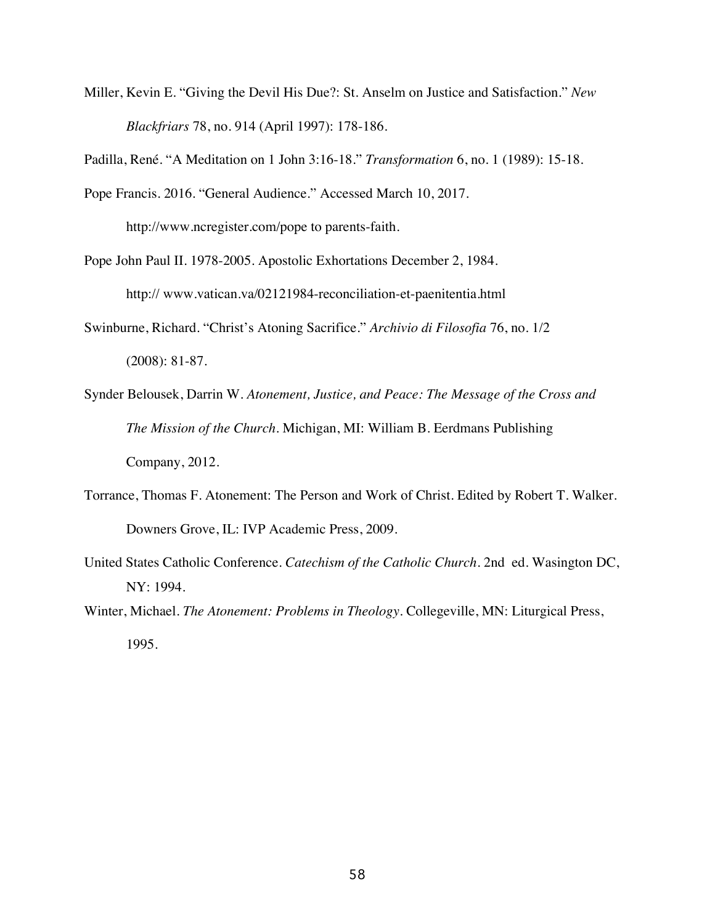Miller, Kevin E. "Giving the Devil His Due?: St. Anselm on Justice and Satisfaction." *New Blackfriars* 78, no. 914 (April 1997): 178-186.

Padilla, René. "A Meditation on 1 John 3:16-18." *Transformation* 6, no. 1 (1989): 15-18.

Pope Francis. 2016. "General Audience." Accessed March 10, 2017.

http://www.ncregister.com/pope to parents-faith.

Pope John Paul II. 1978-2005. Apostolic Exhortations December 2, 1984. http:// www.vatican.va/02121984-reconciliation-et-paenitentia.html

- Swinburne, Richard. "Christ's Atoning Sacrifice." *Archivio di Filosofia* 76, no. 1/2 (2008): 81-87.
- Synder Belousek, Darrin W. *Atonement, Justice, and Peace: The Message of the Cross and The Mission of the Church.* Michigan, MI: William B. Eerdmans Publishing Company, 2012.
- Torrance, Thomas F. Atonement: The Person and Work of Christ. Edited by Robert T. Walker. Downers Grove, IL: IVP Academic Press, 2009.
- United States Catholic Conference. *Catechism of the Catholic Church*. 2nd ed. Wasington DC, NY: 1994.
- Winter, Michael. *The Atonement: Problems in Theology.* Collegeville, MN: Liturgical Press, 1995.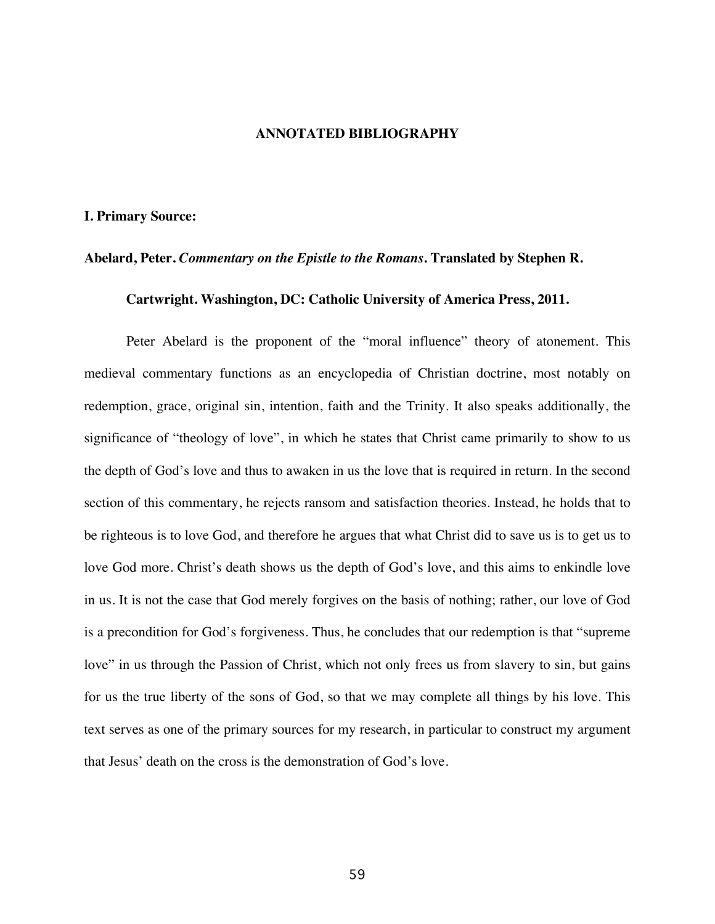#### **ANNOTATED BIBLIOGRAPHY**

#### **I. Primary Source:**

## **Abelard, Peter.** *Commentary on the Epistle to the Romans***. Translated by Stephen R.**

# **Cartwright. Washington, DC: Catholic University of America Press, 2011.**

Peter Abelard is the proponent of the "moral influence" theory of atonement. This medieval commentary functions as an encyclopedia of Christian doctrine, most notably on redemption, grace, original sin, intention, faith and the Trinity. It also speaks additionally, the significance of "theology of love", in which he states that Christ came primarily to show to us the depth of God's love and thus to awaken in us the love that is required in return. In the second section of this commentary, he rejects ransom and satisfaction theories. Instead, he holds that to be righteous is to love God, and therefore he argues that what Christ did to save us is to get us to love God more. Christ's death shows us the depth of God's love, and this aims to enkindle love in us. It is not the case that God merely forgives on the basis of nothing; rather, our love of God is a precondition for God's forgiveness. Thus, he concludes that our redemption is that "supreme love" in us through the Passion of Christ, which not only frees us from slavery to sin, but gains for us the true liberty of the sons of God, so that we may complete all things by his love. This text serves as one of the primary sources for my research, in particular to construct my argument that Jesus' death on the cross is the demonstration of God's love.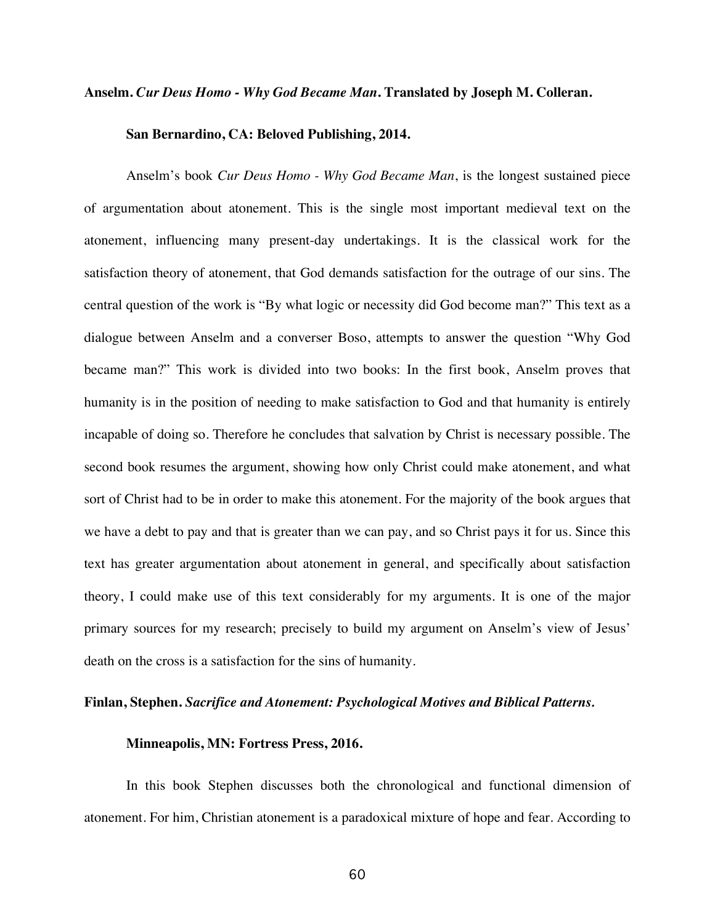# **Anselm.** *Cur Deus Homo - Why God Became Man***. Translated by Joseph M. Colleran.**

#### **San Bernardino, CA: Beloved Publishing, 2014.**

Anselm's book *Cur Deus Homo - Why God Became Man*, is the longest sustained piece of argumentation about atonement. This is the single most important medieval text on the atonement, influencing many present-day undertakings. It is the classical work for the satisfaction theory of atonement, that God demands satisfaction for the outrage of our sins. The central question of the work is "By what logic or necessity did God become man?" This text as a dialogue between Anselm and a converser Boso, attempts to answer the question "Why God became man?" This work is divided into two books: In the first book, Anselm proves that humanity is in the position of needing to make satisfaction to God and that humanity is entirely incapable of doing so. Therefore he concludes that salvation by Christ is necessary possible. The second book resumes the argument, showing how only Christ could make atonement, and what sort of Christ had to be in order to make this atonement. For the majority of the book argues that we have a debt to pay and that is greater than we can pay, and so Christ pays it for us. Since this text has greater argumentation about atonement in general, and specifically about satisfaction theory, I could make use of this text considerably for my arguments. It is one of the major primary sources for my research; precisely to build my argument on Anselm's view of Jesus' death on the cross is a satisfaction for the sins of humanity.

# **Finlan, Stephen.** *Sacrifice and Atonement: Psychological Motives and Biblical Patterns.*

## **Minneapolis, MN: Fortress Press, 2016.**

In this book Stephen discusses both the chronological and functional dimension of atonement. For him, Christian atonement is a paradoxical mixture of hope and fear. According to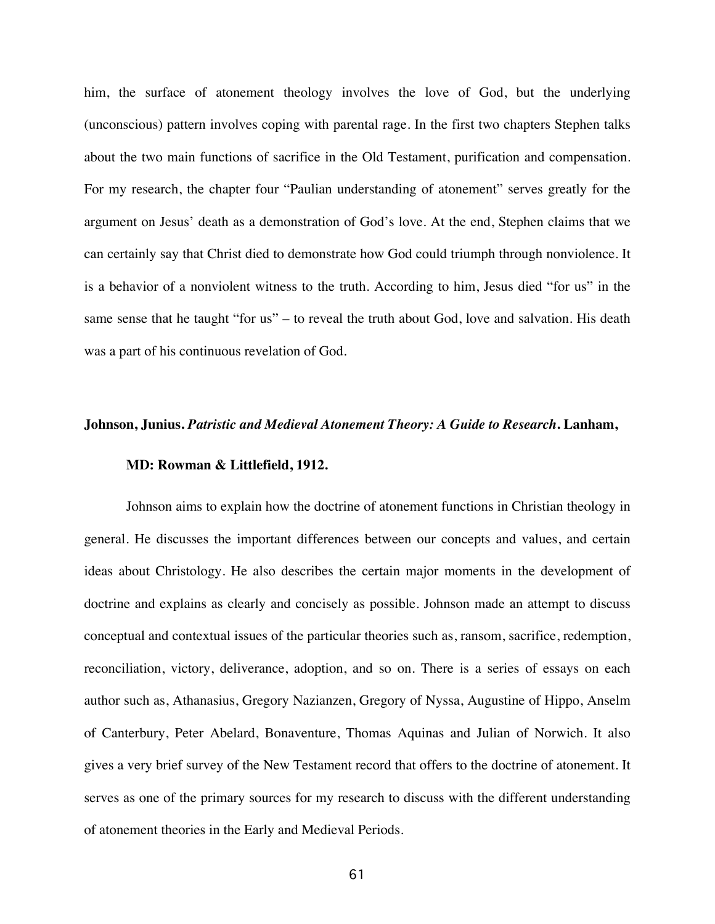him, the surface of atonement theology involves the love of God, but the underlying (unconscious) pattern involves coping with parental rage. In the first two chapters Stephen talks about the two main functions of sacrifice in the Old Testament, purification and compensation. For my research, the chapter four "Paulian understanding of atonement" serves greatly for the argument on Jesus' death as a demonstration of God's love. At the end, Stephen claims that we can certainly say that Christ died to demonstrate how God could triumph through nonviolence. It is a behavior of a nonviolent witness to the truth. According to him, Jesus died "for us" in the same sense that he taught "for us" – to reveal the truth about God, love and salvation. His death was a part of his continuous revelation of God.

#### **Johnson, Junius.** *Patristic and Medieval Atonement Theory: A Guide to Research***. Lanham,**

#### **MD: Rowman & Littlefield, 1912.**

Johnson aims to explain how the doctrine of atonement functions in Christian theology in general. He discusses the important differences between our concepts and values, and certain ideas about Christology. He also describes the certain major moments in the development of doctrine and explains as clearly and concisely as possible. Johnson made an attempt to discuss conceptual and contextual issues of the particular theories such as, ransom, sacrifice, redemption, reconciliation, victory, deliverance, adoption, and so on. There is a series of essays on each author such as, Athanasius, Gregory Nazianzen, Gregory of Nyssa, Augustine of Hippo, Anselm of Canterbury, Peter Abelard, Bonaventure, Thomas Aquinas and Julian of Norwich. It also gives a very brief survey of the New Testament record that offers to the doctrine of atonement. It serves as one of the primary sources for my research to discuss with the different understanding of atonement theories in the Early and Medieval Periods.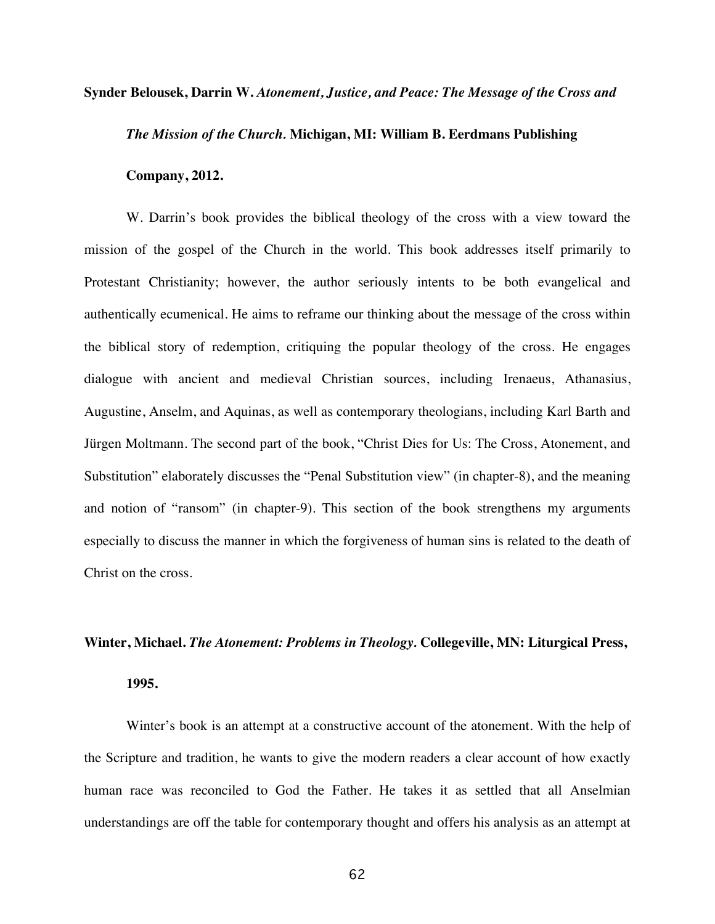# **Synder Belousek, Darrin W.** *Atonement, Justice, and Peace: The Message of the Cross and*

## *The Mission of the Church.* **Michigan, MI: William B. Eerdmans Publishing**

#### **Company, 2012.**

W. Darrin's book provides the biblical theology of the cross with a view toward the mission of the gospel of the Church in the world. This book addresses itself primarily to Protestant Christianity; however, the author seriously intents to be both evangelical and authentically ecumenical. He aims to reframe our thinking about the message of the cross within the biblical story of redemption, critiquing the popular theology of the cross. He engages dialogue with ancient and medieval Christian sources, including Irenaeus, Athanasius, Augustine, Anselm, and Aquinas, as well as contemporary theologians, including Karl Barth and Jürgen Moltmann. The second part of the book, "Christ Dies for Us: The Cross, Atonement, and Substitution" elaborately discusses the "Penal Substitution view" (in chapter-8), and the meaning and notion of "ransom" (in chapter-9). This section of the book strengthens my arguments especially to discuss the manner in which the forgiveness of human sins is related to the death of Christ on the cross.

#### **Winter, Michael.** *The Atonement: Problems in Theology.* **Collegeville, MN: Liturgical Press,**

#### **1995.**

Winter's book is an attempt at a constructive account of the atonement. With the help of the Scripture and tradition, he wants to give the modern readers a clear account of how exactly human race was reconciled to God the Father. He takes it as settled that all Anselmian understandings are off the table for contemporary thought and offers his analysis as an attempt at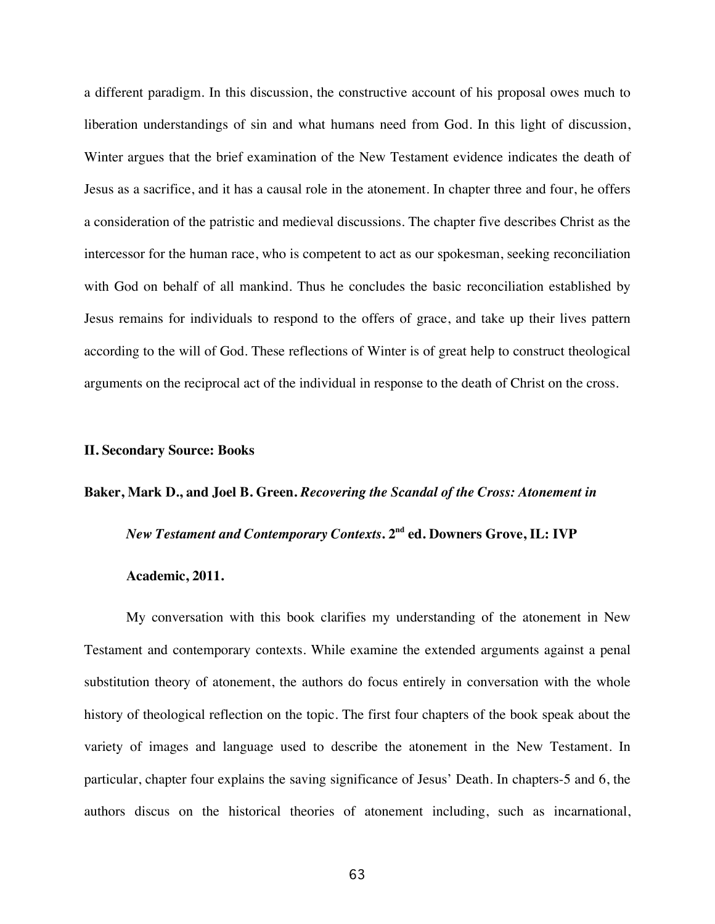a different paradigm. In this discussion, the constructive account of his proposal owes much to liberation understandings of sin and what humans need from God. In this light of discussion, Winter argues that the brief examination of the New Testament evidence indicates the death of Jesus as a sacrifice, and it has a causal role in the atonement. In chapter three and four, he offers a consideration of the patristic and medieval discussions. The chapter five describes Christ as the intercessor for the human race, who is competent to act as our spokesman, seeking reconciliation with God on behalf of all mankind. Thus he concludes the basic reconciliation established by Jesus remains for individuals to respond to the offers of grace, and take up their lives pattern according to the will of God. These reflections of Winter is of great help to construct theological arguments on the reciprocal act of the individual in response to the death of Christ on the cross.

# **II. Secondary Source: Books**

#### **Baker, Mark D., and Joel B. Green.** *Recovering the Scandal of the Cross: Atonement in*

*New Testament and Contemporary Contexts***. 2nd ed. Downers Grove, IL: IVP**

#### **Academic, 2011.**

My conversation with this book clarifies my understanding of the atonement in New Testament and contemporary contexts. While examine the extended arguments against a penal substitution theory of atonement, the authors do focus entirely in conversation with the whole history of theological reflection on the topic. The first four chapters of the book speak about the variety of images and language used to describe the atonement in the New Testament. In particular, chapter four explains the saving significance of Jesus' Death. In chapters-5 and 6, the authors discus on the historical theories of atonement including, such as incarnational,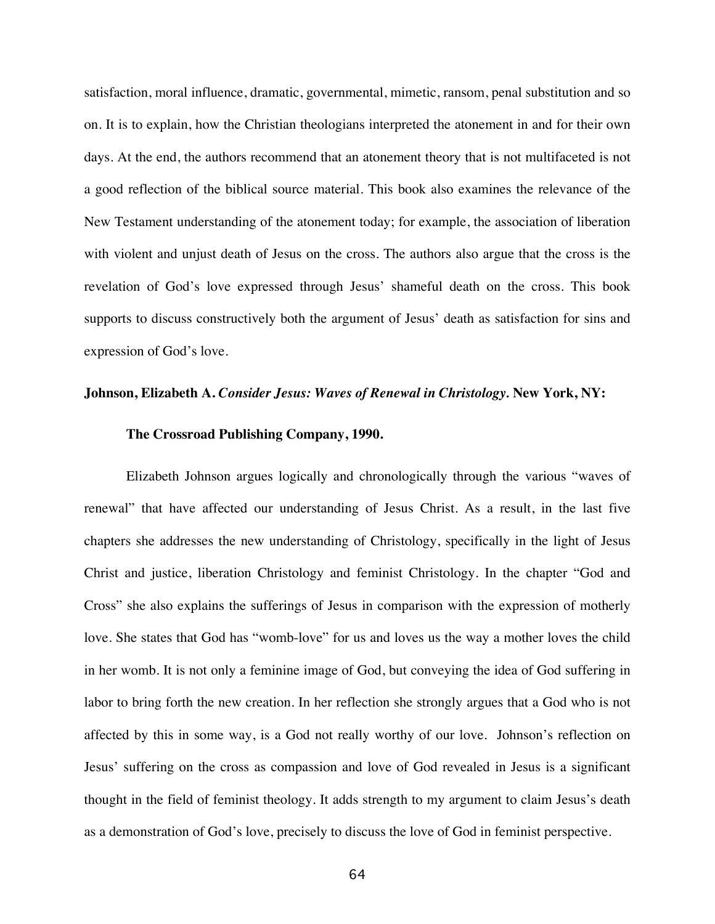satisfaction, moral influence, dramatic, governmental, mimetic, ransom, penal substitution and so on. It is to explain, how the Christian theologians interpreted the atonement in and for their own days. At the end, the authors recommend that an atonement theory that is not multifaceted is not a good reflection of the biblical source material. This book also examines the relevance of the New Testament understanding of the atonement today; for example, the association of liberation with violent and unjust death of Jesus on the cross. The authors also argue that the cross is the revelation of God's love expressed through Jesus' shameful death on the cross. This book supports to discuss constructively both the argument of Jesus' death as satisfaction for sins and expression of God's love.

#### **Johnson, Elizabeth A.** *Consider Jesus: Waves of Renewal in Christology.* **New York, NY:**

#### **The Crossroad Publishing Company, 1990.**

Elizabeth Johnson argues logically and chronologically through the various "waves of renewal" that have affected our understanding of Jesus Christ. As a result, in the last five chapters she addresses the new understanding of Christology, specifically in the light of Jesus Christ and justice, liberation Christology and feminist Christology. In the chapter "God and Cross" she also explains the sufferings of Jesus in comparison with the expression of motherly love. She states that God has "womb-love" for us and loves us the way a mother loves the child in her womb. It is not only a feminine image of God, but conveying the idea of God suffering in labor to bring forth the new creation. In her reflection she strongly argues that a God who is not affected by this in some way, is a God not really worthy of our love. Johnson's reflection on Jesus' suffering on the cross as compassion and love of God revealed in Jesus is a significant thought in the field of feminist theology. It adds strength to my argument to claim Jesus's death as a demonstration of God's love, precisely to discuss the love of God in feminist perspective.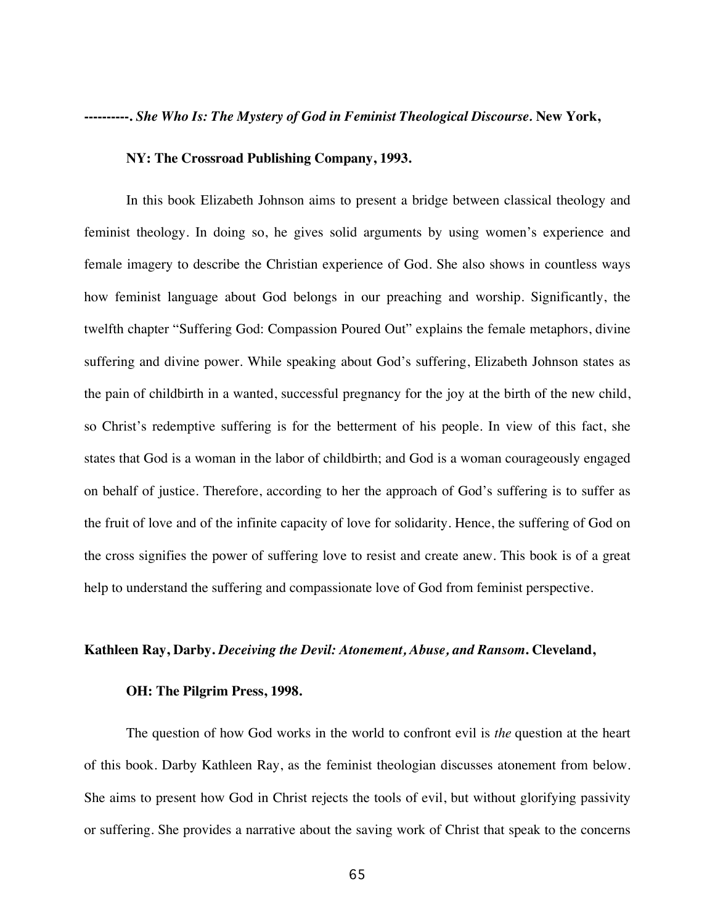**----------.** *She Who Is: The Mystery of God in Feminist Theological Discourse.* **New York,**

#### **NY: The Crossroad Publishing Company, 1993.**

In this book Elizabeth Johnson aims to present a bridge between classical theology and feminist theology. In doing so, he gives solid arguments by using women's experience and female imagery to describe the Christian experience of God. She also shows in countless ways how feminist language about God belongs in our preaching and worship. Significantly, the twelfth chapter "Suffering God: Compassion Poured Out" explains the female metaphors, divine suffering and divine power. While speaking about God's suffering, Elizabeth Johnson states as the pain of childbirth in a wanted, successful pregnancy for the joy at the birth of the new child, so Christ's redemptive suffering is for the betterment of his people. In view of this fact, she states that God is a woman in the labor of childbirth; and God is a woman courageously engaged on behalf of justice. Therefore, according to her the approach of God's suffering is to suffer as the fruit of love and of the infinite capacity of love for solidarity. Hence, the suffering of God on the cross signifies the power of suffering love to resist and create anew. This book is of a great help to understand the suffering and compassionate love of God from feminist perspective.

## **Kathleen Ray, Darby.** *Deceiving the Devil: Atonement, Abuse, and Ransom***. Cleveland,**

#### **OH: The Pilgrim Press, 1998.**

The question of how God works in the world to confront evil is *the* question at the heart of this book. Darby Kathleen Ray, as the feminist theologian discusses atonement from below. She aims to present how God in Christ rejects the tools of evil, but without glorifying passivity or suffering. She provides a narrative about the saving work of Christ that speak to the concerns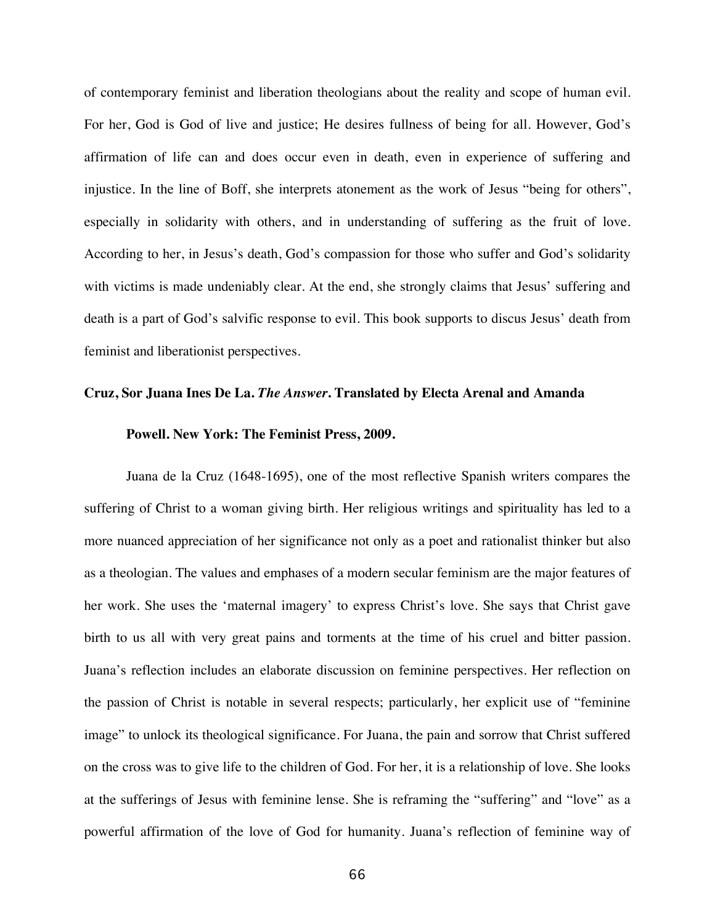of contemporary feminist and liberation theologians about the reality and scope of human evil. For her, God is God of live and justice; He desires fullness of being for all. However, God's affirmation of life can and does occur even in death, even in experience of suffering and injustice. In the line of Boff, she interprets atonement as the work of Jesus "being for others", especially in solidarity with others, and in understanding of suffering as the fruit of love. According to her, in Jesus's death, God's compassion for those who suffer and God's solidarity with victims is made undeniably clear. At the end, she strongly claims that Jesus' suffering and death is a part of God's salvific response to evil. This book supports to discus Jesus' death from feminist and liberationist perspectives.

### **Cruz, Sor Juana Ines De La.** *The Answer***. Translated by Electa Arenal and Amanda**

#### **Powell. New York: The Feminist Press, 2009.**

Juana de la Cruz (1648-1695), one of the most reflective Spanish writers compares the suffering of Christ to a woman giving birth. Her religious writings and spirituality has led to a more nuanced appreciation of her significance not only as a poet and rationalist thinker but also as a theologian. The values and emphases of a modern secular feminism are the major features of her work. She uses the 'maternal imagery' to express Christ's love. She says that Christ gave birth to us all with very great pains and torments at the time of his cruel and bitter passion. Juana's reflection includes an elaborate discussion on feminine perspectives. Her reflection on the passion of Christ is notable in several respects; particularly, her explicit use of "feminine image" to unlock its theological significance. For Juana, the pain and sorrow that Christ suffered on the cross was to give life to the children of God. For her, it is a relationship of love. She looks at the sufferings of Jesus with feminine lense. She is reframing the "suffering" and "love" as a powerful affirmation of the love of God for humanity. Juana's reflection of feminine way of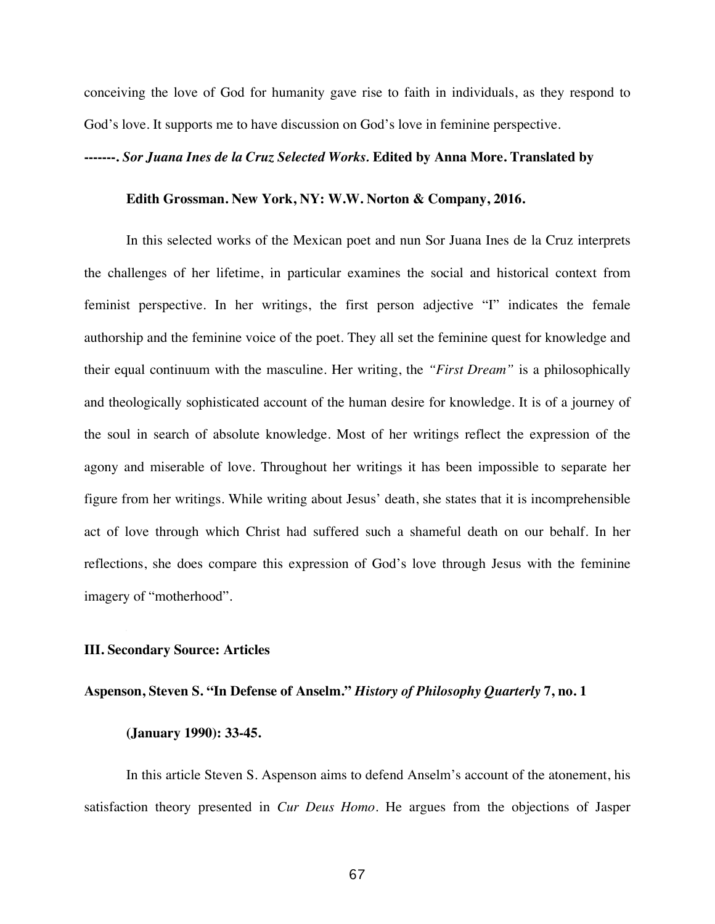conceiving the love of God for humanity gave rise to faith in individuals, as they respond to God's love. It supports me to have discussion on God's love in feminine perspective.

#### **-------.** *Sor Juana Ines de la Cruz Selected Works.* **Edited by Anna More. Translated by**

## **Edith Grossman. New York, NY: W.W. Norton & Company, 2016.**

In this selected works of the Mexican poet and nun Sor Juana Ines de la Cruz interprets the challenges of her lifetime, in particular examines the social and historical context from feminist perspective. In her writings, the first person adjective "I" indicates the female authorship and the feminine voice of the poet. They all set the feminine quest for knowledge and their equal continuum with the masculine. Her writing, the *"First Dream"* is a philosophically and theologically sophisticated account of the human desire for knowledge. It is of a journey of the soul in search of absolute knowledge. Most of her writings reflect the expression of the agony and miserable of love. Throughout her writings it has been impossible to separate her figure from her writings. While writing about Jesus' death, she states that it is incomprehensible act of love through which Christ had suffered such a shameful death on our behalf. In her reflections, she does compare this expression of God's love through Jesus with the feminine imagery of "motherhood".

## **III. Secondary Source: Articles**

## **Aspenson, Steven S. "In Defense of Anselm."** *History of Philosophy Quarterly* **7, no. 1**

## **(January 1990): 33-45.**

In this article Steven S. Aspenson aims to defend Anselm's account of the atonement, his satisfaction theory presented in *Cur Deus Homo*. He argues from the objections of Jasper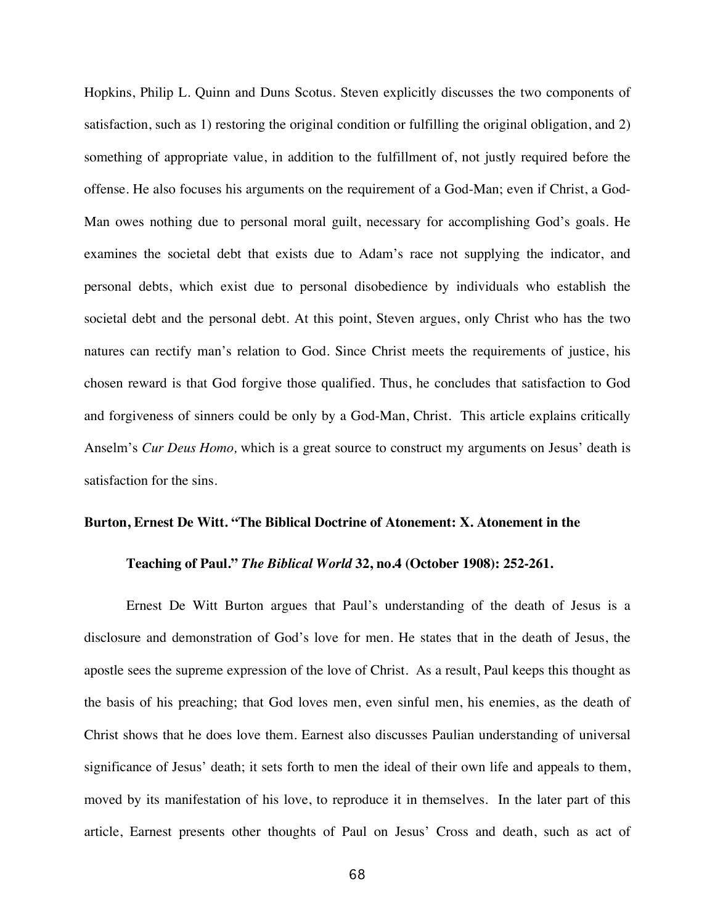Hopkins, Philip L. Quinn and Duns Scotus. Steven explicitly discusses the two components of satisfaction, such as 1) restoring the original condition or fulfilling the original obligation, and 2) something of appropriate value, in addition to the fulfillment of, not justly required before the offense. He also focuses his arguments on the requirement of a God-Man; even if Christ, a God-Man owes nothing due to personal moral guilt, necessary for accomplishing God's goals. He examines the societal debt that exists due to Adam's race not supplying the indicator, and personal debts, which exist due to personal disobedience by individuals who establish the societal debt and the personal debt. At this point, Steven argues, only Christ who has the two natures can rectify man's relation to God. Since Christ meets the requirements of justice, his chosen reward is that God forgive those qualified. Thus, he concludes that satisfaction to God and forgiveness of sinners could be only by a God-Man, Christ. This article explains critically Anselm's *Cur Deus Homo,* which is a great source to construct my arguments on Jesus' death is satisfaction for the sins.

# **Burton, Ernest De Witt. "The Biblical Doctrine of Atonement: X. Atonement in the**

#### **Teaching of Paul."** *The Biblical World* **32, no.4 (October 1908): 252-261.**

Ernest De Witt Burton argues that Paul's understanding of the death of Jesus is a disclosure and demonstration of God's love for men. He states that in the death of Jesus, the apostle sees the supreme expression of the love of Christ. As a result, Paul keeps this thought as the basis of his preaching; that God loves men, even sinful men, his enemies, as the death of Christ shows that he does love them. Earnest also discusses Paulian understanding of universal significance of Jesus' death; it sets forth to men the ideal of their own life and appeals to them, moved by its manifestation of his love, to reproduce it in themselves. In the later part of this article, Earnest presents other thoughts of Paul on Jesus' Cross and death, such as act of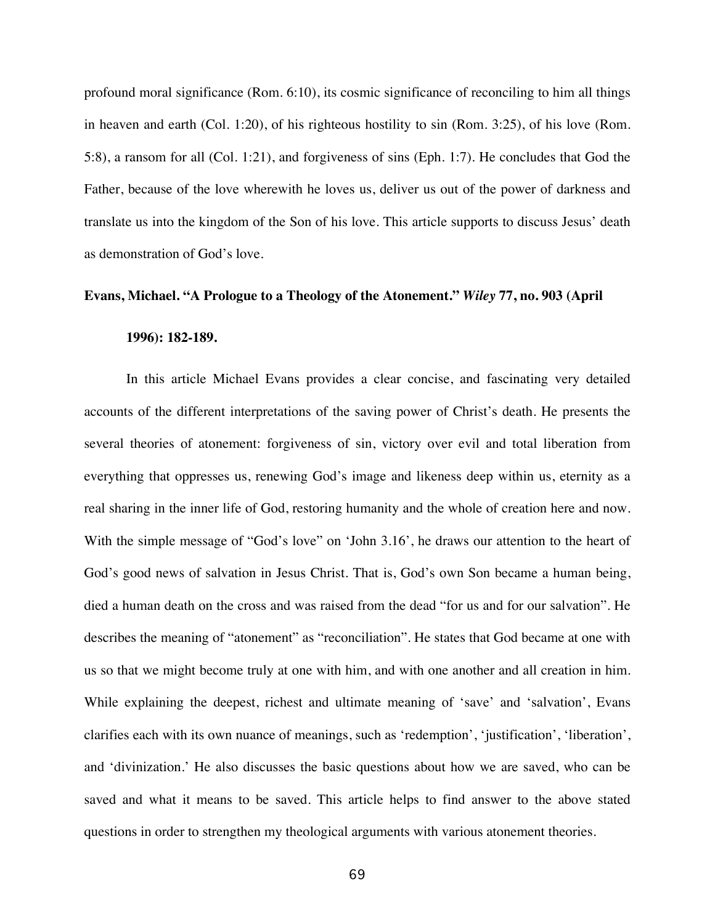profound moral significance (Rom. 6:10), its cosmic significance of reconciling to him all things in heaven and earth (Col. 1:20), of his righteous hostility to sin (Rom. 3:25), of his love (Rom. 5:8), a ransom for all (Col. 1:21), and forgiveness of sins (Eph. 1:7). He concludes that God the Father, because of the love wherewith he loves us, deliver us out of the power of darkness and translate us into the kingdom of the Son of his love. This article supports to discuss Jesus' death as demonstration of God's love.

#### **Evans, Michael. "A Prologue to a Theology of the Atonement."** *Wiley* **77, no. 903 (April**

#### **1996): 182-189.**

In this article Michael Evans provides a clear concise, and fascinating very detailed accounts of the different interpretations of the saving power of Christ's death. He presents the several theories of atonement: forgiveness of sin, victory over evil and total liberation from everything that oppresses us, renewing God's image and likeness deep within us, eternity as a real sharing in the inner life of God, restoring humanity and the whole of creation here and now. With the simple message of "God's love" on 'John 3.16', he draws our attention to the heart of God's good news of salvation in Jesus Christ. That is, God's own Son became a human being, died a human death on the cross and was raised from the dead "for us and for our salvation". He describes the meaning of "atonement" as "reconciliation". He states that God became at one with us so that we might become truly at one with him, and with one another and all creation in him. While explaining the deepest, richest and ultimate meaning of 'save' and 'salvation', Evans clarifies each with its own nuance of meanings, such as 'redemption', 'justification', 'liberation', and 'divinization.' He also discusses the basic questions about how we are saved, who can be saved and what it means to be saved. This article helps to find answer to the above stated questions in order to strengthen my theological arguments with various atonement theories.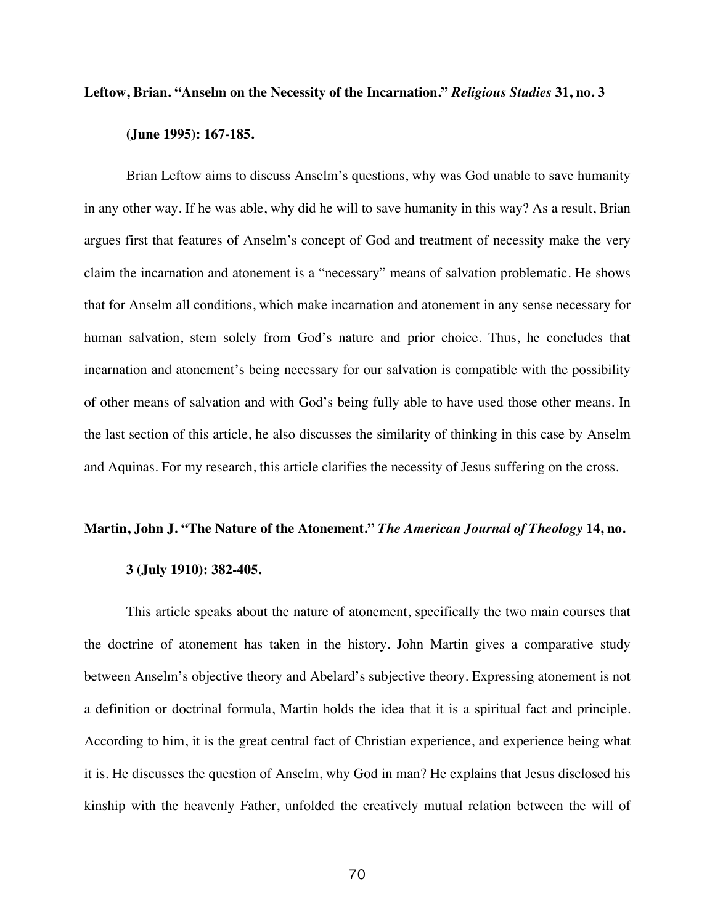### **Leftow, Brian. "Anselm on the Necessity of the Incarnation."** *Religious Studies* **31, no. 3**

## **(June 1995): 167-185.**

Brian Leftow aims to discuss Anselm's questions, why was God unable to save humanity in any other way. If he was able, why did he will to save humanity in this way? As a result, Brian argues first that features of Anselm's concept of God and treatment of necessity make the very claim the incarnation and atonement is a "necessary" means of salvation problematic. He shows that for Anselm all conditions, which make incarnation and atonement in any sense necessary for human salvation, stem solely from God's nature and prior choice. Thus, he concludes that incarnation and atonement's being necessary for our salvation is compatible with the possibility of other means of salvation and with God's being fully able to have used those other means. In the last section of this article, he also discusses the similarity of thinking in this case by Anselm and Aquinas. For my research, this article clarifies the necessity of Jesus suffering on the cross.

## **Martin, John J. "The Nature of the Atonement."** *The American Journal of Theology* **14, no.**

#### **3 (July 1910): 382-405.**

This article speaks about the nature of atonement, specifically the two main courses that the doctrine of atonement has taken in the history. John Martin gives a comparative study between Anselm's objective theory and Abelard's subjective theory. Expressing atonement is not a definition or doctrinal formula, Martin holds the idea that it is a spiritual fact and principle. According to him, it is the great central fact of Christian experience, and experience being what it is. He discusses the question of Anselm, why God in man? He explains that Jesus disclosed his kinship with the heavenly Father, unfolded the creatively mutual relation between the will of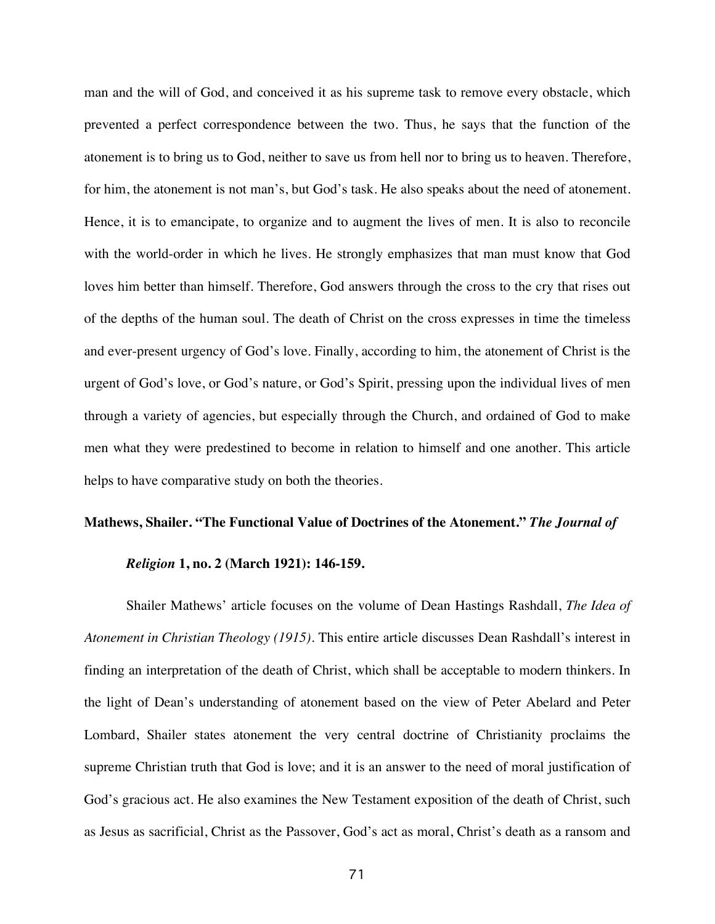man and the will of God, and conceived it as his supreme task to remove every obstacle, which prevented a perfect correspondence between the two. Thus, he says that the function of the atonement is to bring us to God, neither to save us from hell nor to bring us to heaven. Therefore, for him, the atonement is not man's, but God's task. He also speaks about the need of atonement. Hence, it is to emancipate, to organize and to augment the lives of men. It is also to reconcile with the world-order in which he lives. He strongly emphasizes that man must know that God loves him better than himself. Therefore, God answers through the cross to the cry that rises out of the depths of the human soul. The death of Christ on the cross expresses in time the timeless and ever-present urgency of God's love. Finally, according to him, the atonement of Christ is the urgent of God's love, or God's nature, or God's Spirit, pressing upon the individual lives of men through a variety of agencies, but especially through the Church, and ordained of God to make men what they were predestined to become in relation to himself and one another. This article helps to have comparative study on both the theories.

## **Mathews, Shailer. "The Functional Value of Doctrines of the Atonement."** *The Journal of*

#### *Religion* **1, no. 2 (March 1921): 146-159.**

Shailer Mathews' article focuses on the volume of Dean Hastings Rashdall, *The Idea of Atonement in Christian Theology (1915)*. This entire article discusses Dean Rashdall's interest in finding an interpretation of the death of Christ, which shall be acceptable to modern thinkers. In the light of Dean's understanding of atonement based on the view of Peter Abelard and Peter Lombard, Shailer states atonement the very central doctrine of Christianity proclaims the supreme Christian truth that God is love; and it is an answer to the need of moral justification of God's gracious act. He also examines the New Testament exposition of the death of Christ, such as Jesus as sacrificial, Christ as the Passover, God's act as moral, Christ's death as a ransom and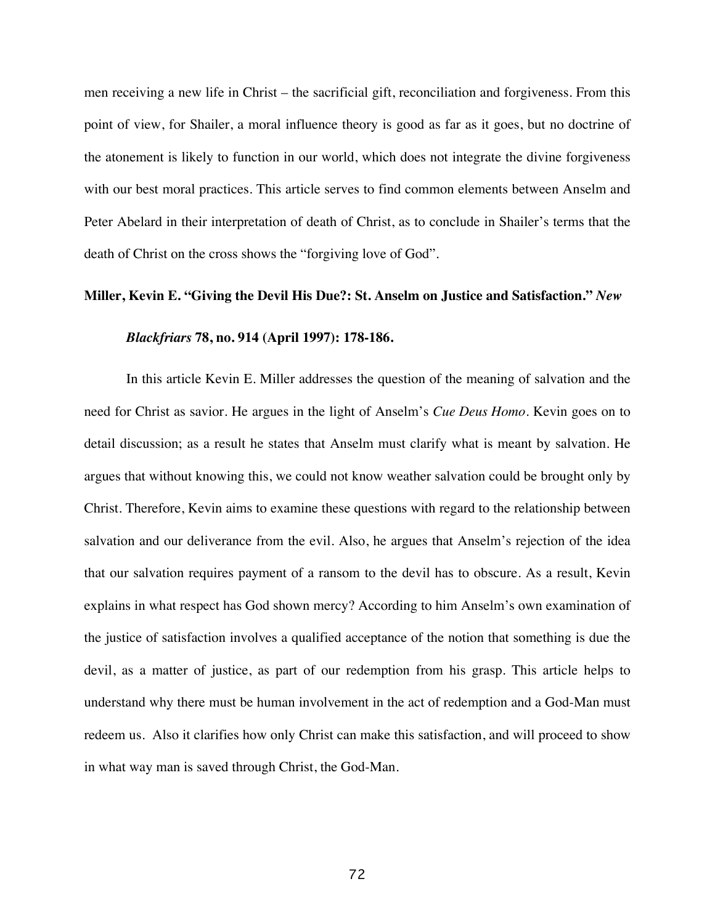men receiving a new life in Christ – the sacrificial gift, reconciliation and forgiveness. From this point of view, for Shailer, a moral influence theory is good as far as it goes, but no doctrine of the atonement is likely to function in our world, which does not integrate the divine forgiveness with our best moral practices. This article serves to find common elements between Anselm and Peter Abelard in their interpretation of death of Christ, as to conclude in Shailer's terms that the death of Christ on the cross shows the "forgiving love of God".

#### **Miller, Kevin E. "Giving the Devil His Due?: St. Anselm on Justice and Satisfaction."** *New*

#### *Blackfriars* **78, no. 914 (April 1997): 178-186.**

In this article Kevin E. Miller addresses the question of the meaning of salvation and the need for Christ as savior. He argues in the light of Anselm's *Cue Deus Homo*. Kevin goes on to detail discussion; as a result he states that Anselm must clarify what is meant by salvation. He argues that without knowing this, we could not know weather salvation could be brought only by Christ. Therefore, Kevin aims to examine these questions with regard to the relationship between salvation and our deliverance from the evil. Also, he argues that Anselm's rejection of the idea that our salvation requires payment of a ransom to the devil has to obscure. As a result, Kevin explains in what respect has God shown mercy? According to him Anselm's own examination of the justice of satisfaction involves a qualified acceptance of the notion that something is due the devil, as a matter of justice, as part of our redemption from his grasp. This article helps to understand why there must be human involvement in the act of redemption and a God-Man must redeem us. Also it clarifies how only Christ can make this satisfaction, and will proceed to show in what way man is saved through Christ, the God-Man.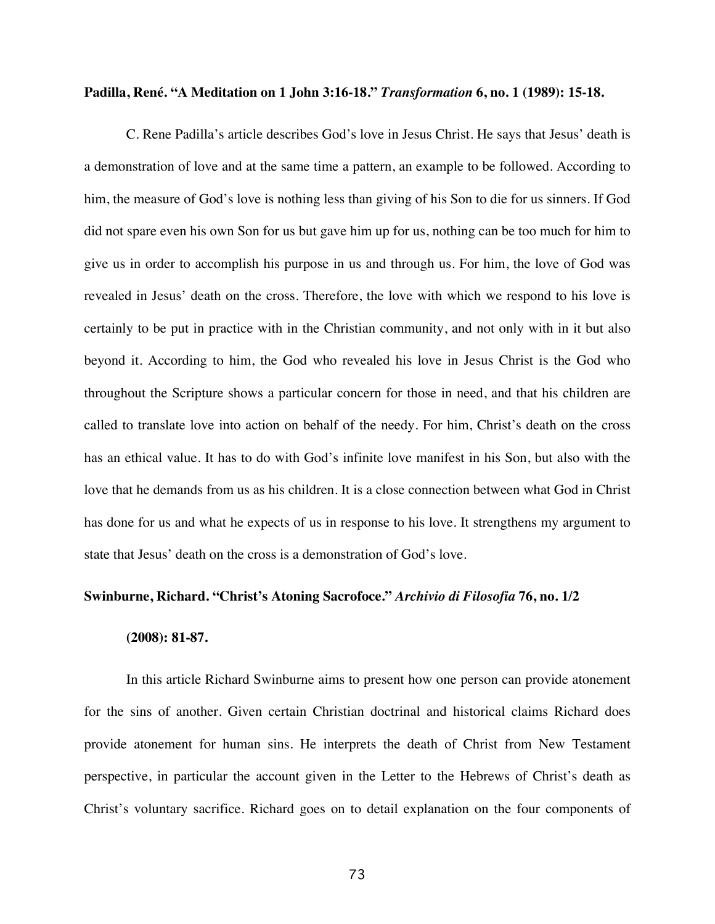### **Padilla, René. "A Meditation on 1 John 3:16-18."** *Transformation* **6, no. 1 (1989): 15-18.**

C. Rene Padilla's article describes God's love in Jesus Christ. He says that Jesus' death is a demonstration of love and at the same time a pattern, an example to be followed. According to him, the measure of God's love is nothing less than giving of his Son to die for us sinners. If God did not spare even his own Son for us but gave him up for us, nothing can be too much for him to give us in order to accomplish his purpose in us and through us. For him, the love of God was revealed in Jesus' death on the cross. Therefore, the love with which we respond to his love is certainly to be put in practice with in the Christian community, and not only with in it but also beyond it. According to him, the God who revealed his love in Jesus Christ is the God who throughout the Scripture shows a particular concern for those in need, and that his children are called to translate love into action on behalf of the needy. For him, Christ's death on the cross has an ethical value. It has to do with God's infinite love manifest in his Son, but also with the love that he demands from us as his children. It is a close connection between what God in Christ has done for us and what he expects of us in response to his love. It strengthens my argument to state that Jesus' death on the cross is a demonstration of God's love.

### **Swinburne, Richard. "Christ's Atoning Sacrofoce."** *Archivio di Filosofia* **76, no. 1/2**

#### **(2008): 81-87.**

In this article Richard Swinburne aims to present how one person can provide atonement for the sins of another. Given certain Christian doctrinal and historical claims Richard does provide atonement for human sins. He interprets the death of Christ from New Testament perspective, in particular the account given in the Letter to the Hebrews of Christ's death as Christ's voluntary sacrifice. Richard goes on to detail explanation on the four components of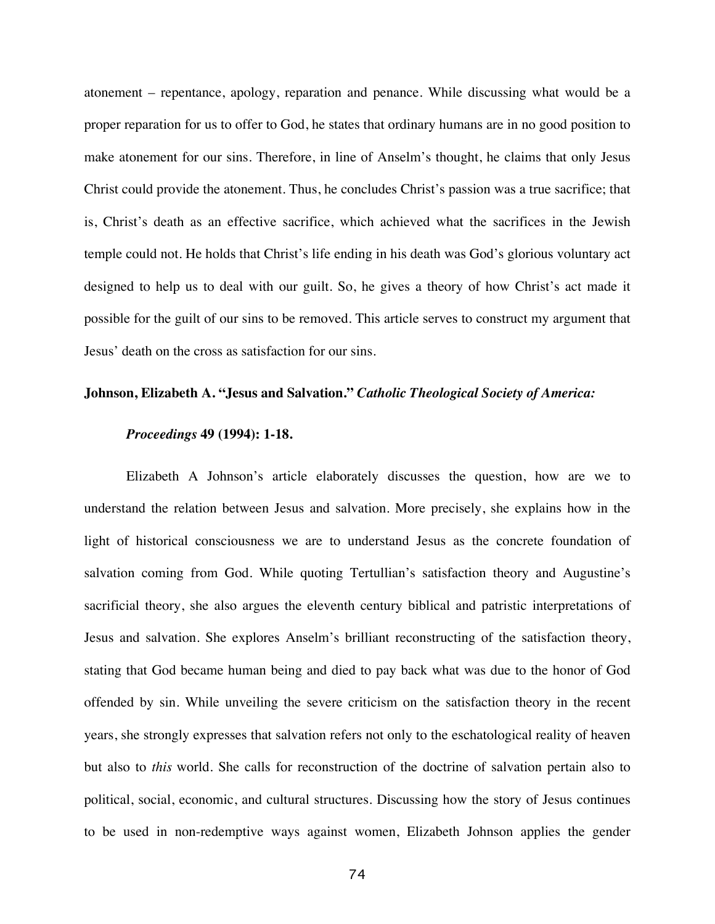atonement – repentance, apology, reparation and penance. While discussing what would be a proper reparation for us to offer to God, he states that ordinary humans are in no good position to make atonement for our sins. Therefore, in line of Anselm's thought, he claims that only Jesus Christ could provide the atonement. Thus, he concludes Christ's passion was a true sacrifice; that is, Christ's death as an effective sacrifice, which achieved what the sacrifices in the Jewish temple could not. He holds that Christ's life ending in his death was God's glorious voluntary act designed to help us to deal with our guilt. So, he gives a theory of how Christ's act made it possible for the guilt of our sins to be removed. This article serves to construct my argument that Jesus' death on the cross as satisfaction for our sins.

# **Johnson, Elizabeth A. "Jesus and Salvation."** *Catholic Theological Society of America:*

## *Proceedings* **49 (1994): 1-18.**

Elizabeth A Johnson's article elaborately discusses the question, how are we to understand the relation between Jesus and salvation. More precisely, she explains how in the light of historical consciousness we are to understand Jesus as the concrete foundation of salvation coming from God. While quoting Tertullian's satisfaction theory and Augustine's sacrificial theory, she also argues the eleventh century biblical and patristic interpretations of Jesus and salvation. She explores Anselm's brilliant reconstructing of the satisfaction theory, stating that God became human being and died to pay back what was due to the honor of God offended by sin. While unveiling the severe criticism on the satisfaction theory in the recent years, she strongly expresses that salvation refers not only to the eschatological reality of heaven but also to *this* world. She calls for reconstruction of the doctrine of salvation pertain also to political, social, economic, and cultural structures. Discussing how the story of Jesus continues to be used in non-redemptive ways against women, Elizabeth Johnson applies the gender